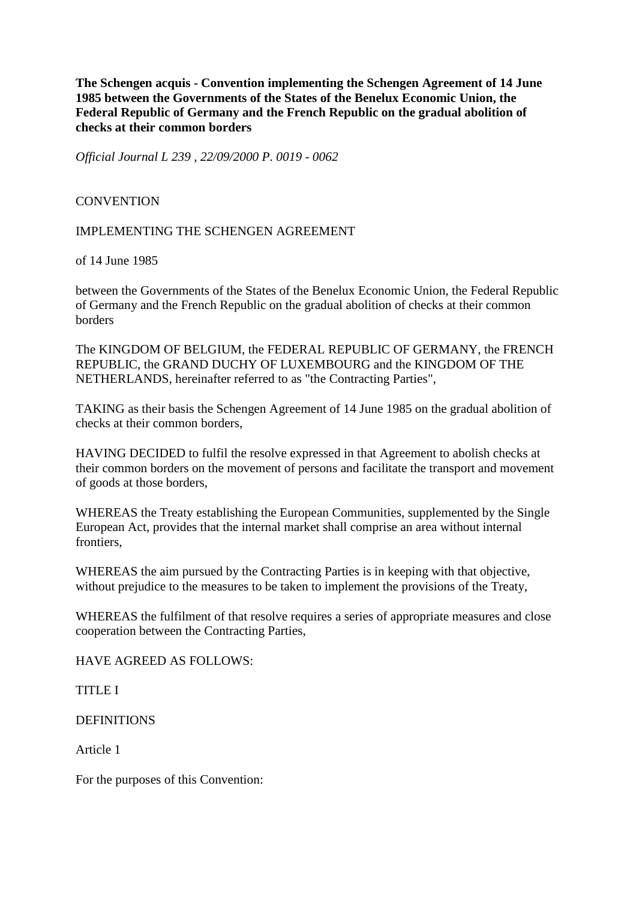**The Schengen acquis - Convention implementing the Schengen Agreement of 14 June 1985 between the Governments of the States of the Benelux Economic Union, the Federal Republic of Germany and the French Republic on the gradual abolition of checks at their common borders** 

*Official Journal L 239 , 22/09/2000 P. 0019 - 0062*

#### **CONVENTION**

#### IMPLEMENTING THE SCHENGEN AGREEMENT

of 14 June 1985

between the Governments of the States of the Benelux Economic Union, the Federal Republic of Germany and the French Republic on the gradual abolition of checks at their common borders

The KINGDOM OF BELGIUM, the FEDERAL REPUBLIC OF GERMANY, the FRENCH REPUBLIC, the GRAND DUCHY OF LUXEMBOURG and the KINGDOM OF THE NETHERLANDS, hereinafter referred to as "the Contracting Parties",

TAKING as their basis the Schengen Agreement of 14 June 1985 on the gradual abolition of checks at their common borders,

HAVING DECIDED to fulfil the resolve expressed in that Agreement to abolish checks at their common borders on the movement of persons and facilitate the transport and movement of goods at those borders,

WHEREAS the Treaty establishing the European Communities, supplemented by the Single European Act, provides that the internal market shall comprise an area without internal frontiers,

WHEREAS the aim pursued by the Contracting Parties is in keeping with that objective, without prejudice to the measures to be taken to implement the provisions of the Treaty,

WHEREAS the fulfilment of that resolve requires a series of appropriate measures and close cooperation between the Contracting Parties,

HAVE AGREED AS FOLLOWS:

TITLE I

**DEFINITIONS** 

Article 1

For the purposes of this Convention: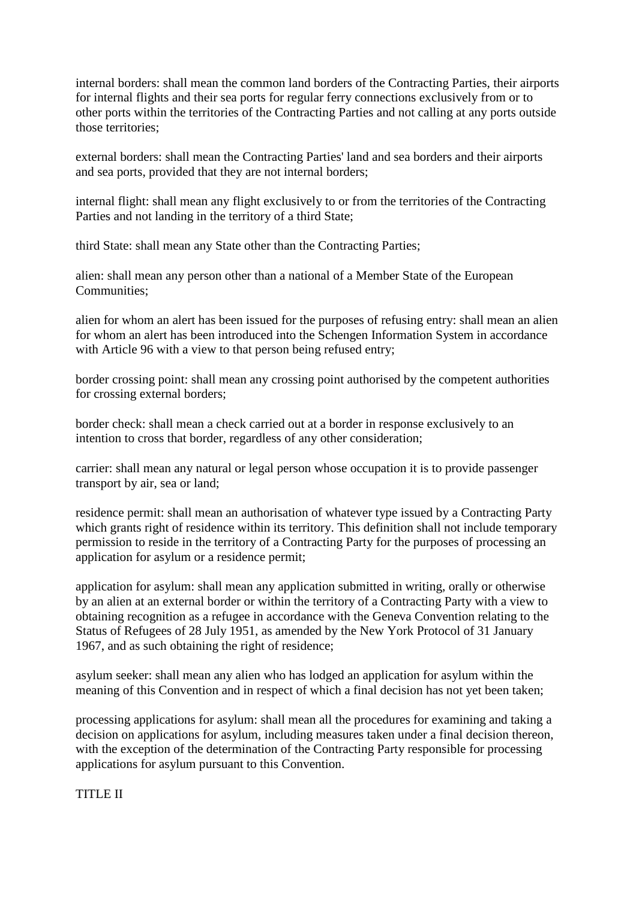internal borders: shall mean the common land borders of the Contracting Parties, their airports for internal flights and their sea ports for regular ferry connections exclusively from or to other ports within the territories of the Contracting Parties and not calling at any ports outside those territories;

external borders: shall mean the Contracting Parties' land and sea borders and their airports and sea ports, provided that they are not internal borders;

internal flight: shall mean any flight exclusively to or from the territories of the Contracting Parties and not landing in the territory of a third State;

third State: shall mean any State other than the Contracting Parties;

alien: shall mean any person other than a national of a Member State of the European Communities;

alien for whom an alert has been issued for the purposes of refusing entry: shall mean an alien for whom an alert has been introduced into the Schengen Information System in accordance with Article 96 with a view to that person being refused entry;

border crossing point: shall mean any crossing point authorised by the competent authorities for crossing external borders;

border check: shall mean a check carried out at a border in response exclusively to an intention to cross that border, regardless of any other consideration;

carrier: shall mean any natural or legal person whose occupation it is to provide passenger transport by air, sea or land;

residence permit: shall mean an authorisation of whatever type issued by a Contracting Party which grants right of residence within its territory. This definition shall not include temporary permission to reside in the territory of a Contracting Party for the purposes of processing an application for asylum or a residence permit;

application for asylum: shall mean any application submitted in writing, orally or otherwise by an alien at an external border or within the territory of a Contracting Party with a view to obtaining recognition as a refugee in accordance with the Geneva Convention relating to the Status of Refugees of 28 July 1951, as amended by the New York Protocol of 31 January 1967, and as such obtaining the right of residence;

asylum seeker: shall mean any alien who has lodged an application for asylum within the meaning of this Convention and in respect of which a final decision has not yet been taken;

processing applications for asylum: shall mean all the procedures for examining and taking a decision on applications for asylum, including measures taken under a final decision thereon, with the exception of the determination of the Contracting Party responsible for processing applications for asylum pursuant to this Convention.

TITLE II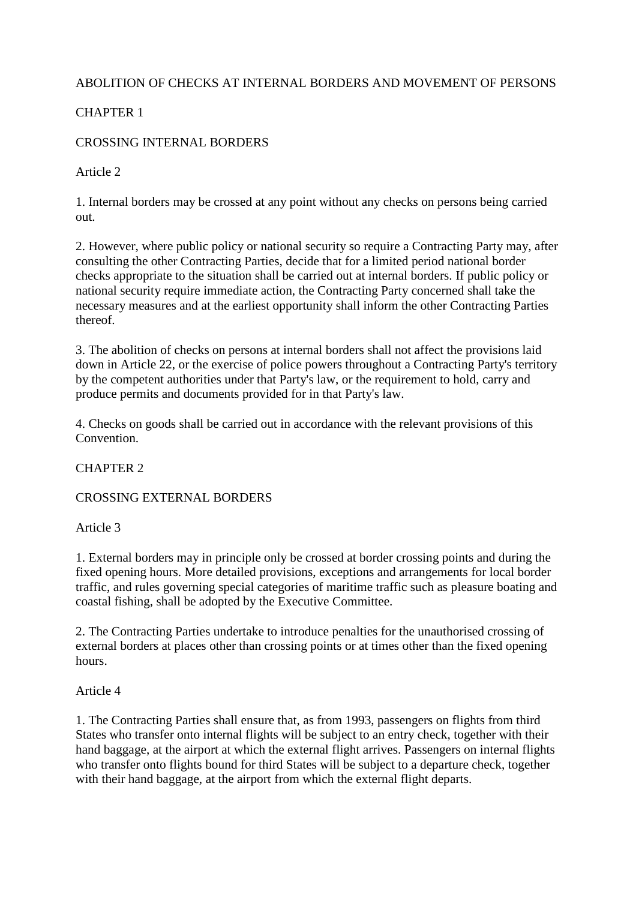## ABOLITION OF CHECKS AT INTERNAL BORDERS AND MOVEMENT OF PERSONS

## CHAPTER 1

### CROSSING INTERNAL BORDERS

Article 2

1. Internal borders may be crossed at any point without any checks on persons being carried out.

2. However, where public policy or national security so require a Contracting Party may, after consulting the other Contracting Parties, decide that for a limited period national border checks appropriate to the situation shall be carried out at internal borders. If public policy or national security require immediate action, the Contracting Party concerned shall take the necessary measures and at the earliest opportunity shall inform the other Contracting Parties thereof.

3. The abolition of checks on persons at internal borders shall not affect the provisions laid down in Article 22, or the exercise of police powers throughout a Contracting Party's territory by the competent authorities under that Party's law, or the requirement to hold, carry and produce permits and documents provided for in that Party's law.

4. Checks on goods shall be carried out in accordance with the relevant provisions of this Convention.

### CHAPTER 2

### CROSSING EXTERNAL BORDERS

Article 3

1. External borders may in principle only be crossed at border crossing points and during the fixed opening hours. More detailed provisions, exceptions and arrangements for local border traffic, and rules governing special categories of maritime traffic such as pleasure boating and coastal fishing, shall be adopted by the Executive Committee.

2. The Contracting Parties undertake to introduce penalties for the unauthorised crossing of external borders at places other than crossing points or at times other than the fixed opening hours.

#### Article 4

1. The Contracting Parties shall ensure that, as from 1993, passengers on flights from third States who transfer onto internal flights will be subject to an entry check, together with their hand baggage, at the airport at which the external flight arrives. Passengers on internal flights who transfer onto flights bound for third States will be subject to a departure check, together with their hand baggage, at the airport from which the external flight departs.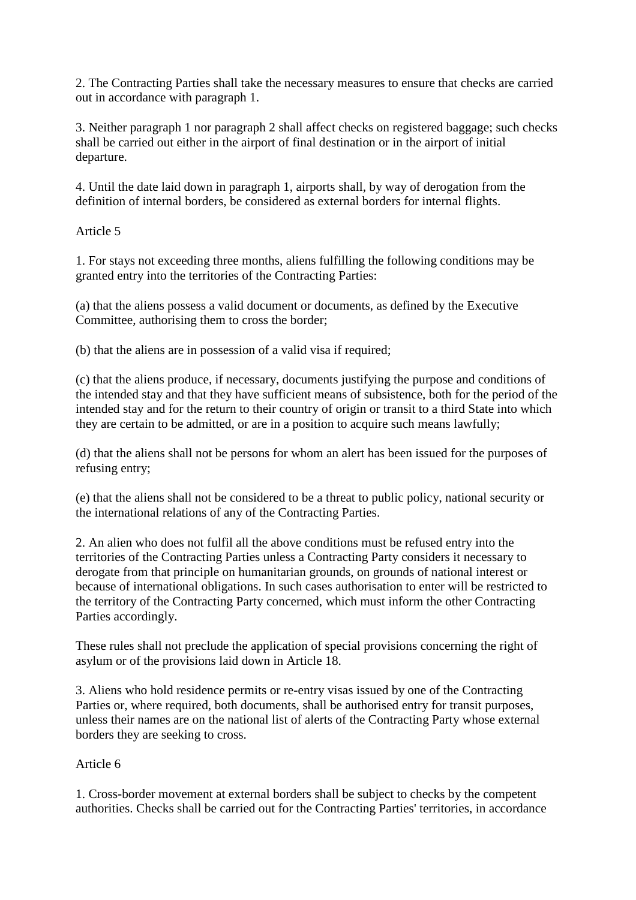2. The Contracting Parties shall take the necessary measures to ensure that checks are carried out in accordance with paragraph 1.

3. Neither paragraph 1 nor paragraph 2 shall affect checks on registered baggage; such checks shall be carried out either in the airport of final destination or in the airport of initial departure.

4. Until the date laid down in paragraph 1, airports shall, by way of derogation from the definition of internal borders, be considered as external borders for internal flights.

Article 5

1. For stays not exceeding three months, aliens fulfilling the following conditions may be granted entry into the territories of the Contracting Parties:

(a) that the aliens possess a valid document or documents, as defined by the Executive Committee, authorising them to cross the border;

(b) that the aliens are in possession of a valid visa if required;

(c) that the aliens produce, if necessary, documents justifying the purpose and conditions of the intended stay and that they have sufficient means of subsistence, both for the period of the intended stay and for the return to their country of origin or transit to a third State into which they are certain to be admitted, or are in a position to acquire such means lawfully;

(d) that the aliens shall not be persons for whom an alert has been issued for the purposes of refusing entry;

(e) that the aliens shall not be considered to be a threat to public policy, national security or the international relations of any of the Contracting Parties.

2. An alien who does not fulfil all the above conditions must be refused entry into the territories of the Contracting Parties unless a Contracting Party considers it necessary to derogate from that principle on humanitarian grounds, on grounds of national interest or because of international obligations. In such cases authorisation to enter will be restricted to the territory of the Contracting Party concerned, which must inform the other Contracting Parties accordingly.

These rules shall not preclude the application of special provisions concerning the right of asylum or of the provisions laid down in Article 18.

3. Aliens who hold residence permits or re-entry visas issued by one of the Contracting Parties or, where required, both documents, shall be authorised entry for transit purposes, unless their names are on the national list of alerts of the Contracting Party whose external borders they are seeking to cross.

# Article 6

1. Cross-border movement at external borders shall be subject to checks by the competent authorities. Checks shall be carried out for the Contracting Parties' territories, in accordance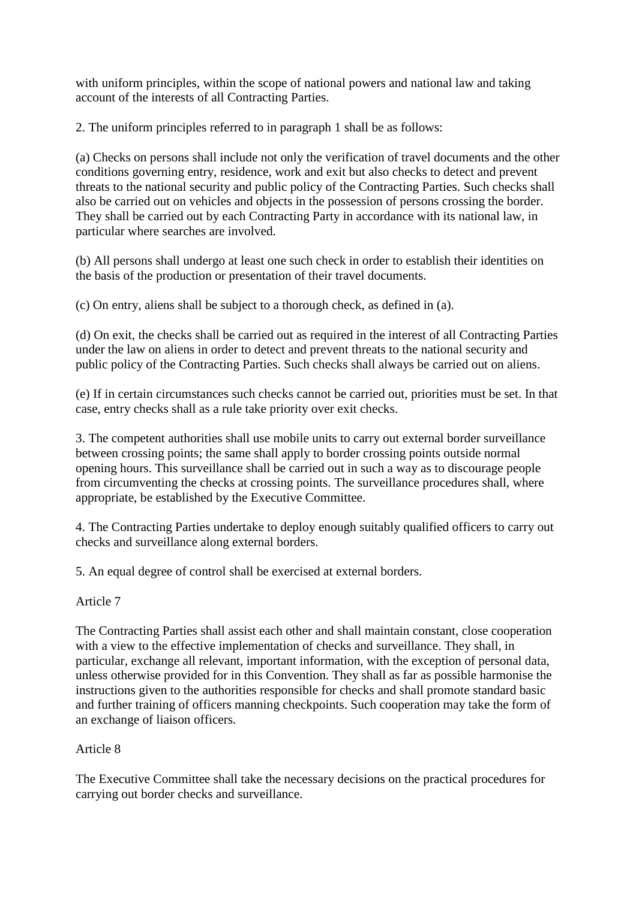with uniform principles, within the scope of national powers and national law and taking account of the interests of all Contracting Parties.

2. The uniform principles referred to in paragraph 1 shall be as follows:

(a) Checks on persons shall include not only the verification of travel documents and the other conditions governing entry, residence, work and exit but also checks to detect and prevent threats to the national security and public policy of the Contracting Parties. Such checks shall also be carried out on vehicles and objects in the possession of persons crossing the border. They shall be carried out by each Contracting Party in accordance with its national law, in particular where searches are involved.

(b) All persons shall undergo at least one such check in order to establish their identities on the basis of the production or presentation of their travel documents.

(c) On entry, aliens shall be subject to a thorough check, as defined in (a).

(d) On exit, the checks shall be carried out as required in the interest of all Contracting Parties under the law on aliens in order to detect and prevent threats to the national security and public policy of the Contracting Parties. Such checks shall always be carried out on aliens.

(e) If in certain circumstances such checks cannot be carried out, priorities must be set. In that case, entry checks shall as a rule take priority over exit checks.

3. The competent authorities shall use mobile units to carry out external border surveillance between crossing points; the same shall apply to border crossing points outside normal opening hours. This surveillance shall be carried out in such a way as to discourage people from circumventing the checks at crossing points. The surveillance procedures shall, where appropriate, be established by the Executive Committee.

4. The Contracting Parties undertake to deploy enough suitably qualified officers to carry out checks and surveillance along external borders.

5. An equal degree of control shall be exercised at external borders.

Article 7

The Contracting Parties shall assist each other and shall maintain constant, close cooperation with a view to the effective implementation of checks and surveillance. They shall, in particular, exchange all relevant, important information, with the exception of personal data, unless otherwise provided for in this Convention. They shall as far as possible harmonise the instructions given to the authorities responsible for checks and shall promote standard basic and further training of officers manning checkpoints. Such cooperation may take the form of an exchange of liaison officers.

# Article 8

The Executive Committee shall take the necessary decisions on the practical procedures for carrying out border checks and surveillance.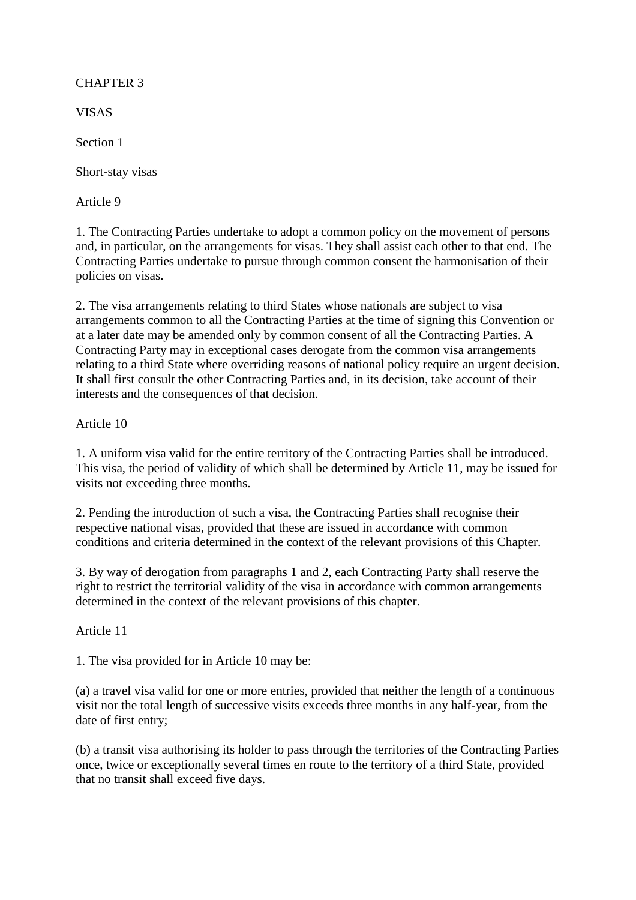## CHAPTER 3

VISAS

Section 1

Short-stay visas

Article 9

1. The Contracting Parties undertake to adopt a common policy on the movement of persons and, in particular, on the arrangements for visas. They shall assist each other to that end. The Contracting Parties undertake to pursue through common consent the harmonisation of their policies on visas.

2. The visa arrangements relating to third States whose nationals are subject to visa arrangements common to all the Contracting Parties at the time of signing this Convention or at a later date may be amended only by common consent of all the Contracting Parties. A Contracting Party may in exceptional cases derogate from the common visa arrangements relating to a third State where overriding reasons of national policy require an urgent decision. It shall first consult the other Contracting Parties and, in its decision, take account of their interests and the consequences of that decision.

## Article 10

1. A uniform visa valid for the entire territory of the Contracting Parties shall be introduced. This visa, the period of validity of which shall be determined by Article 11, may be issued for visits not exceeding three months.

2. Pending the introduction of such a visa, the Contracting Parties shall recognise their respective national visas, provided that these are issued in accordance with common conditions and criteria determined in the context of the relevant provisions of this Chapter.

3. By way of derogation from paragraphs 1 and 2, each Contracting Party shall reserve the right to restrict the territorial validity of the visa in accordance with common arrangements determined in the context of the relevant provisions of this chapter.

Article 11

1. The visa provided for in Article 10 may be:

(a) a travel visa valid for one or more entries, provided that neither the length of a continuous visit nor the total length of successive visits exceeds three months in any half-year, from the date of first entry;

(b) a transit visa authorising its holder to pass through the territories of the Contracting Parties once, twice or exceptionally several times en route to the territory of a third State, provided that no transit shall exceed five days.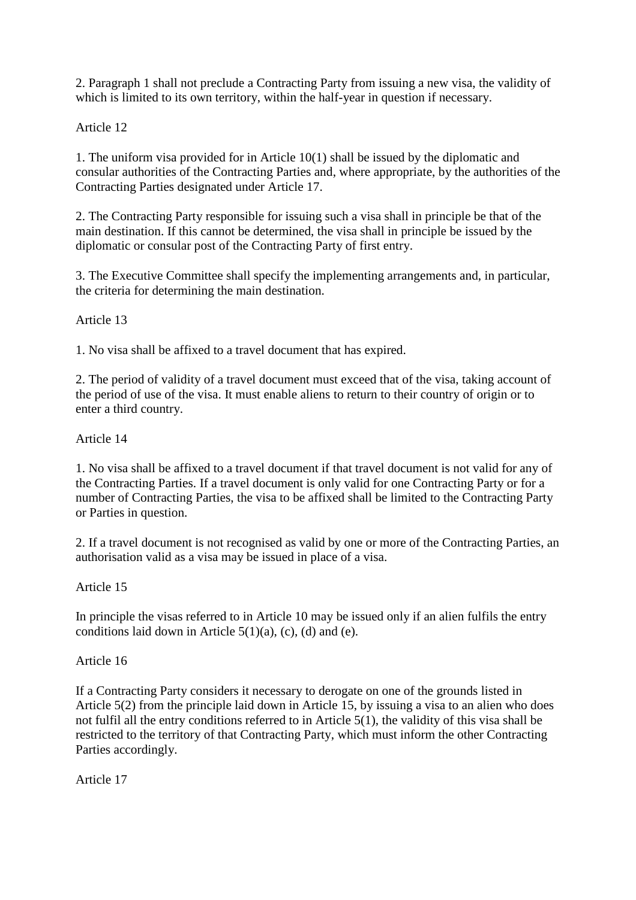2. Paragraph 1 shall not preclude a Contracting Party from issuing a new visa, the validity of which is limited to its own territory, within the half-year in question if necessary.

Article 12

1. The uniform visa provided for in Article 10(1) shall be issued by the diplomatic and consular authorities of the Contracting Parties and, where appropriate, by the authorities of the Contracting Parties designated under Article 17.

2. The Contracting Party responsible for issuing such a visa shall in principle be that of the main destination. If this cannot be determined, the visa shall in principle be issued by the diplomatic or consular post of the Contracting Party of first entry.

3. The Executive Committee shall specify the implementing arrangements and, in particular, the criteria for determining the main destination.

Article 13

1. No visa shall be affixed to a travel document that has expired.

2. The period of validity of a travel document must exceed that of the visa, taking account of the period of use of the visa. It must enable aliens to return to their country of origin or to enter a third country.

Article 14

1. No visa shall be affixed to a travel document if that travel document is not valid for any of the Contracting Parties. If a travel document is only valid for one Contracting Party or for a number of Contracting Parties, the visa to be affixed shall be limited to the Contracting Party or Parties in question.

2. If a travel document is not recognised as valid by one or more of the Contracting Parties, an authorisation valid as a visa may be issued in place of a visa.

Article 15

In principle the visas referred to in Article 10 may be issued only if an alien fulfils the entry conditions laid down in Article  $5(1)(a)$ , (c), (d) and (e).

Article 16

If a Contracting Party considers it necessary to derogate on one of the grounds listed in Article 5(2) from the principle laid down in Article 15, by issuing a visa to an alien who does not fulfil all the entry conditions referred to in Article 5(1), the validity of this visa shall be restricted to the territory of that Contracting Party, which must inform the other Contracting Parties accordingly.

Article 17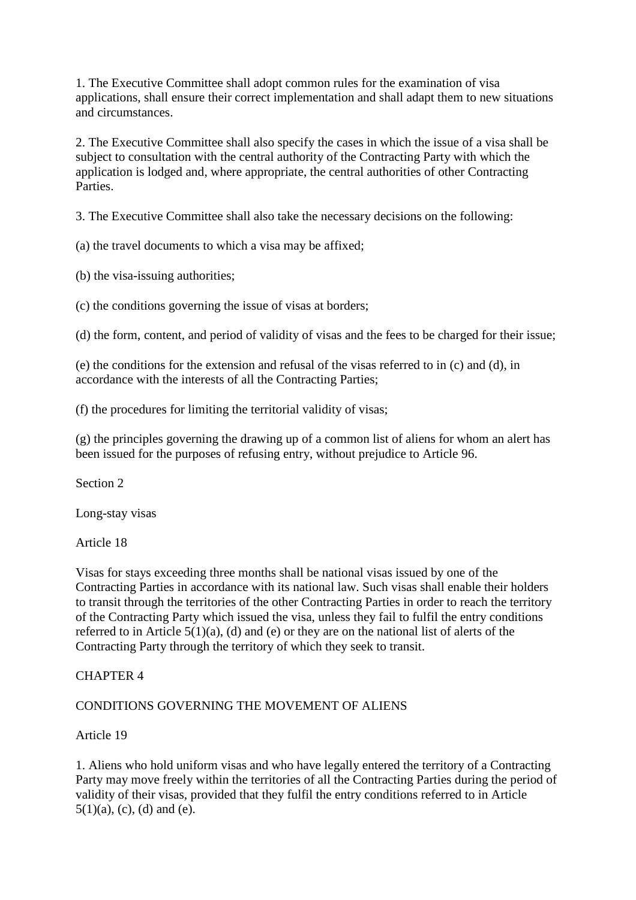1. The Executive Committee shall adopt common rules for the examination of visa applications, shall ensure their correct implementation and shall adapt them to new situations and circumstances.

2. The Executive Committee shall also specify the cases in which the issue of a visa shall be subject to consultation with the central authority of the Contracting Party with which the application is lodged and, where appropriate, the central authorities of other Contracting Parties.

3. The Executive Committee shall also take the necessary decisions on the following:

(a) the travel documents to which a visa may be affixed;

(b) the visa-issuing authorities;

(c) the conditions governing the issue of visas at borders;

(d) the form, content, and period of validity of visas and the fees to be charged for their issue;

(e) the conditions for the extension and refusal of the visas referred to in (c) and (d), in accordance with the interests of all the Contracting Parties;

(f) the procedures for limiting the territorial validity of visas;

(g) the principles governing the drawing up of a common list of aliens for whom an alert has been issued for the purposes of refusing entry, without prejudice to Article 96.

Section 2

Long-stay visas

Article 18

Visas for stays exceeding three months shall be national visas issued by one of the Contracting Parties in accordance with its national law. Such visas shall enable their holders to transit through the territories of the other Contracting Parties in order to reach the territory of the Contracting Party which issued the visa, unless they fail to fulfil the entry conditions referred to in Article  $5(1)(a)$ , (d) and (e) or they are on the national list of alerts of the Contracting Party through the territory of which they seek to transit.

#### CHAPTER 4

### CONDITIONS GOVERNING THE MOVEMENT OF ALIENS

Article 19

1. Aliens who hold uniform visas and who have legally entered the territory of a Contracting Party may move freely within the territories of all the Contracting Parties during the period of validity of their visas, provided that they fulfil the entry conditions referred to in Article  $5(1)(a)$ , (c), (d) and (e).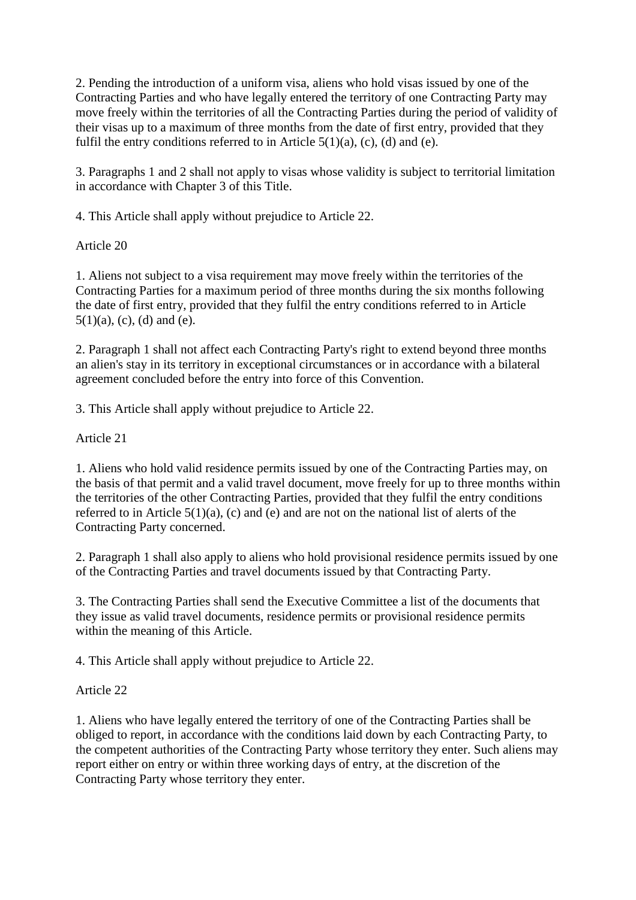2. Pending the introduction of a uniform visa, aliens who hold visas issued by one of the Contracting Parties and who have legally entered the territory of one Contracting Party may move freely within the territories of all the Contracting Parties during the period of validity of their visas up to a maximum of three months from the date of first entry, provided that they fulfil the entry conditions referred to in Article  $5(1)(a)$ , (c), (d) and (e).

3. Paragraphs 1 and 2 shall not apply to visas whose validity is subject to territorial limitation in accordance with Chapter 3 of this Title.

4. This Article shall apply without prejudice to Article 22.

Article 20

1. Aliens not subject to a visa requirement may move freely within the territories of the Contracting Parties for a maximum period of three months during the six months following the date of first entry, provided that they fulfil the entry conditions referred to in Article  $5(1)(a)$ , (c), (d) and (e).

2. Paragraph 1 shall not affect each Contracting Party's right to extend beyond three months an alien's stay in its territory in exceptional circumstances or in accordance with a bilateral agreement concluded before the entry into force of this Convention.

3. This Article shall apply without prejudice to Article 22.

Article 21

1. Aliens who hold valid residence permits issued by one of the Contracting Parties may, on the basis of that permit and a valid travel document, move freely for up to three months within the territories of the other Contracting Parties, provided that they fulfil the entry conditions referred to in Article  $5(1)(a)$ , (c) and (e) and are not on the national list of alerts of the Contracting Party concerned.

2. Paragraph 1 shall also apply to aliens who hold provisional residence permits issued by one of the Contracting Parties and travel documents issued by that Contracting Party.

3. The Contracting Parties shall send the Executive Committee a list of the documents that they issue as valid travel documents, residence permits or provisional residence permits within the meaning of this Article.

4. This Article shall apply without prejudice to Article 22.

Article 22

1. Aliens who have legally entered the territory of one of the Contracting Parties shall be obliged to report, in accordance with the conditions laid down by each Contracting Party, to the competent authorities of the Contracting Party whose territory they enter. Such aliens may report either on entry or within three working days of entry, at the discretion of the Contracting Party whose territory they enter.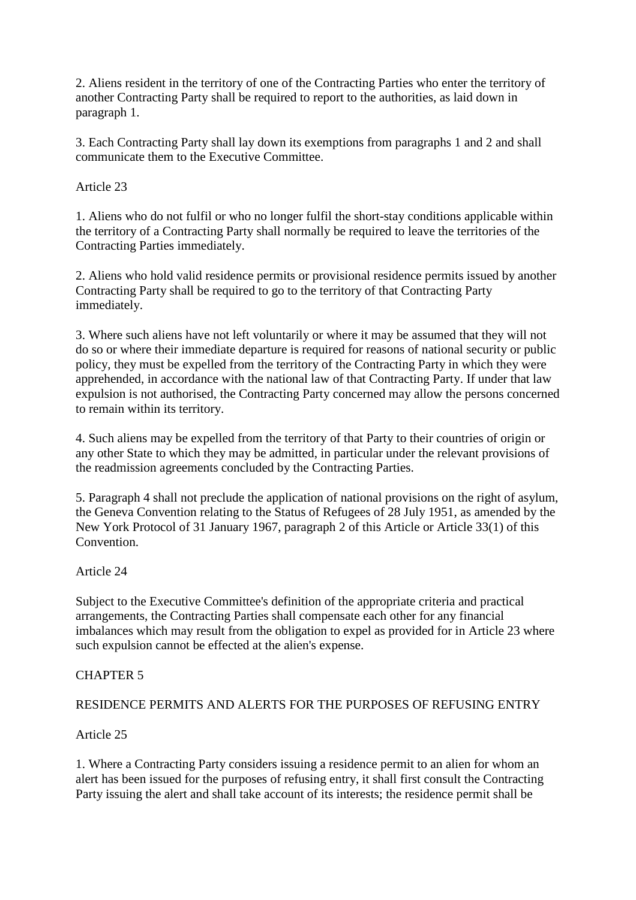2. Aliens resident in the territory of one of the Contracting Parties who enter the territory of another Contracting Party shall be required to report to the authorities, as laid down in paragraph 1.

3. Each Contracting Party shall lay down its exemptions from paragraphs 1 and 2 and shall communicate them to the Executive Committee.

## Article 23

1. Aliens who do not fulfil or who no longer fulfil the short-stay conditions applicable within the territory of a Contracting Party shall normally be required to leave the territories of the Contracting Parties immediately.

2. Aliens who hold valid residence permits or provisional residence permits issued by another Contracting Party shall be required to go to the territory of that Contracting Party immediately.

3. Where such aliens have not left voluntarily or where it may be assumed that they will not do so or where their immediate departure is required for reasons of national security or public policy, they must be expelled from the territory of the Contracting Party in which they were apprehended, in accordance with the national law of that Contracting Party. If under that law expulsion is not authorised, the Contracting Party concerned may allow the persons concerned to remain within its territory.

4. Such aliens may be expelled from the territory of that Party to their countries of origin or any other State to which they may be admitted, in particular under the relevant provisions of the readmission agreements concluded by the Contracting Parties.

5. Paragraph 4 shall not preclude the application of national provisions on the right of asylum, the Geneva Convention relating to the Status of Refugees of 28 July 1951, as amended by the New York Protocol of 31 January 1967, paragraph 2 of this Article or Article 33(1) of this **Convention** 

### Article 24

Subject to the Executive Committee's definition of the appropriate criteria and practical arrangements, the Contracting Parties shall compensate each other for any financial imbalances which may result from the obligation to expel as provided for in Article 23 where such expulsion cannot be effected at the alien's expense.

### CHAPTER 5

### RESIDENCE PERMITS AND ALERTS FOR THE PURPOSES OF REFUSING ENTRY

### Article 25

1. Where a Contracting Party considers issuing a residence permit to an alien for whom an alert has been issued for the purposes of refusing entry, it shall first consult the Contracting Party issuing the alert and shall take account of its interests; the residence permit shall be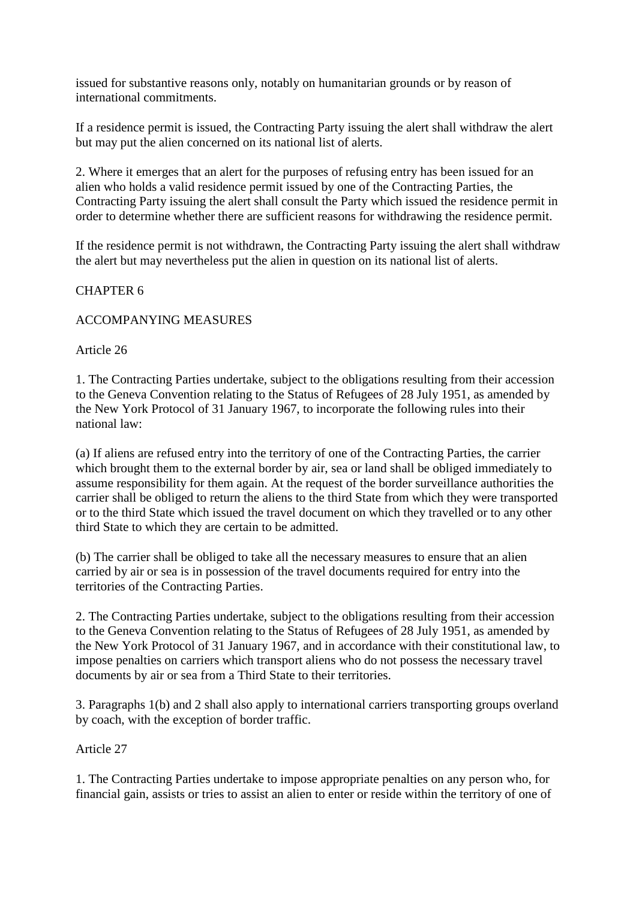issued for substantive reasons only, notably on humanitarian grounds or by reason of international commitments.

If a residence permit is issued, the Contracting Party issuing the alert shall withdraw the alert but may put the alien concerned on its national list of alerts.

2. Where it emerges that an alert for the purposes of refusing entry has been issued for an alien who holds a valid residence permit issued by one of the Contracting Parties, the Contracting Party issuing the alert shall consult the Party which issued the residence permit in order to determine whether there are sufficient reasons for withdrawing the residence permit.

If the residence permit is not withdrawn, the Contracting Party issuing the alert shall withdraw the alert but may nevertheless put the alien in question on its national list of alerts.

#### CHAPTER 6

#### ACCOMPANYING MEASURES

#### Article 26

1. The Contracting Parties undertake, subject to the obligations resulting from their accession to the Geneva Convention relating to the Status of Refugees of 28 July 1951, as amended by the New York Protocol of 31 January 1967, to incorporate the following rules into their national law:

(a) If aliens are refused entry into the territory of one of the Contracting Parties, the carrier which brought them to the external border by air, sea or land shall be obliged immediately to assume responsibility for them again. At the request of the border surveillance authorities the carrier shall be obliged to return the aliens to the third State from which they were transported or to the third State which issued the travel document on which they travelled or to any other third State to which they are certain to be admitted.

(b) The carrier shall be obliged to take all the necessary measures to ensure that an alien carried by air or sea is in possession of the travel documents required for entry into the territories of the Contracting Parties.

2. The Contracting Parties undertake, subject to the obligations resulting from their accession to the Geneva Convention relating to the Status of Refugees of 28 July 1951, as amended by the New York Protocol of 31 January 1967, and in accordance with their constitutional law, to impose penalties on carriers which transport aliens who do not possess the necessary travel documents by air or sea from a Third State to their territories.

3. Paragraphs 1(b) and 2 shall also apply to international carriers transporting groups overland by coach, with the exception of border traffic.

#### Article 27

1. The Contracting Parties undertake to impose appropriate penalties on any person who, for financial gain, assists or tries to assist an alien to enter or reside within the territory of one of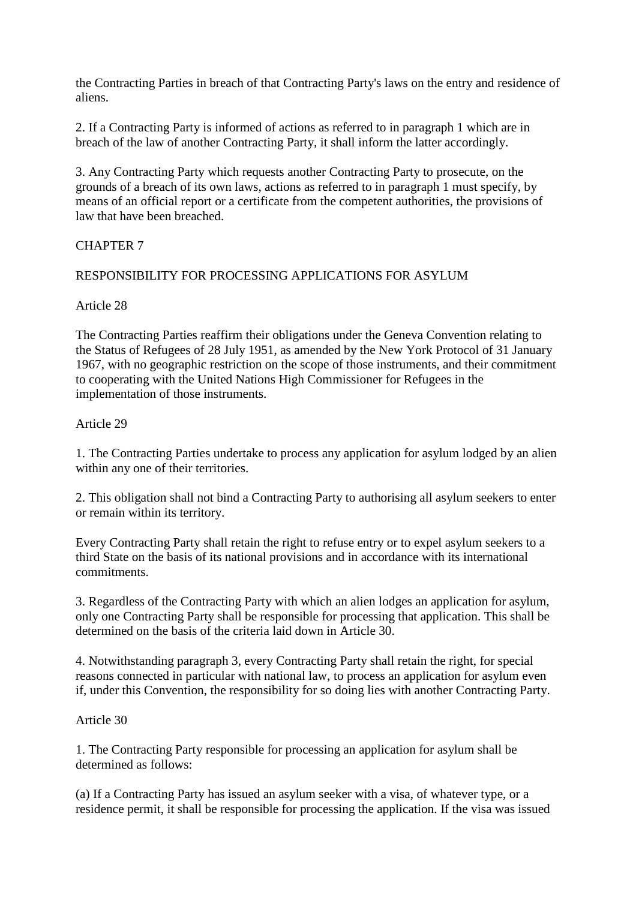the Contracting Parties in breach of that Contracting Party's laws on the entry and residence of aliens.

2. If a Contracting Party is informed of actions as referred to in paragraph 1 which are in breach of the law of another Contracting Party, it shall inform the latter accordingly.

3. Any Contracting Party which requests another Contracting Party to prosecute, on the grounds of a breach of its own laws, actions as referred to in paragraph 1 must specify, by means of an official report or a certificate from the competent authorities, the provisions of law that have been breached.

### CHAPTER 7

## RESPONSIBILITY FOR PROCESSING APPLICATIONS FOR ASYLUM

### Article 28

The Contracting Parties reaffirm their obligations under the Geneva Convention relating to the Status of Refugees of 28 July 1951, as amended by the New York Protocol of 31 January 1967, with no geographic restriction on the scope of those instruments, and their commitment to cooperating with the United Nations High Commissioner for Refugees in the implementation of those instruments.

## Article 29

1. The Contracting Parties undertake to process any application for asylum lodged by an alien within any one of their territories.

2. This obligation shall not bind a Contracting Party to authorising all asylum seekers to enter or remain within its territory.

Every Contracting Party shall retain the right to refuse entry or to expel asylum seekers to a third State on the basis of its national provisions and in accordance with its international commitments.

3. Regardless of the Contracting Party with which an alien lodges an application for asylum, only one Contracting Party shall be responsible for processing that application. This shall be determined on the basis of the criteria laid down in Article 30.

4. Notwithstanding paragraph 3, every Contracting Party shall retain the right, for special reasons connected in particular with national law, to process an application for asylum even if, under this Convention, the responsibility for so doing lies with another Contracting Party.

### Article 30

1. The Contracting Party responsible for processing an application for asylum shall be determined as follows:

(a) If a Contracting Party has issued an asylum seeker with a visa, of whatever type, or a residence permit, it shall be responsible for processing the application. If the visa was issued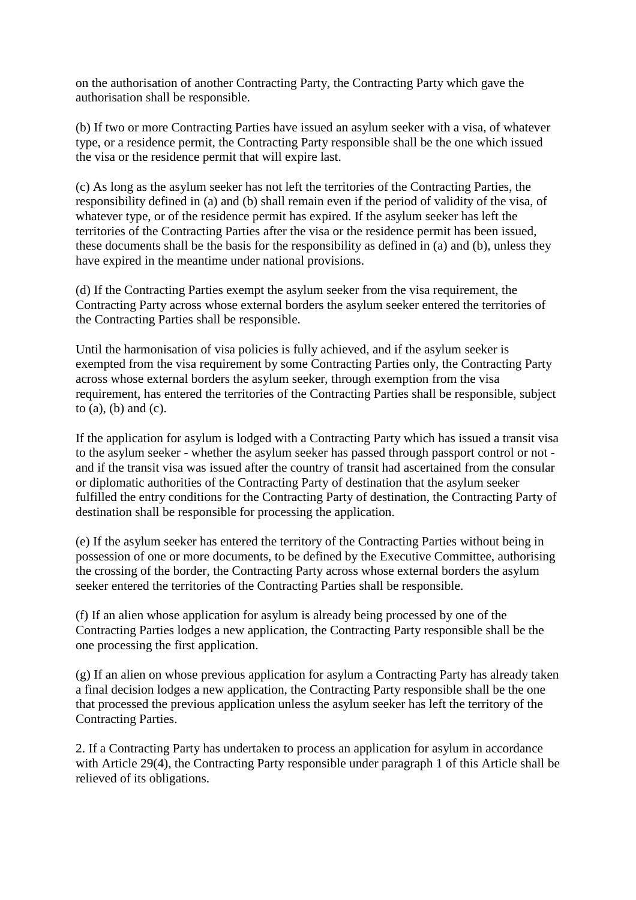on the authorisation of another Contracting Party, the Contracting Party which gave the authorisation shall be responsible.

(b) If two or more Contracting Parties have issued an asylum seeker with a visa, of whatever type, or a residence permit, the Contracting Party responsible shall be the one which issued the visa or the residence permit that will expire last.

(c) As long as the asylum seeker has not left the territories of the Contracting Parties, the responsibility defined in (a) and (b) shall remain even if the period of validity of the visa, of whatever type, or of the residence permit has expired. If the asylum seeker has left the territories of the Contracting Parties after the visa or the residence permit has been issued, these documents shall be the basis for the responsibility as defined in (a) and (b), unless they have expired in the meantime under national provisions.

(d) If the Contracting Parties exempt the asylum seeker from the visa requirement, the Contracting Party across whose external borders the asylum seeker entered the territories of the Contracting Parties shall be responsible.

Until the harmonisation of visa policies is fully achieved, and if the asylum seeker is exempted from the visa requirement by some Contracting Parties only, the Contracting Party across whose external borders the asylum seeker, through exemption from the visa requirement, has entered the territories of the Contracting Parties shall be responsible, subject to  $(a)$ ,  $(b)$  and  $(c)$ .

If the application for asylum is lodged with a Contracting Party which has issued a transit visa to the asylum seeker - whether the asylum seeker has passed through passport control or not and if the transit visa was issued after the country of transit had ascertained from the consular or diplomatic authorities of the Contracting Party of destination that the asylum seeker fulfilled the entry conditions for the Contracting Party of destination, the Contracting Party of destination shall be responsible for processing the application.

(e) If the asylum seeker has entered the territory of the Contracting Parties without being in possession of one or more documents, to be defined by the Executive Committee, authorising the crossing of the border, the Contracting Party across whose external borders the asylum seeker entered the territories of the Contracting Parties shall be responsible.

(f) If an alien whose application for asylum is already being processed by one of the Contracting Parties lodges a new application, the Contracting Party responsible shall be the one processing the first application.

(g) If an alien on whose previous application for asylum a Contracting Party has already taken a final decision lodges a new application, the Contracting Party responsible shall be the one that processed the previous application unless the asylum seeker has left the territory of the Contracting Parties.

2. If a Contracting Party has undertaken to process an application for asylum in accordance with Article 29(4), the Contracting Party responsible under paragraph 1 of this Article shall be relieved of its obligations.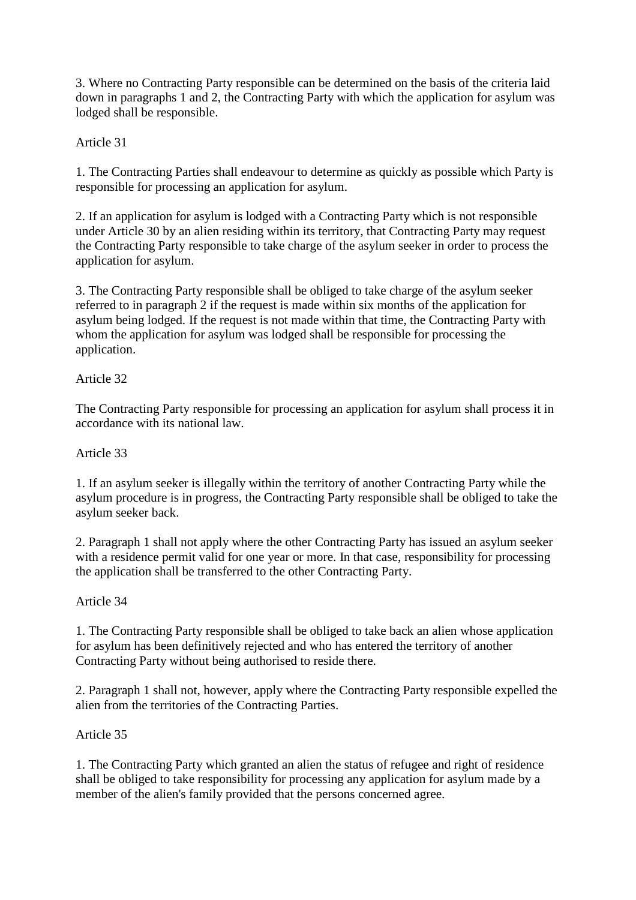3. Where no Contracting Party responsible can be determined on the basis of the criteria laid down in paragraphs 1 and 2, the Contracting Party with which the application for asylum was lodged shall be responsible.

Article 31

1. The Contracting Parties shall endeavour to determine as quickly as possible which Party is responsible for processing an application for asylum.

2. If an application for asylum is lodged with a Contracting Party which is not responsible under Article 30 by an alien residing within its territory, that Contracting Party may request the Contracting Party responsible to take charge of the asylum seeker in order to process the application for asylum.

3. The Contracting Party responsible shall be obliged to take charge of the asylum seeker referred to in paragraph 2 if the request is made within six months of the application for asylum being lodged. If the request is not made within that time, the Contracting Party with whom the application for asylum was lodged shall be responsible for processing the application.

Article 32

The Contracting Party responsible for processing an application for asylum shall process it in accordance with its national law.

Article 33

1. If an asylum seeker is illegally within the territory of another Contracting Party while the asylum procedure is in progress, the Contracting Party responsible shall be obliged to take the asylum seeker back.

2. Paragraph 1 shall not apply where the other Contracting Party has issued an asylum seeker with a residence permit valid for one year or more. In that case, responsibility for processing the application shall be transferred to the other Contracting Party.

Article 34

1. The Contracting Party responsible shall be obliged to take back an alien whose application for asylum has been definitively rejected and who has entered the territory of another Contracting Party without being authorised to reside there.

2. Paragraph 1 shall not, however, apply where the Contracting Party responsible expelled the alien from the territories of the Contracting Parties.

Article 35

1. The Contracting Party which granted an alien the status of refugee and right of residence shall be obliged to take responsibility for processing any application for asylum made by a member of the alien's family provided that the persons concerned agree.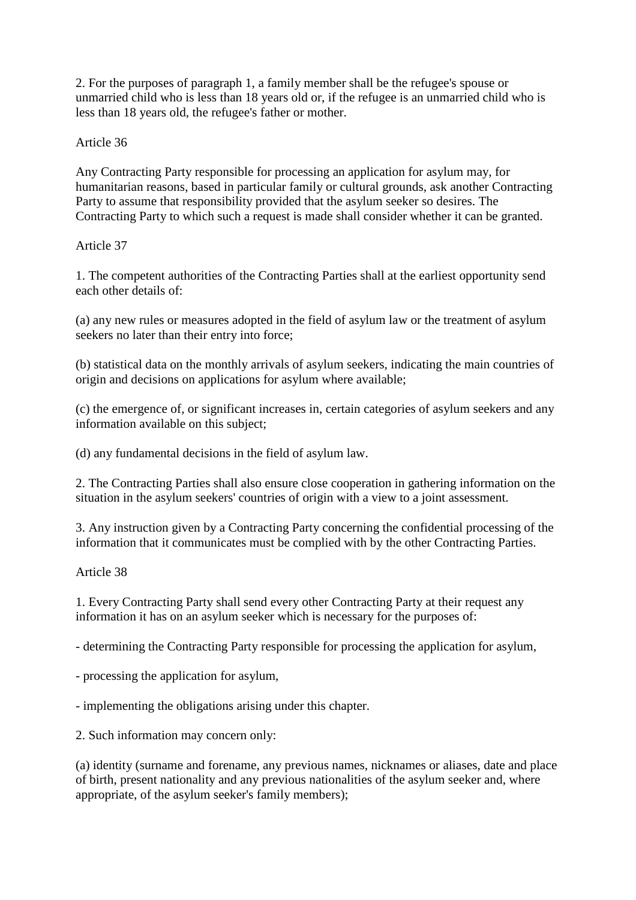2. For the purposes of paragraph 1, a family member shall be the refugee's spouse or unmarried child who is less than 18 years old or, if the refugee is an unmarried child who is less than 18 years old, the refugee's father or mother.

#### Article 36

Any Contracting Party responsible for processing an application for asylum may, for humanitarian reasons, based in particular family or cultural grounds, ask another Contracting Party to assume that responsibility provided that the asylum seeker so desires. The Contracting Party to which such a request is made shall consider whether it can be granted.

#### Article 37

1. The competent authorities of the Contracting Parties shall at the earliest opportunity send each other details of:

(a) any new rules or measures adopted in the field of asylum law or the treatment of asylum seekers no later than their entry into force;

(b) statistical data on the monthly arrivals of asylum seekers, indicating the main countries of origin and decisions on applications for asylum where available;

(c) the emergence of, or significant increases in, certain categories of asylum seekers and any information available on this subject;

(d) any fundamental decisions in the field of asylum law.

2. The Contracting Parties shall also ensure close cooperation in gathering information on the situation in the asylum seekers' countries of origin with a view to a joint assessment.

3. Any instruction given by a Contracting Party concerning the confidential processing of the information that it communicates must be complied with by the other Contracting Parties.

### Article 38

1. Every Contracting Party shall send every other Contracting Party at their request any information it has on an asylum seeker which is necessary for the purposes of:

- determining the Contracting Party responsible for processing the application for asylum,

- processing the application for asylum,
- implementing the obligations arising under this chapter.
- 2. Such information may concern only:

(a) identity (surname and forename, any previous names, nicknames or aliases, date and place of birth, present nationality and any previous nationalities of the asylum seeker and, where appropriate, of the asylum seeker's family members);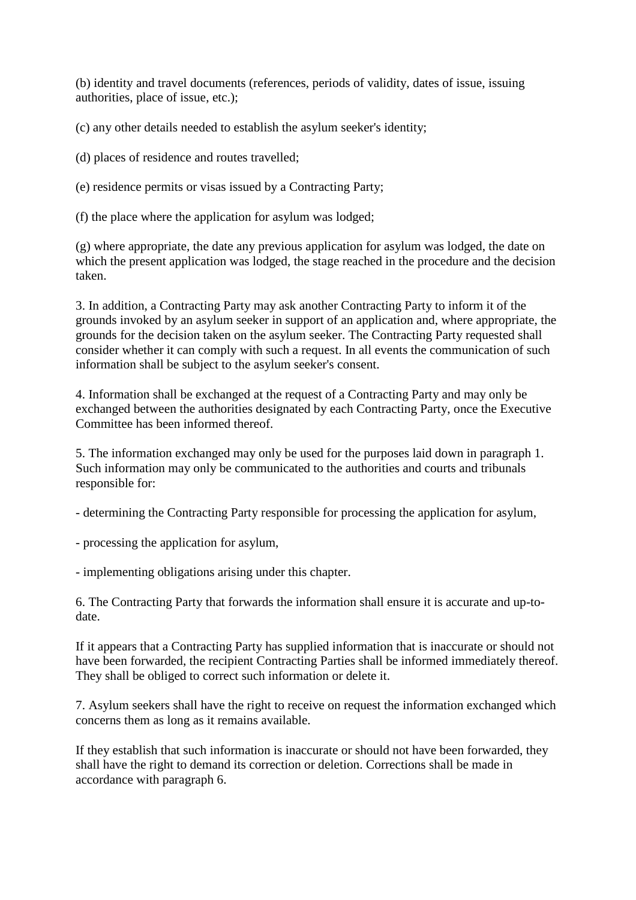(b) identity and travel documents (references, periods of validity, dates of issue, issuing authorities, place of issue, etc.);

(c) any other details needed to establish the asylum seeker's identity;

(d) places of residence and routes travelled;

(e) residence permits or visas issued by a Contracting Party;

(f) the place where the application for asylum was lodged;

(g) where appropriate, the date any previous application for asylum was lodged, the date on which the present application was lodged, the stage reached in the procedure and the decision taken.

3. In addition, a Contracting Party may ask another Contracting Party to inform it of the grounds invoked by an asylum seeker in support of an application and, where appropriate, the grounds for the decision taken on the asylum seeker. The Contracting Party requested shall consider whether it can comply with such a request. In all events the communication of such information shall be subject to the asylum seeker's consent.

4. Information shall be exchanged at the request of a Contracting Party and may only be exchanged between the authorities designated by each Contracting Party, once the Executive Committee has been informed thereof.

5. The information exchanged may only be used for the purposes laid down in paragraph 1. Such information may only be communicated to the authorities and courts and tribunals responsible for:

- determining the Contracting Party responsible for processing the application for asylum,

- processing the application for asylum,

- implementing obligations arising under this chapter.

6. The Contracting Party that forwards the information shall ensure it is accurate and up-todate.

If it appears that a Contracting Party has supplied information that is inaccurate or should not have been forwarded, the recipient Contracting Parties shall be informed immediately thereof. They shall be obliged to correct such information or delete it.

7. Asylum seekers shall have the right to receive on request the information exchanged which concerns them as long as it remains available.

If they establish that such information is inaccurate or should not have been forwarded, they shall have the right to demand its correction or deletion. Corrections shall be made in accordance with paragraph 6.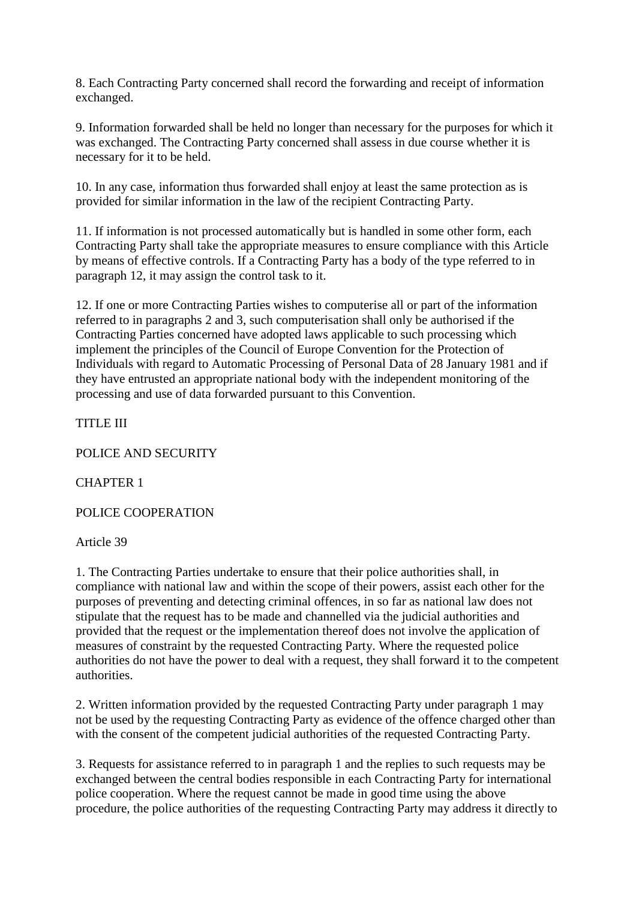8. Each Contracting Party concerned shall record the forwarding and receipt of information exchanged.

9. Information forwarded shall be held no longer than necessary for the purposes for which it was exchanged. The Contracting Party concerned shall assess in due course whether it is necessary for it to be held.

10. In any case, information thus forwarded shall enjoy at least the same protection as is provided for similar information in the law of the recipient Contracting Party.

11. If information is not processed automatically but is handled in some other form, each Contracting Party shall take the appropriate measures to ensure compliance with this Article by means of effective controls. If a Contracting Party has a body of the type referred to in paragraph 12, it may assign the control task to it.

12. If one or more Contracting Parties wishes to computerise all or part of the information referred to in paragraphs 2 and 3, such computerisation shall only be authorised if the Contracting Parties concerned have adopted laws applicable to such processing which implement the principles of the Council of Europe Convention for the Protection of Individuals with regard to Automatic Processing of Personal Data of 28 January 1981 and if they have entrusted an appropriate national body with the independent monitoring of the processing and use of data forwarded pursuant to this Convention.

TITLE III

POLICE AND SECURITY

CHAPTER 1

POLICE COOPERATION

Article 39

1. The Contracting Parties undertake to ensure that their police authorities shall, in compliance with national law and within the scope of their powers, assist each other for the purposes of preventing and detecting criminal offences, in so far as national law does not stipulate that the request has to be made and channelled via the judicial authorities and provided that the request or the implementation thereof does not involve the application of measures of constraint by the requested Contracting Party. Where the requested police authorities do not have the power to deal with a request, they shall forward it to the competent authorities.

2. Written information provided by the requested Contracting Party under paragraph 1 may not be used by the requesting Contracting Party as evidence of the offence charged other than with the consent of the competent judicial authorities of the requested Contracting Party.

3. Requests for assistance referred to in paragraph 1 and the replies to such requests may be exchanged between the central bodies responsible in each Contracting Party for international police cooperation. Where the request cannot be made in good time using the above procedure, the police authorities of the requesting Contracting Party may address it directly to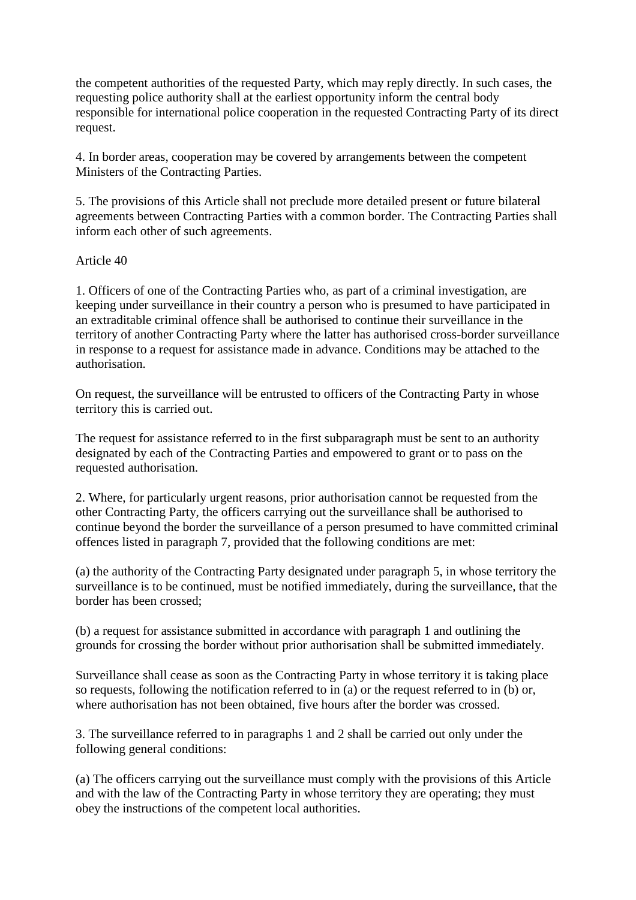the competent authorities of the requested Party, which may reply directly. In such cases, the requesting police authority shall at the earliest opportunity inform the central body responsible for international police cooperation in the requested Contracting Party of its direct request.

4. In border areas, cooperation may be covered by arrangements between the competent Ministers of the Contracting Parties.

5. The provisions of this Article shall not preclude more detailed present or future bilateral agreements between Contracting Parties with a common border. The Contracting Parties shall inform each other of such agreements.

#### Article 40

1. Officers of one of the Contracting Parties who, as part of a criminal investigation, are keeping under surveillance in their country a person who is presumed to have participated in an extraditable criminal offence shall be authorised to continue their surveillance in the territory of another Contracting Party where the latter has authorised cross-border surveillance in response to a request for assistance made in advance. Conditions may be attached to the authorisation.

On request, the surveillance will be entrusted to officers of the Contracting Party in whose territory this is carried out.

The request for assistance referred to in the first subparagraph must be sent to an authority designated by each of the Contracting Parties and empowered to grant or to pass on the requested authorisation.

2. Where, for particularly urgent reasons, prior authorisation cannot be requested from the other Contracting Party, the officers carrying out the surveillance shall be authorised to continue beyond the border the surveillance of a person presumed to have committed criminal offences listed in paragraph 7, provided that the following conditions are met:

(a) the authority of the Contracting Party designated under paragraph 5, in whose territory the surveillance is to be continued, must be notified immediately, during the surveillance, that the border has been crossed;

(b) a request for assistance submitted in accordance with paragraph 1 and outlining the grounds for crossing the border without prior authorisation shall be submitted immediately.

Surveillance shall cease as soon as the Contracting Party in whose territory it is taking place so requests, following the notification referred to in (a) or the request referred to in (b) or, where authorisation has not been obtained, five hours after the border was crossed.

3. The surveillance referred to in paragraphs 1 and 2 shall be carried out only under the following general conditions:

(a) The officers carrying out the surveillance must comply with the provisions of this Article and with the law of the Contracting Party in whose territory they are operating; they must obey the instructions of the competent local authorities.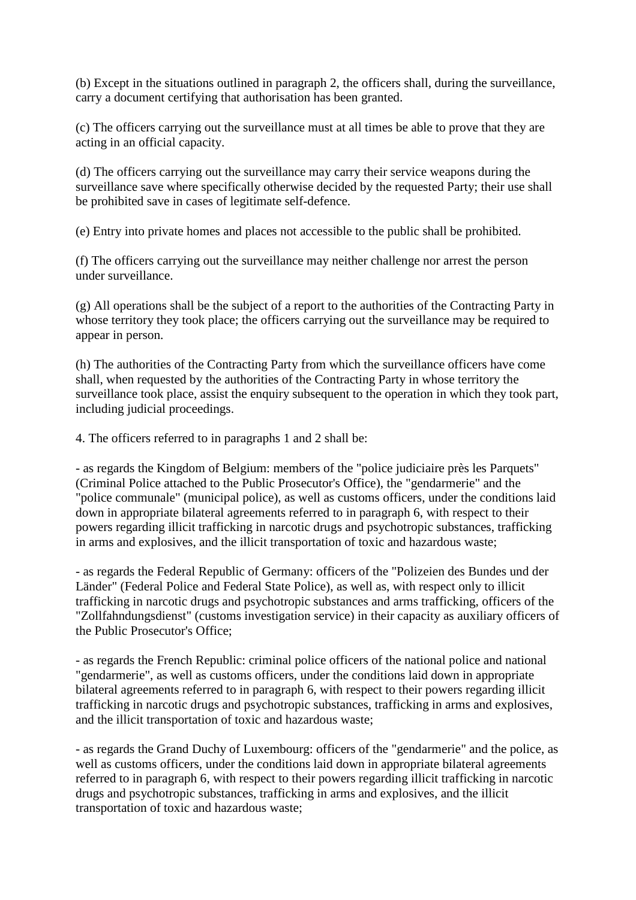(b) Except in the situations outlined in paragraph 2, the officers shall, during the surveillance, carry a document certifying that authorisation has been granted.

(c) The officers carrying out the surveillance must at all times be able to prove that they are acting in an official capacity.

(d) The officers carrying out the surveillance may carry their service weapons during the surveillance save where specifically otherwise decided by the requested Party; their use shall be prohibited save in cases of legitimate self-defence.

(e) Entry into private homes and places not accessible to the public shall be prohibited.

(f) The officers carrying out the surveillance may neither challenge nor arrest the person under surveillance.

(g) All operations shall be the subject of a report to the authorities of the Contracting Party in whose territory they took place; the officers carrying out the surveillance may be required to appear in person.

(h) The authorities of the Contracting Party from which the surveillance officers have come shall, when requested by the authorities of the Contracting Party in whose territory the surveillance took place, assist the enquiry subsequent to the operation in which they took part, including judicial proceedings.

4. The officers referred to in paragraphs 1 and 2 shall be:

- as regards the Kingdom of Belgium: members of the "police judiciaire près les Parquets" (Criminal Police attached to the Public Prosecutor's Office), the "gendarmerie" and the "police communale" (municipal police), as well as customs officers, under the conditions laid down in appropriate bilateral agreements referred to in paragraph 6, with respect to their powers regarding illicit trafficking in narcotic drugs and psychotropic substances, trafficking in arms and explosives, and the illicit transportation of toxic and hazardous waste;

- as regards the Federal Republic of Germany: officers of the "Polizeien des Bundes und der Länder" (Federal Police and Federal State Police), as well as, with respect only to illicit trafficking in narcotic drugs and psychotropic substances and arms trafficking, officers of the "Zollfahndungsdienst" (customs investigation service) in their capacity as auxiliary officers of the Public Prosecutor's Office;

- as regards the French Republic: criminal police officers of the national police and national "gendarmerie", as well as customs officers, under the conditions laid down in appropriate bilateral agreements referred to in paragraph 6, with respect to their powers regarding illicit trafficking in narcotic drugs and psychotropic substances, trafficking in arms and explosives, and the illicit transportation of toxic and hazardous waste;

- as regards the Grand Duchy of Luxembourg: officers of the "gendarmerie" and the police, as well as customs officers, under the conditions laid down in appropriate bilateral agreements referred to in paragraph 6, with respect to their powers regarding illicit trafficking in narcotic drugs and psychotropic substances, trafficking in arms and explosives, and the illicit transportation of toxic and hazardous waste;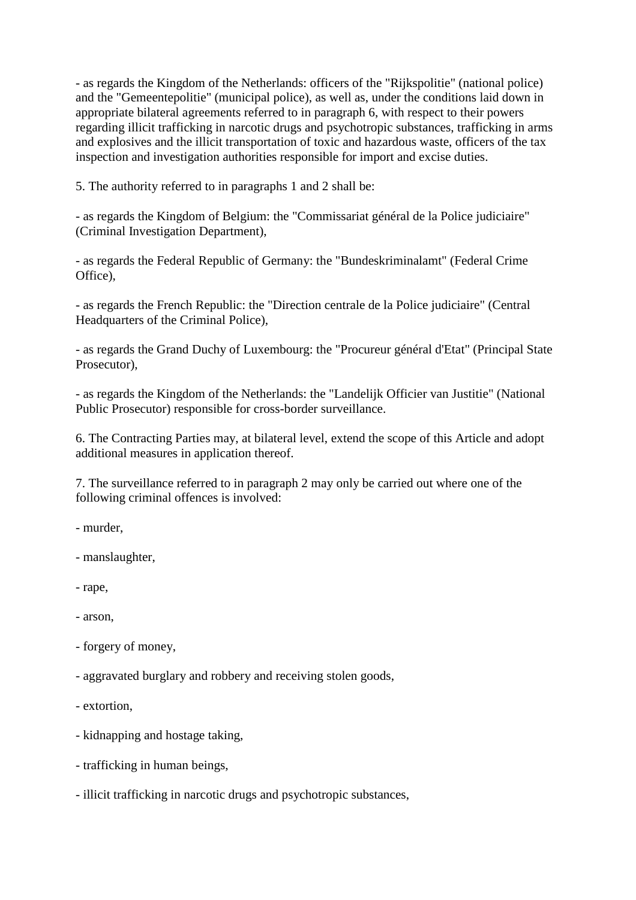- as regards the Kingdom of the Netherlands: officers of the "Rijkspolitie" (national police) and the "Gemeentepolitie" (municipal police), as well as, under the conditions laid down in appropriate bilateral agreements referred to in paragraph 6, with respect to their powers regarding illicit trafficking in narcotic drugs and psychotropic substances, trafficking in arms and explosives and the illicit transportation of toxic and hazardous waste, officers of the tax inspection and investigation authorities responsible for import and excise duties.

5. The authority referred to in paragraphs 1 and 2 shall be:

- as regards the Kingdom of Belgium: the "Commissariat général de la Police judiciaire" (Criminal Investigation Department),

- as regards the Federal Republic of Germany: the "Bundeskriminalamt" (Federal Crime Office),

- as regards the French Republic: the "Direction centrale de la Police judiciaire" (Central Headquarters of the Criminal Police),

- as regards the Grand Duchy of Luxembourg: the "Procureur général d'Etat" (Principal State Prosecutor),

- as regards the Kingdom of the Netherlands: the "Landelijk Officier van Justitie" (National Public Prosecutor) responsible for cross-border surveillance.

6. The Contracting Parties may, at bilateral level, extend the scope of this Article and adopt additional measures in application thereof.

7. The surveillance referred to in paragraph 2 may only be carried out where one of the following criminal offences is involved:

- murder,
- manslaughter,
- rape,
- arson,
- forgery of money,
- aggravated burglary and robbery and receiving stolen goods,
- extortion,
- kidnapping and hostage taking,
- trafficking in human beings,
- illicit trafficking in narcotic drugs and psychotropic substances,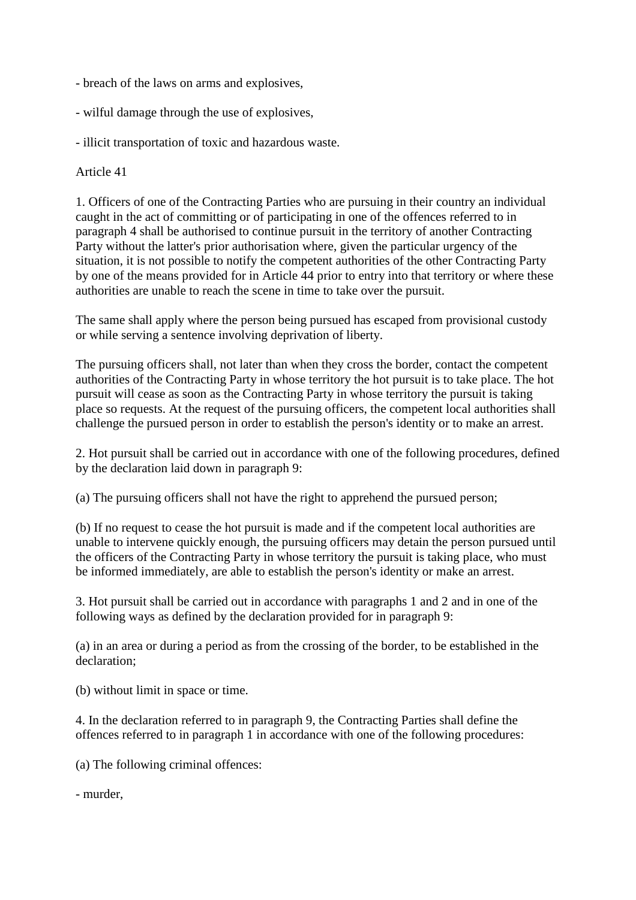- breach of the laws on arms and explosives,
- wilful damage through the use of explosives,
- illicit transportation of toxic and hazardous waste.

Article 41

1. Officers of one of the Contracting Parties who are pursuing in their country an individual caught in the act of committing or of participating in one of the offences referred to in paragraph 4 shall be authorised to continue pursuit in the territory of another Contracting Party without the latter's prior authorisation where, given the particular urgency of the situation, it is not possible to notify the competent authorities of the other Contracting Party by one of the means provided for in Article 44 prior to entry into that territory or where these authorities are unable to reach the scene in time to take over the pursuit.

The same shall apply where the person being pursued has escaped from provisional custody or while serving a sentence involving deprivation of liberty.

The pursuing officers shall, not later than when they cross the border, contact the competent authorities of the Contracting Party in whose territory the hot pursuit is to take place. The hot pursuit will cease as soon as the Contracting Party in whose territory the pursuit is taking place so requests. At the request of the pursuing officers, the competent local authorities shall challenge the pursued person in order to establish the person's identity or to make an arrest.

2. Hot pursuit shall be carried out in accordance with one of the following procedures, defined by the declaration laid down in paragraph 9:

(a) The pursuing officers shall not have the right to apprehend the pursued person;

(b) If no request to cease the hot pursuit is made and if the competent local authorities are unable to intervene quickly enough, the pursuing officers may detain the person pursued until the officers of the Contracting Party in whose territory the pursuit is taking place, who must be informed immediately, are able to establish the person's identity or make an arrest.

3. Hot pursuit shall be carried out in accordance with paragraphs 1 and 2 and in one of the following ways as defined by the declaration provided for in paragraph 9:

(a) in an area or during a period as from the crossing of the border, to be established in the declaration;

(b) without limit in space or time.

4. In the declaration referred to in paragraph 9, the Contracting Parties shall define the offences referred to in paragraph 1 in accordance with one of the following procedures:

(a) The following criminal offences:

- murder,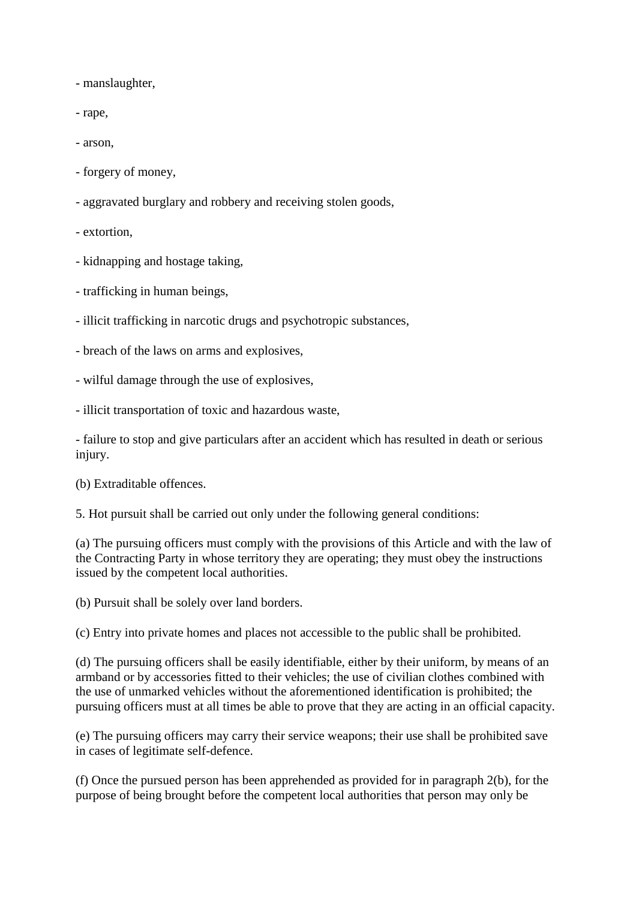- manslaughter,

- rape,
- arson,
- forgery of money,
- aggravated burglary and robbery and receiving stolen goods,
- extortion,
- kidnapping and hostage taking,
- trafficking in human beings,
- illicit trafficking in narcotic drugs and psychotropic substances,
- breach of the laws on arms and explosives,
- wilful damage through the use of explosives,
- illicit transportation of toxic and hazardous waste,

- failure to stop and give particulars after an accident which has resulted in death or serious injury.

(b) Extraditable offences.

5. Hot pursuit shall be carried out only under the following general conditions:

(a) The pursuing officers must comply with the provisions of this Article and with the law of the Contracting Party in whose territory they are operating; they must obey the instructions issued by the competent local authorities.

(b) Pursuit shall be solely over land borders.

(c) Entry into private homes and places not accessible to the public shall be prohibited.

(d) The pursuing officers shall be easily identifiable, either by their uniform, by means of an armband or by accessories fitted to their vehicles; the use of civilian clothes combined with the use of unmarked vehicles without the aforementioned identification is prohibited; the pursuing officers must at all times be able to prove that they are acting in an official capacity.

(e) The pursuing officers may carry their service weapons; their use shall be prohibited save in cases of legitimate self-defence.

(f) Once the pursued person has been apprehended as provided for in paragraph 2(b), for the purpose of being brought before the competent local authorities that person may only be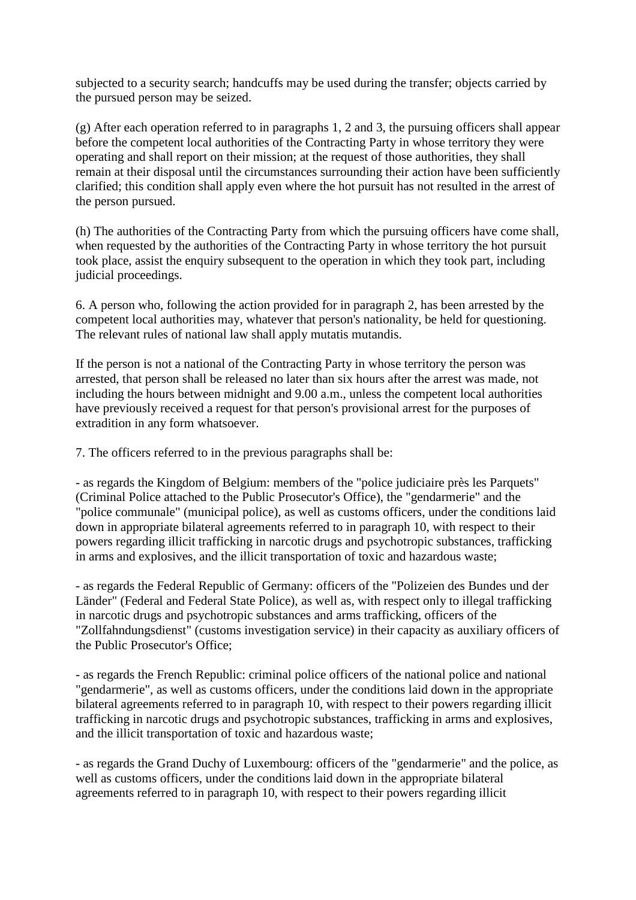subjected to a security search; handcuffs may be used during the transfer; objects carried by the pursued person may be seized.

(g) After each operation referred to in paragraphs 1, 2 and 3, the pursuing officers shall appear before the competent local authorities of the Contracting Party in whose territory they were operating and shall report on their mission; at the request of those authorities, they shall remain at their disposal until the circumstances surrounding their action have been sufficiently clarified; this condition shall apply even where the hot pursuit has not resulted in the arrest of the person pursued.

(h) The authorities of the Contracting Party from which the pursuing officers have come shall, when requested by the authorities of the Contracting Party in whose territory the hot pursuit took place, assist the enquiry subsequent to the operation in which they took part, including judicial proceedings.

6. A person who, following the action provided for in paragraph 2, has been arrested by the competent local authorities may, whatever that person's nationality, be held for questioning. The relevant rules of national law shall apply mutatis mutandis.

If the person is not a national of the Contracting Party in whose territory the person was arrested, that person shall be released no later than six hours after the arrest was made, not including the hours between midnight and 9.00 a.m., unless the competent local authorities have previously received a request for that person's provisional arrest for the purposes of extradition in any form whatsoever.

7. The officers referred to in the previous paragraphs shall be:

- as regards the Kingdom of Belgium: members of the "police judiciaire près les Parquets" (Criminal Police attached to the Public Prosecutor's Office), the "gendarmerie" and the "police communale" (municipal police), as well as customs officers, under the conditions laid down in appropriate bilateral agreements referred to in paragraph 10, with respect to their powers regarding illicit trafficking in narcotic drugs and psychotropic substances, trafficking in arms and explosives, and the illicit transportation of toxic and hazardous waste;

- as regards the Federal Republic of Germany: officers of the "Polizeien des Bundes und der Länder" (Federal and Federal State Police), as well as, with respect only to illegal trafficking in narcotic drugs and psychotropic substances and arms trafficking, officers of the "Zollfahndungsdienst" (customs investigation service) in their capacity as auxiliary officers of the Public Prosecutor's Office;

- as regards the French Republic: criminal police officers of the national police and national "gendarmerie", as well as customs officers, under the conditions laid down in the appropriate bilateral agreements referred to in paragraph 10, with respect to their powers regarding illicit trafficking in narcotic drugs and psychotropic substances, trafficking in arms and explosives, and the illicit transportation of toxic and hazardous waste;

- as regards the Grand Duchy of Luxembourg: officers of the "gendarmerie" and the police, as well as customs officers, under the conditions laid down in the appropriate bilateral agreements referred to in paragraph 10, with respect to their powers regarding illicit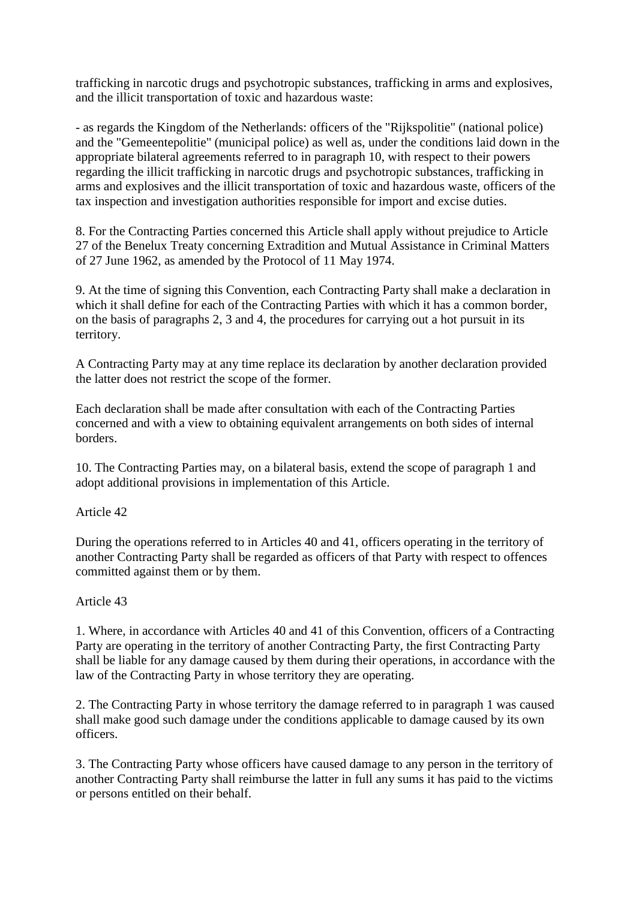trafficking in narcotic drugs and psychotropic substances, trafficking in arms and explosives, and the illicit transportation of toxic and hazardous waste:

- as regards the Kingdom of the Netherlands: officers of the "Rijkspolitie" (national police) and the "Gemeentepolitie" (municipal police) as well as, under the conditions laid down in the appropriate bilateral agreements referred to in paragraph 10, with respect to their powers regarding the illicit trafficking in narcotic drugs and psychotropic substances, trafficking in arms and explosives and the illicit transportation of toxic and hazardous waste, officers of the tax inspection and investigation authorities responsible for import and excise duties.

8. For the Contracting Parties concerned this Article shall apply without prejudice to Article 27 of the Benelux Treaty concerning Extradition and Mutual Assistance in Criminal Matters of 27 June 1962, as amended by the Protocol of 11 May 1974.

9. At the time of signing this Convention, each Contracting Party shall make a declaration in which it shall define for each of the Contracting Parties with which it has a common border, on the basis of paragraphs 2, 3 and 4, the procedures for carrying out a hot pursuit in its territory.

A Contracting Party may at any time replace its declaration by another declaration provided the latter does not restrict the scope of the former.

Each declaration shall be made after consultation with each of the Contracting Parties concerned and with a view to obtaining equivalent arrangements on both sides of internal borders.

10. The Contracting Parties may, on a bilateral basis, extend the scope of paragraph 1 and adopt additional provisions in implementation of this Article.

Article 42

During the operations referred to in Articles 40 and 41, officers operating in the territory of another Contracting Party shall be regarded as officers of that Party with respect to offences committed against them or by them.

### Article 43

1. Where, in accordance with Articles 40 and 41 of this Convention, officers of a Contracting Party are operating in the territory of another Contracting Party, the first Contracting Party shall be liable for any damage caused by them during their operations, in accordance with the law of the Contracting Party in whose territory they are operating.

2. The Contracting Party in whose territory the damage referred to in paragraph 1 was caused shall make good such damage under the conditions applicable to damage caused by its own officers.

3. The Contracting Party whose officers have caused damage to any person in the territory of another Contracting Party shall reimburse the latter in full any sums it has paid to the victims or persons entitled on their behalf.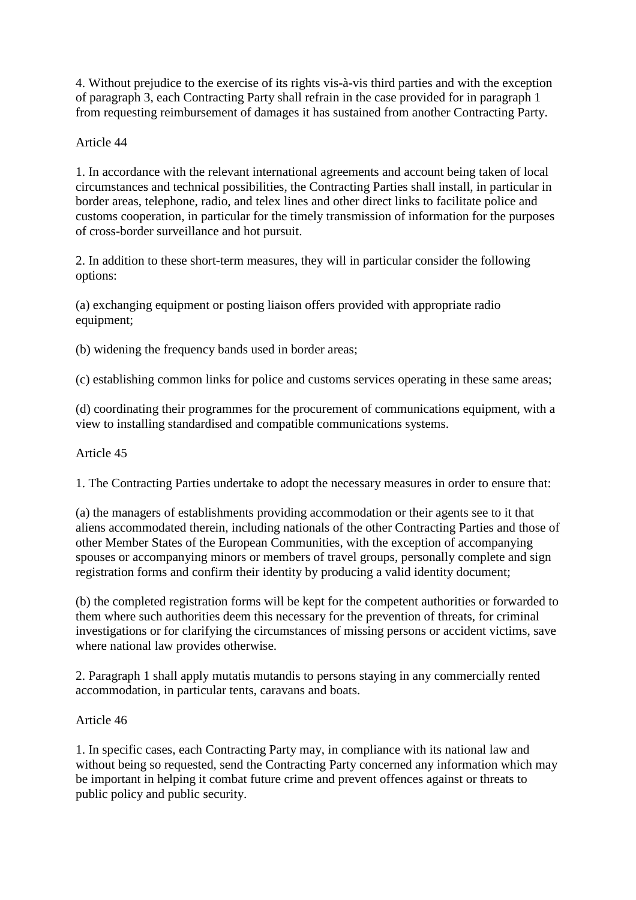4. Without prejudice to the exercise of its rights vis-à-vis third parties and with the exception of paragraph 3, each Contracting Party shall refrain in the case provided for in paragraph 1 from requesting reimbursement of damages it has sustained from another Contracting Party.

### Article 44

1. In accordance with the relevant international agreements and account being taken of local circumstances and technical possibilities, the Contracting Parties shall install, in particular in border areas, telephone, radio, and telex lines and other direct links to facilitate police and customs cooperation, in particular for the timely transmission of information for the purposes of cross-border surveillance and hot pursuit.

2. In addition to these short-term measures, they will in particular consider the following options:

(a) exchanging equipment or posting liaison offers provided with appropriate radio equipment:

(b) widening the frequency bands used in border areas;

(c) establishing common links for police and customs services operating in these same areas;

(d) coordinating their programmes for the procurement of communications equipment, with a view to installing standardised and compatible communications systems.

#### Article 45

1. The Contracting Parties undertake to adopt the necessary measures in order to ensure that:

(a) the managers of establishments providing accommodation or their agents see to it that aliens accommodated therein, including nationals of the other Contracting Parties and those of other Member States of the European Communities, with the exception of accompanying spouses or accompanying minors or members of travel groups, personally complete and sign registration forms and confirm their identity by producing a valid identity document;

(b) the completed registration forms will be kept for the competent authorities or forwarded to them where such authorities deem this necessary for the prevention of threats, for criminal investigations or for clarifying the circumstances of missing persons or accident victims, save where national law provides otherwise.

2. Paragraph 1 shall apply mutatis mutandis to persons staying in any commercially rented accommodation, in particular tents, caravans and boats.

#### Article 46

1. In specific cases, each Contracting Party may, in compliance with its national law and without being so requested, send the Contracting Party concerned any information which may be important in helping it combat future crime and prevent offences against or threats to public policy and public security.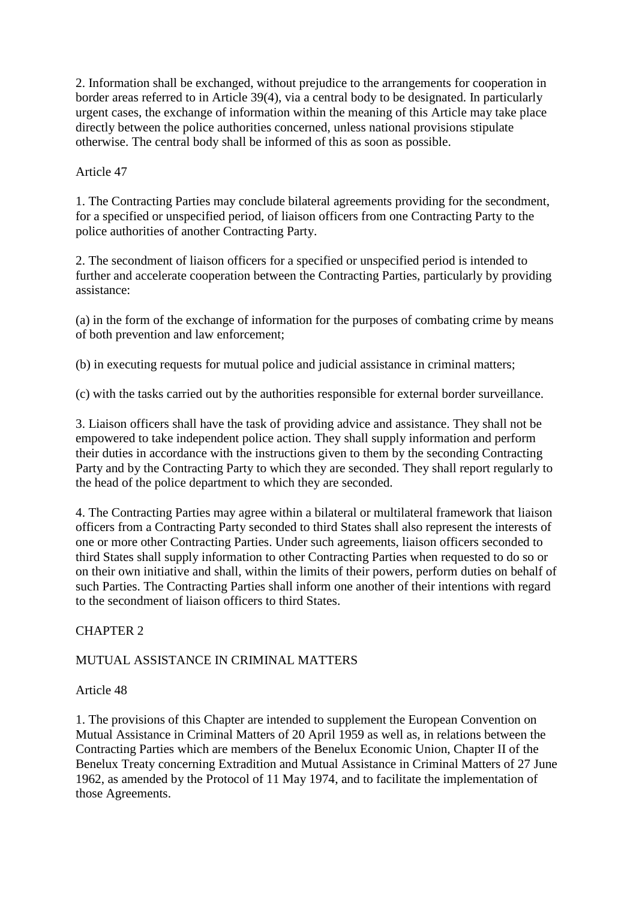2. Information shall be exchanged, without prejudice to the arrangements for cooperation in border areas referred to in Article 39(4), via a central body to be designated. In particularly urgent cases, the exchange of information within the meaning of this Article may take place directly between the police authorities concerned, unless national provisions stipulate otherwise. The central body shall be informed of this as soon as possible.

#### Article 47

1. The Contracting Parties may conclude bilateral agreements providing for the secondment, for a specified or unspecified period, of liaison officers from one Contracting Party to the police authorities of another Contracting Party.

2. The secondment of liaison officers for a specified or unspecified period is intended to further and accelerate cooperation between the Contracting Parties, particularly by providing assistance:

(a) in the form of the exchange of information for the purposes of combating crime by means of both prevention and law enforcement;

(b) in executing requests for mutual police and judicial assistance in criminal matters;

(c) with the tasks carried out by the authorities responsible for external border surveillance.

3. Liaison officers shall have the task of providing advice and assistance. They shall not be empowered to take independent police action. They shall supply information and perform their duties in accordance with the instructions given to them by the seconding Contracting Party and by the Contracting Party to which they are seconded. They shall report regularly to the head of the police department to which they are seconded.

4. The Contracting Parties may agree within a bilateral or multilateral framework that liaison officers from a Contracting Party seconded to third States shall also represent the interests of one or more other Contracting Parties. Under such agreements, liaison officers seconded to third States shall supply information to other Contracting Parties when requested to do so or on their own initiative and shall, within the limits of their powers, perform duties on behalf of such Parties. The Contracting Parties shall inform one another of their intentions with regard to the secondment of liaison officers to third States.

### CHAPTER 2

### MUTUAL ASSISTANCE IN CRIMINAL MATTERS

### Article 48

1. The provisions of this Chapter are intended to supplement the European Convention on Mutual Assistance in Criminal Matters of 20 April 1959 as well as, in relations between the Contracting Parties which are members of the Benelux Economic Union, Chapter II of the Benelux Treaty concerning Extradition and Mutual Assistance in Criminal Matters of 27 June 1962, as amended by the Protocol of 11 May 1974, and to facilitate the implementation of those Agreements.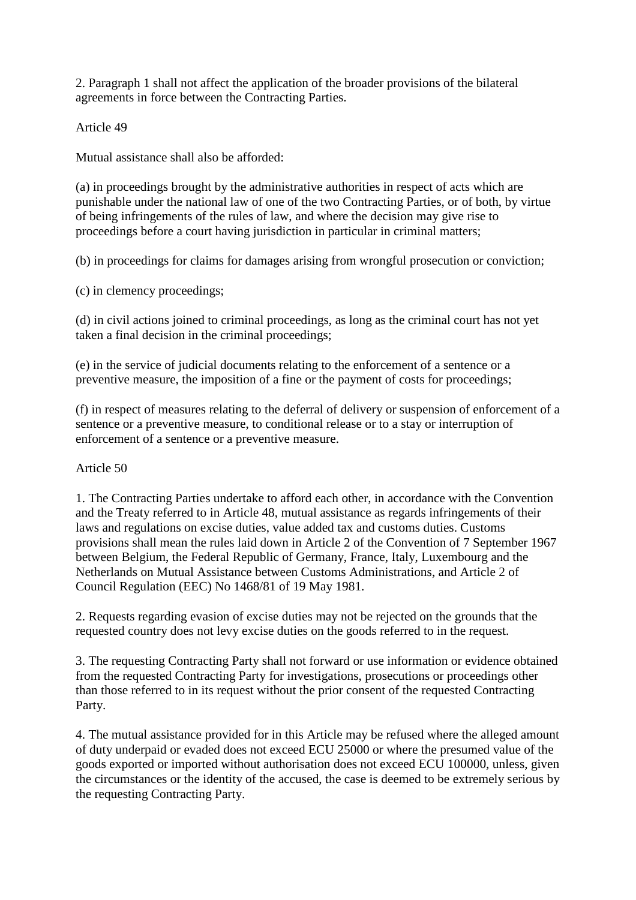2. Paragraph 1 shall not affect the application of the broader provisions of the bilateral agreements in force between the Contracting Parties.

Article 49

Mutual assistance shall also be afforded:

(a) in proceedings brought by the administrative authorities in respect of acts which are punishable under the national law of one of the two Contracting Parties, or of both, by virtue of being infringements of the rules of law, and where the decision may give rise to proceedings before a court having jurisdiction in particular in criminal matters;

(b) in proceedings for claims for damages arising from wrongful prosecution or conviction;

(c) in clemency proceedings;

(d) in civil actions joined to criminal proceedings, as long as the criminal court has not yet taken a final decision in the criminal proceedings;

(e) in the service of judicial documents relating to the enforcement of a sentence or a preventive measure, the imposition of a fine or the payment of costs for proceedings;

(f) in respect of measures relating to the deferral of delivery or suspension of enforcement of a sentence or a preventive measure, to conditional release or to a stay or interruption of enforcement of a sentence or a preventive measure.

Article 50

1. The Contracting Parties undertake to afford each other, in accordance with the Convention and the Treaty referred to in Article 48, mutual assistance as regards infringements of their laws and regulations on excise duties, value added tax and customs duties. Customs provisions shall mean the rules laid down in Article 2 of the Convention of 7 September 1967 between Belgium, the Federal Republic of Germany, France, Italy, Luxembourg and the Netherlands on Mutual Assistance between Customs Administrations, and Article 2 of Council Regulation (EEC) No 1468/81 of 19 May 1981.

2. Requests regarding evasion of excise duties may not be rejected on the grounds that the requested country does not levy excise duties on the goods referred to in the request.

3. The requesting Contracting Party shall not forward or use information or evidence obtained from the requested Contracting Party for investigations, prosecutions or proceedings other than those referred to in its request without the prior consent of the requested Contracting Party.

4. The mutual assistance provided for in this Article may be refused where the alleged amount of duty underpaid or evaded does not exceed ECU 25000 or where the presumed value of the goods exported or imported without authorisation does not exceed ECU 100000, unless, given the circumstances or the identity of the accused, the case is deemed to be extremely serious by the requesting Contracting Party.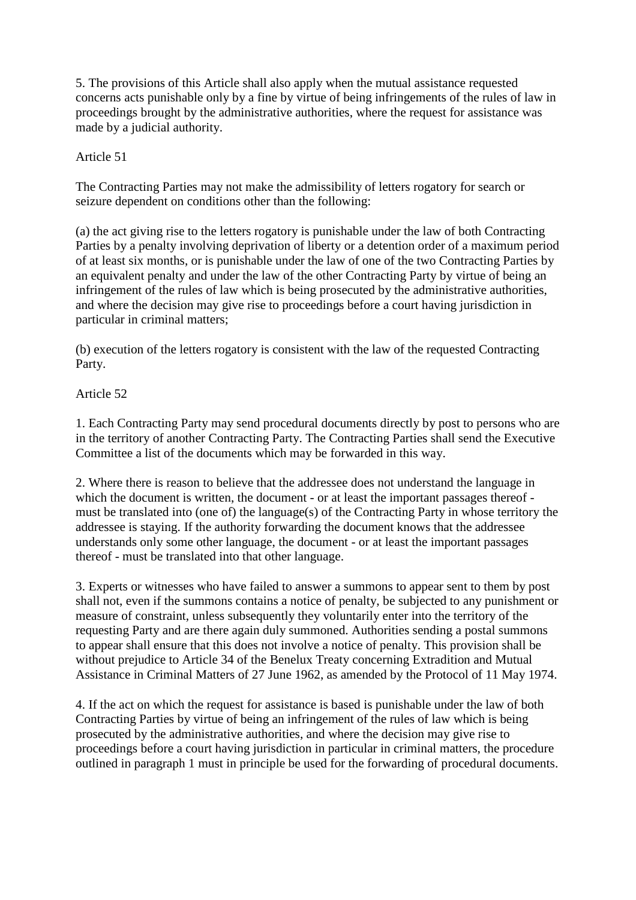5. The provisions of this Article shall also apply when the mutual assistance requested concerns acts punishable only by a fine by virtue of being infringements of the rules of law in proceedings brought by the administrative authorities, where the request for assistance was made by a judicial authority.

Article 51

The Contracting Parties may not make the admissibility of letters rogatory for search or seizure dependent on conditions other than the following:

(a) the act giving rise to the letters rogatory is punishable under the law of both Contracting Parties by a penalty involving deprivation of liberty or a detention order of a maximum period of at least six months, or is punishable under the law of one of the two Contracting Parties by an equivalent penalty and under the law of the other Contracting Party by virtue of being an infringement of the rules of law which is being prosecuted by the administrative authorities, and where the decision may give rise to proceedings before a court having jurisdiction in particular in criminal matters;

(b) execution of the letters rogatory is consistent with the law of the requested Contracting Party.

## Article 52

1. Each Contracting Party may send procedural documents directly by post to persons who are in the territory of another Contracting Party. The Contracting Parties shall send the Executive Committee a list of the documents which may be forwarded in this way.

2. Where there is reason to believe that the addressee does not understand the language in which the document is written, the document - or at least the important passages thereof must be translated into (one of) the language(s) of the Contracting Party in whose territory the addressee is staying. If the authority forwarding the document knows that the addressee understands only some other language, the document - or at least the important passages thereof - must be translated into that other language.

3. Experts or witnesses who have failed to answer a summons to appear sent to them by post shall not, even if the summons contains a notice of penalty, be subjected to any punishment or measure of constraint, unless subsequently they voluntarily enter into the territory of the requesting Party and are there again duly summoned. Authorities sending a postal summons to appear shall ensure that this does not involve a notice of penalty. This provision shall be without prejudice to Article 34 of the Benelux Treaty concerning Extradition and Mutual Assistance in Criminal Matters of 27 June 1962, as amended by the Protocol of 11 May 1974.

4. If the act on which the request for assistance is based is punishable under the law of both Contracting Parties by virtue of being an infringement of the rules of law which is being prosecuted by the administrative authorities, and where the decision may give rise to proceedings before a court having jurisdiction in particular in criminal matters, the procedure outlined in paragraph 1 must in principle be used for the forwarding of procedural documents.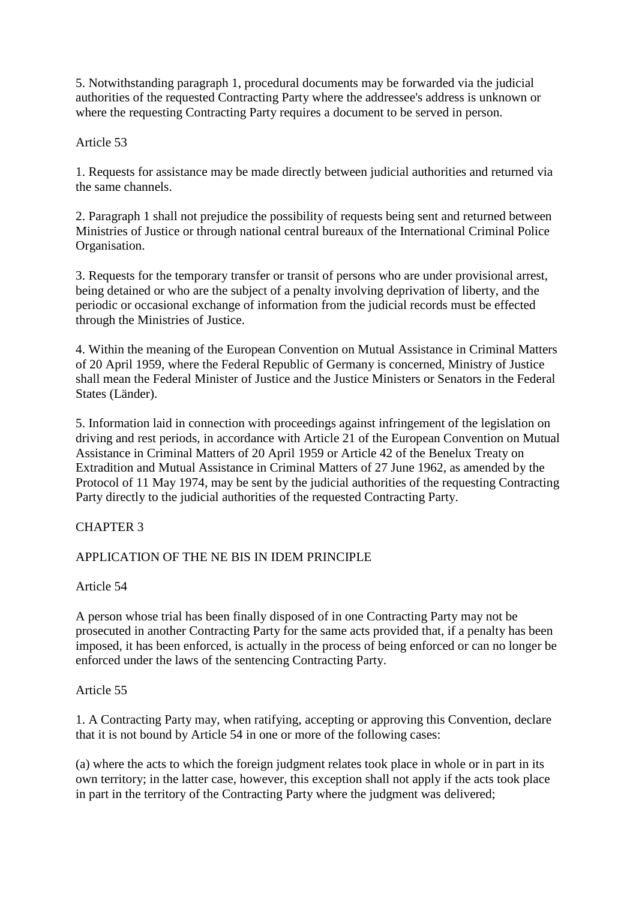5. Notwithstanding paragraph 1, procedural documents may be forwarded via the judicial authorities of the requested Contracting Party where the addressee's address is unknown or where the requesting Contracting Party requires a document to be served in person.

### Article 53

1. Requests for assistance may be made directly between judicial authorities and returned via the same channels.

2. Paragraph 1 shall not prejudice the possibility of requests being sent and returned between Ministries of Justice or through national central bureaux of the International Criminal Police Organisation.

3. Requests for the temporary transfer or transit of persons who are under provisional arrest, being detained or who are the subject of a penalty involving deprivation of liberty, and the periodic or occasional exchange of information from the judicial records must be effected through the Ministries of Justice.

4. Within the meaning of the European Convention on Mutual Assistance in Criminal Matters of 20 April 1959, where the Federal Republic of Germany is concerned, Ministry of Justice shall mean the Federal Minister of Justice and the Justice Ministers or Senators in the Federal States (Länder).

5. Information laid in connection with proceedings against infringement of the legislation on driving and rest periods, in accordance with Article 21 of the European Convention on Mutual Assistance in Criminal Matters of 20 April 1959 or Article 42 of the Benelux Treaty on Extradition and Mutual Assistance in Criminal Matters of 27 June 1962, as amended by the Protocol of 11 May 1974, may be sent by the judicial authorities of the requesting Contracting Party directly to the judicial authorities of the requested Contracting Party.

### CHAPTER 3

### APPLICATION OF THE NE BIS IN IDEM PRINCIPLE

Article 54

A person whose trial has been finally disposed of in one Contracting Party may not be prosecuted in another Contracting Party for the same acts provided that, if a penalty has been imposed, it has been enforced, is actually in the process of being enforced or can no longer be enforced under the laws of the sentencing Contracting Party.

#### Article 55

1. A Contracting Party may, when ratifying, accepting or approving this Convention, declare that it is not bound by Article 54 in one or more of the following cases:

(a) where the acts to which the foreign judgment relates took place in whole or in part in its own territory; in the latter case, however, this exception shall not apply if the acts took place in part in the territory of the Contracting Party where the judgment was delivered;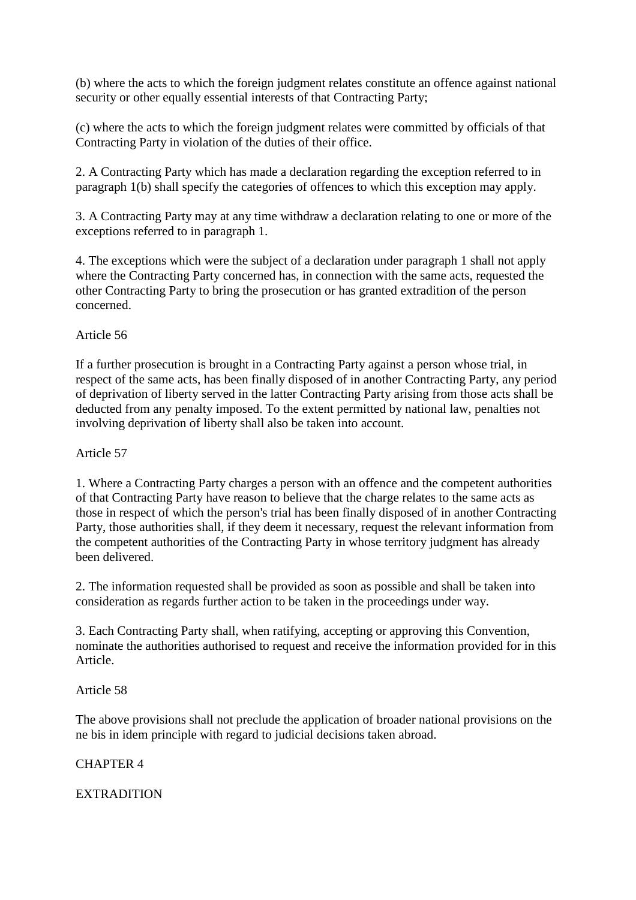(b) where the acts to which the foreign judgment relates constitute an offence against national security or other equally essential interests of that Contracting Party;

(c) where the acts to which the foreign judgment relates were committed by officials of that Contracting Party in violation of the duties of their office.

2. A Contracting Party which has made a declaration regarding the exception referred to in paragraph 1(b) shall specify the categories of offences to which this exception may apply.

3. A Contracting Party may at any time withdraw a declaration relating to one or more of the exceptions referred to in paragraph 1.

4. The exceptions which were the subject of a declaration under paragraph 1 shall not apply where the Contracting Party concerned has, in connection with the same acts, requested the other Contracting Party to bring the prosecution or has granted extradition of the person concerned.

Article 56

If a further prosecution is brought in a Contracting Party against a person whose trial, in respect of the same acts, has been finally disposed of in another Contracting Party, any period of deprivation of liberty served in the latter Contracting Party arising from those acts shall be deducted from any penalty imposed. To the extent permitted by national law, penalties not involving deprivation of liberty shall also be taken into account.

Article 57

1. Where a Contracting Party charges a person with an offence and the competent authorities of that Contracting Party have reason to believe that the charge relates to the same acts as those in respect of which the person's trial has been finally disposed of in another Contracting Party, those authorities shall, if they deem it necessary, request the relevant information from the competent authorities of the Contracting Party in whose territory judgment has already been delivered.

2. The information requested shall be provided as soon as possible and shall be taken into consideration as regards further action to be taken in the proceedings under way.

3. Each Contracting Party shall, when ratifying, accepting or approving this Convention, nominate the authorities authorised to request and receive the information provided for in this Article.

Article 58

The above provisions shall not preclude the application of broader national provisions on the ne bis in idem principle with regard to judicial decisions taken abroad.

CHAPTER 4

EXTRADITION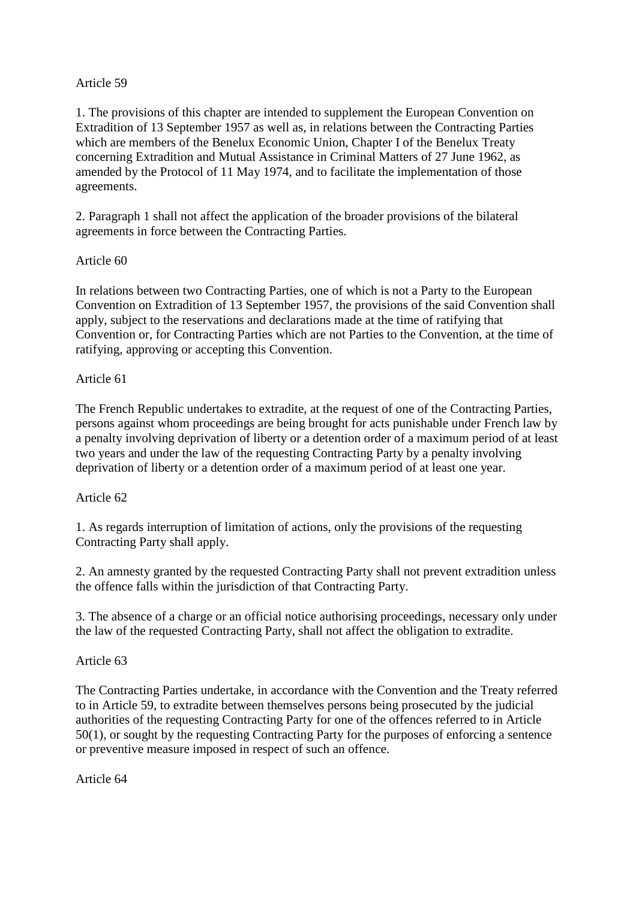### Article 59

1. The provisions of this chapter are intended to supplement the European Convention on Extradition of 13 September 1957 as well as, in relations between the Contracting Parties which are members of the Benelux Economic Union, Chapter I of the Benelux Treaty concerning Extradition and Mutual Assistance in Criminal Matters of 27 June 1962, as amended by the Protocol of 11 May 1974, and to facilitate the implementation of those agreements.

2. Paragraph 1 shall not affect the application of the broader provisions of the bilateral agreements in force between the Contracting Parties.

#### Article 60

In relations between two Contracting Parties, one of which is not a Party to the European Convention on Extradition of 13 September 1957, the provisions of the said Convention shall apply, subject to the reservations and declarations made at the time of ratifying that Convention or, for Contracting Parties which are not Parties to the Convention, at the time of ratifying, approving or accepting this Convention.

#### Article 61

The French Republic undertakes to extradite, at the request of one of the Contracting Parties, persons against whom proceedings are being brought for acts punishable under French law by a penalty involving deprivation of liberty or a detention order of a maximum period of at least two years and under the law of the requesting Contracting Party by a penalty involving deprivation of liberty or a detention order of a maximum period of at least one year.

### Article 62

1. As regards interruption of limitation of actions, only the provisions of the requesting Contracting Party shall apply.

2. An amnesty granted by the requested Contracting Party shall not prevent extradition unless the offence falls within the jurisdiction of that Contracting Party.

3. The absence of a charge or an official notice authorising proceedings, necessary only under the law of the requested Contracting Party, shall not affect the obligation to extradite.

#### Article 63

The Contracting Parties undertake, in accordance with the Convention and the Treaty referred to in Article 59, to extradite between themselves persons being prosecuted by the judicial authorities of the requesting Contracting Party for one of the offences referred to in Article 50(1), or sought by the requesting Contracting Party for the purposes of enforcing a sentence or preventive measure imposed in respect of such an offence.

Article 64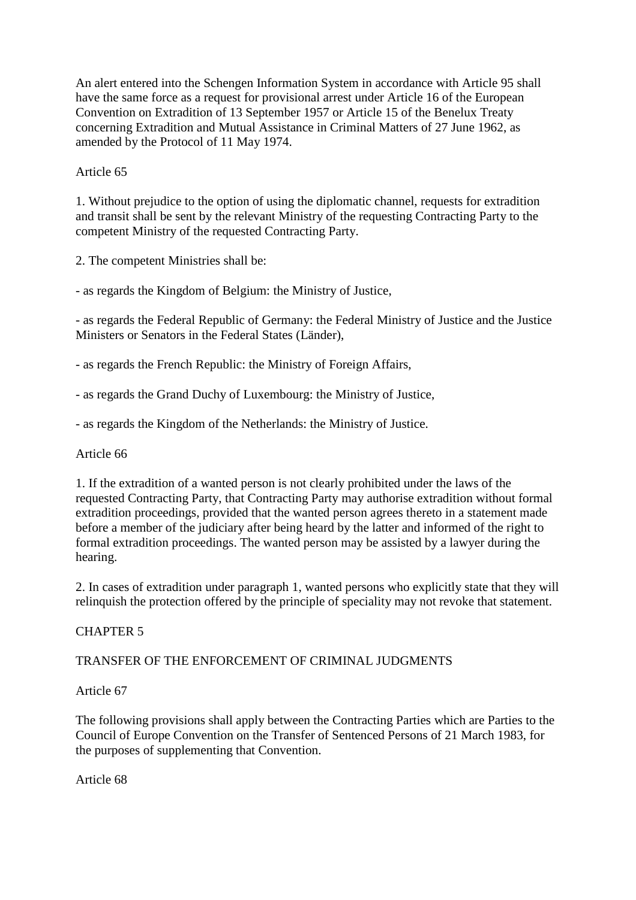An alert entered into the Schengen Information System in accordance with Article 95 shall have the same force as a request for provisional arrest under Article 16 of the European Convention on Extradition of 13 September 1957 or Article 15 of the Benelux Treaty concerning Extradition and Mutual Assistance in Criminal Matters of 27 June 1962, as amended by the Protocol of 11 May 1974.

### Article 65

1. Without prejudice to the option of using the diplomatic channel, requests for extradition and transit shall be sent by the relevant Ministry of the requesting Contracting Party to the competent Ministry of the requested Contracting Party.

2. The competent Ministries shall be:

- as regards the Kingdom of Belgium: the Ministry of Justice,

- as regards the Federal Republic of Germany: the Federal Ministry of Justice and the Justice Ministers or Senators in the Federal States (Länder),

- as regards the French Republic: the Ministry of Foreign Affairs,

- as regards the Grand Duchy of Luxembourg: the Ministry of Justice,
- as regards the Kingdom of the Netherlands: the Ministry of Justice.

#### Article 66

1. If the extradition of a wanted person is not clearly prohibited under the laws of the requested Contracting Party, that Contracting Party may authorise extradition without formal extradition proceedings, provided that the wanted person agrees thereto in a statement made before a member of the judiciary after being heard by the latter and informed of the right to formal extradition proceedings. The wanted person may be assisted by a lawyer during the hearing.

2. In cases of extradition under paragraph 1, wanted persons who explicitly state that they will relinquish the protection offered by the principle of speciality may not revoke that statement.

#### CHAPTER 5

#### TRANSFER OF THE ENFORCEMENT OF CRIMINAL JUDGMENTS

### Article 67

The following provisions shall apply between the Contracting Parties which are Parties to the Council of Europe Convention on the Transfer of Sentenced Persons of 21 March 1983, for the purposes of supplementing that Convention.

Article 68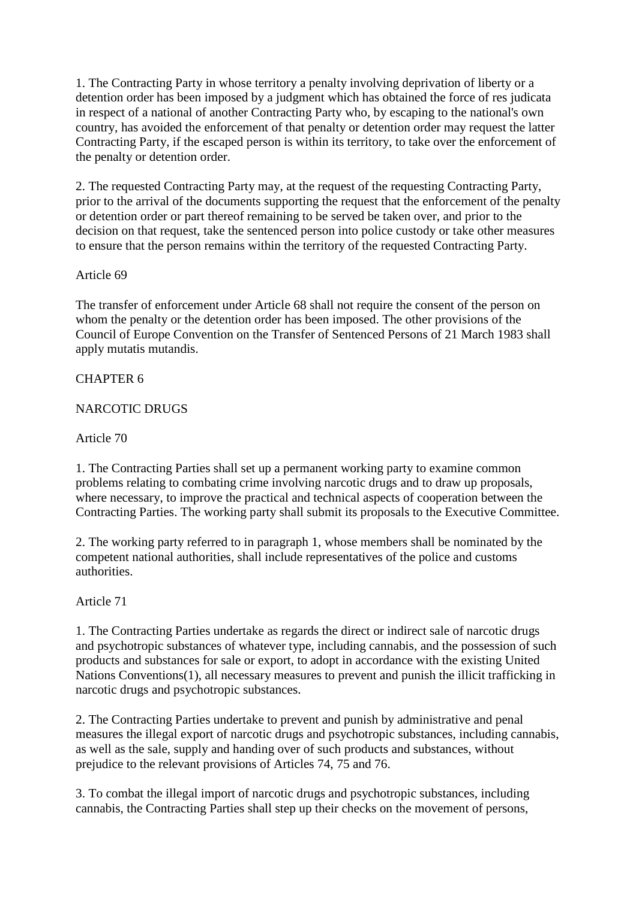1. The Contracting Party in whose territory a penalty involving deprivation of liberty or a detention order has been imposed by a judgment which has obtained the force of res judicata in respect of a national of another Contracting Party who, by escaping to the national's own country, has avoided the enforcement of that penalty or detention order may request the latter Contracting Party, if the escaped person is within its territory, to take over the enforcement of the penalty or detention order.

2. The requested Contracting Party may, at the request of the requesting Contracting Party, prior to the arrival of the documents supporting the request that the enforcement of the penalty or detention order or part thereof remaining to be served be taken over, and prior to the decision on that request, take the sentenced person into police custody or take other measures to ensure that the person remains within the territory of the requested Contracting Party.

#### Article 69

The transfer of enforcement under Article 68 shall not require the consent of the person on whom the penalty or the detention order has been imposed. The other provisions of the Council of Europe Convention on the Transfer of Sentenced Persons of 21 March 1983 shall apply mutatis mutandis.

#### CHAPTER 6

#### NARCOTIC DRUGS

Article 70

1. The Contracting Parties shall set up a permanent working party to examine common problems relating to combating crime involving narcotic drugs and to draw up proposals, where necessary, to improve the practical and technical aspects of cooperation between the Contracting Parties. The working party shall submit its proposals to the Executive Committee.

2. The working party referred to in paragraph 1, whose members shall be nominated by the competent national authorities, shall include representatives of the police and customs authorities.

#### Article 71

1. The Contracting Parties undertake as regards the direct or indirect sale of narcotic drugs and psychotropic substances of whatever type, including cannabis, and the possession of such products and substances for sale or export, to adopt in accordance with the existing United Nations Conventions(1), all necessary measures to prevent and punish the illicit trafficking in narcotic drugs and psychotropic substances.

2. The Contracting Parties undertake to prevent and punish by administrative and penal measures the illegal export of narcotic drugs and psychotropic substances, including cannabis, as well as the sale, supply and handing over of such products and substances, without prejudice to the relevant provisions of Articles 74, 75 and 76.

3. To combat the illegal import of narcotic drugs and psychotropic substances, including cannabis, the Contracting Parties shall step up their checks on the movement of persons,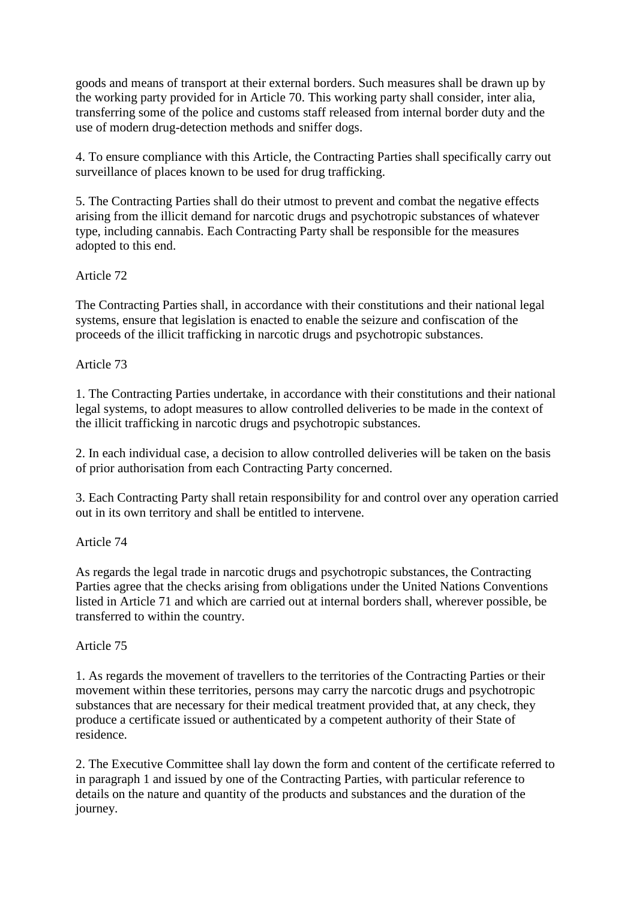goods and means of transport at their external borders. Such measures shall be drawn up by the working party provided for in Article 70. This working party shall consider, inter alia, transferring some of the police and customs staff released from internal border duty and the use of modern drug-detection methods and sniffer dogs.

4. To ensure compliance with this Article, the Contracting Parties shall specifically carry out surveillance of places known to be used for drug trafficking.

5. The Contracting Parties shall do their utmost to prevent and combat the negative effects arising from the illicit demand for narcotic drugs and psychotropic substances of whatever type, including cannabis. Each Contracting Party shall be responsible for the measures adopted to this end.

## Article 72

The Contracting Parties shall, in accordance with their constitutions and their national legal systems, ensure that legislation is enacted to enable the seizure and confiscation of the proceeds of the illicit trafficking in narcotic drugs and psychotropic substances.

### Article 73

1. The Contracting Parties undertake, in accordance with their constitutions and their national legal systems, to adopt measures to allow controlled deliveries to be made in the context of the illicit trafficking in narcotic drugs and psychotropic substances.

2. In each individual case, a decision to allow controlled deliveries will be taken on the basis of prior authorisation from each Contracting Party concerned.

3. Each Contracting Party shall retain responsibility for and control over any operation carried out in its own territory and shall be entitled to intervene.

### Article 74

As regards the legal trade in narcotic drugs and psychotropic substances, the Contracting Parties agree that the checks arising from obligations under the United Nations Conventions listed in Article 71 and which are carried out at internal borders shall, wherever possible, be transferred to within the country.

### Article 75

1. As regards the movement of travellers to the territories of the Contracting Parties or their movement within these territories, persons may carry the narcotic drugs and psychotropic substances that are necessary for their medical treatment provided that, at any check, they produce a certificate issued or authenticated by a competent authority of their State of residence.

2. The Executive Committee shall lay down the form and content of the certificate referred to in paragraph 1 and issued by one of the Contracting Parties, with particular reference to details on the nature and quantity of the products and substances and the duration of the journey.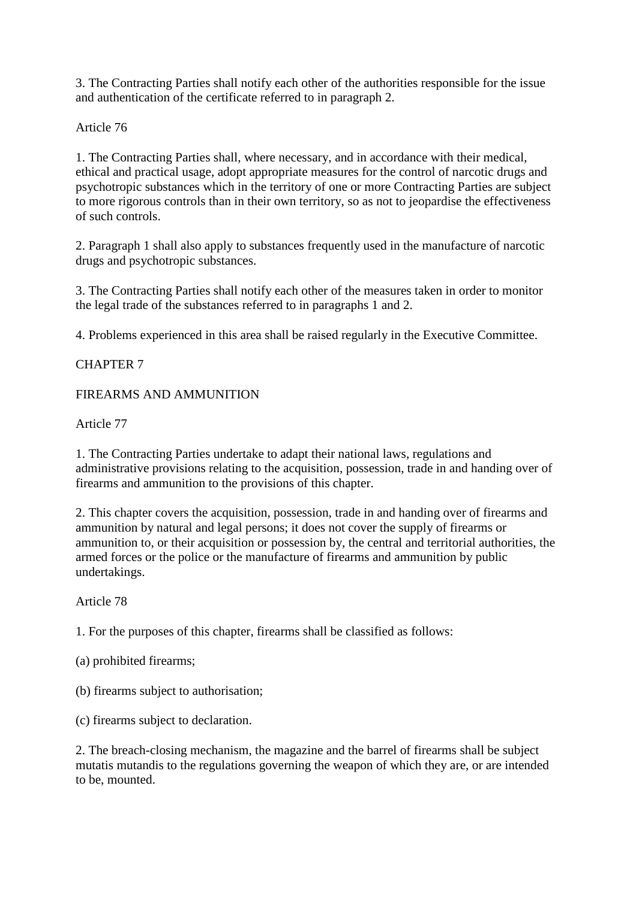3. The Contracting Parties shall notify each other of the authorities responsible for the issue and authentication of the certificate referred to in paragraph 2.

Article 76

1. The Contracting Parties shall, where necessary, and in accordance with their medical, ethical and practical usage, adopt appropriate measures for the control of narcotic drugs and psychotropic substances which in the territory of one or more Contracting Parties are subject to more rigorous controls than in their own territory, so as not to jeopardise the effectiveness of such controls.

2. Paragraph 1 shall also apply to substances frequently used in the manufacture of narcotic drugs and psychotropic substances.

3. The Contracting Parties shall notify each other of the measures taken in order to monitor the legal trade of the substances referred to in paragraphs 1 and 2.

4. Problems experienced in this area shall be raised regularly in the Executive Committee.

CHAPTER 7

FIREARMS AND AMMUNITION

Article 77

1. The Contracting Parties undertake to adapt their national laws, regulations and administrative provisions relating to the acquisition, possession, trade in and handing over of firearms and ammunition to the provisions of this chapter.

2. This chapter covers the acquisition, possession, trade in and handing over of firearms and ammunition by natural and legal persons; it does not cover the supply of firearms or ammunition to, or their acquisition or possession by, the central and territorial authorities, the armed forces or the police or the manufacture of firearms and ammunition by public undertakings.

Article 78

1. For the purposes of this chapter, firearms shall be classified as follows:

(a) prohibited firearms;

(b) firearms subject to authorisation;

(c) firearms subject to declaration.

2. The breach-closing mechanism, the magazine and the barrel of firearms shall be subject mutatis mutandis to the regulations governing the weapon of which they are, or are intended to be, mounted.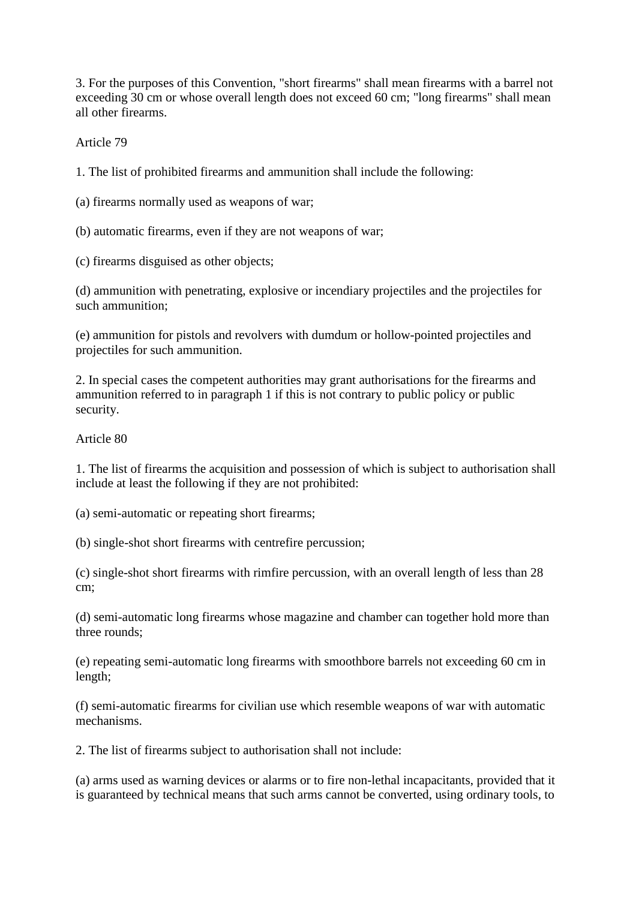3. For the purposes of this Convention, "short firearms" shall mean firearms with a barrel not exceeding 30 cm or whose overall length does not exceed 60 cm; "long firearms" shall mean all other firearms.

Article 79

1. The list of prohibited firearms and ammunition shall include the following:

(a) firearms normally used as weapons of war;

(b) automatic firearms, even if they are not weapons of war;

(c) firearms disguised as other objects;

(d) ammunition with penetrating, explosive or incendiary projectiles and the projectiles for such ammunition;

(e) ammunition for pistols and revolvers with dumdum or hollow-pointed projectiles and projectiles for such ammunition.

2. In special cases the competent authorities may grant authorisations for the firearms and ammunition referred to in paragraph 1 if this is not contrary to public policy or public security.

Article 80

1. The list of firearms the acquisition and possession of which is subject to authorisation shall include at least the following if they are not prohibited:

(a) semi-automatic or repeating short firearms;

(b) single-shot short firearms with centrefire percussion;

(c) single-shot short firearms with rimfire percussion, with an overall length of less than 28 cm;

(d) semi-automatic long firearms whose magazine and chamber can together hold more than three rounds;

(e) repeating semi-automatic long firearms with smoothbore barrels not exceeding 60 cm in length;

(f) semi-automatic firearms for civilian use which resemble weapons of war with automatic mechanisms.

2. The list of firearms subject to authorisation shall not include:

(a) arms used as warning devices or alarms or to fire non-lethal incapacitants, provided that it is guaranteed by technical means that such arms cannot be converted, using ordinary tools, to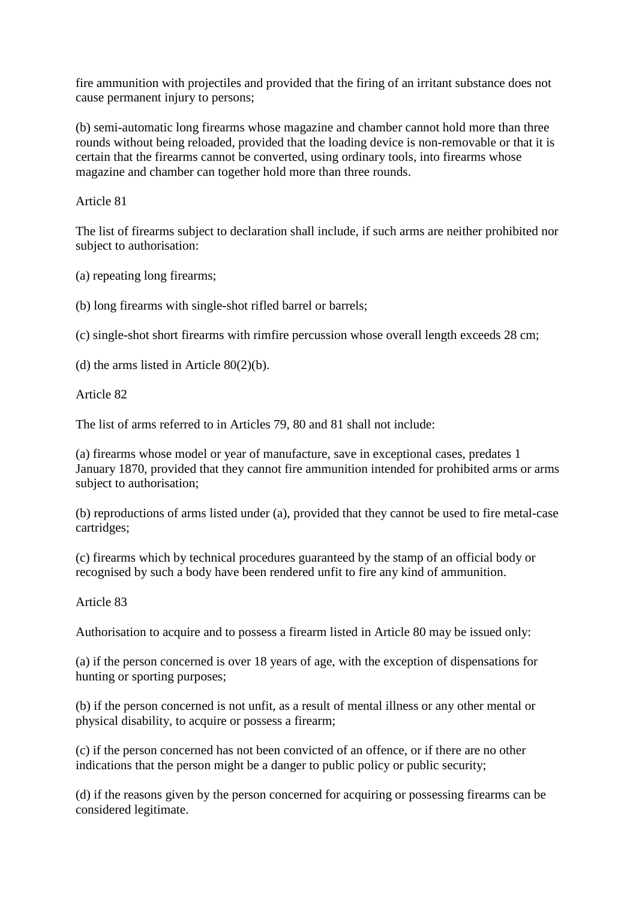fire ammunition with projectiles and provided that the firing of an irritant substance does not cause permanent injury to persons;

(b) semi-automatic long firearms whose magazine and chamber cannot hold more than three rounds without being reloaded, provided that the loading device is non-removable or that it is certain that the firearms cannot be converted, using ordinary tools, into firearms whose magazine and chamber can together hold more than three rounds.

Article 81

The list of firearms subject to declaration shall include, if such arms are neither prohibited nor subject to authorisation:

(a) repeating long firearms;

(b) long firearms with single-shot rifled barrel or barrels;

(c) single-shot short firearms with rimfire percussion whose overall length exceeds 28 cm;

(d) the arms listed in Article 80(2)(b).

Article 82

The list of arms referred to in Articles 79, 80 and 81 shall not include:

(a) firearms whose model or year of manufacture, save in exceptional cases, predates 1 January 1870, provided that they cannot fire ammunition intended for prohibited arms or arms subject to authorisation;

(b) reproductions of arms listed under (a), provided that they cannot be used to fire metal-case cartridges;

(c) firearms which by technical procedures guaranteed by the stamp of an official body or recognised by such a body have been rendered unfit to fire any kind of ammunition.

Article 83

Authorisation to acquire and to possess a firearm listed in Article 80 may be issued only:

(a) if the person concerned is over 18 years of age, with the exception of dispensations for hunting or sporting purposes;

(b) if the person concerned is not unfit, as a result of mental illness or any other mental or physical disability, to acquire or possess a firearm;

(c) if the person concerned has not been convicted of an offence, or if there are no other indications that the person might be a danger to public policy or public security;

(d) if the reasons given by the person concerned for acquiring or possessing firearms can be considered legitimate.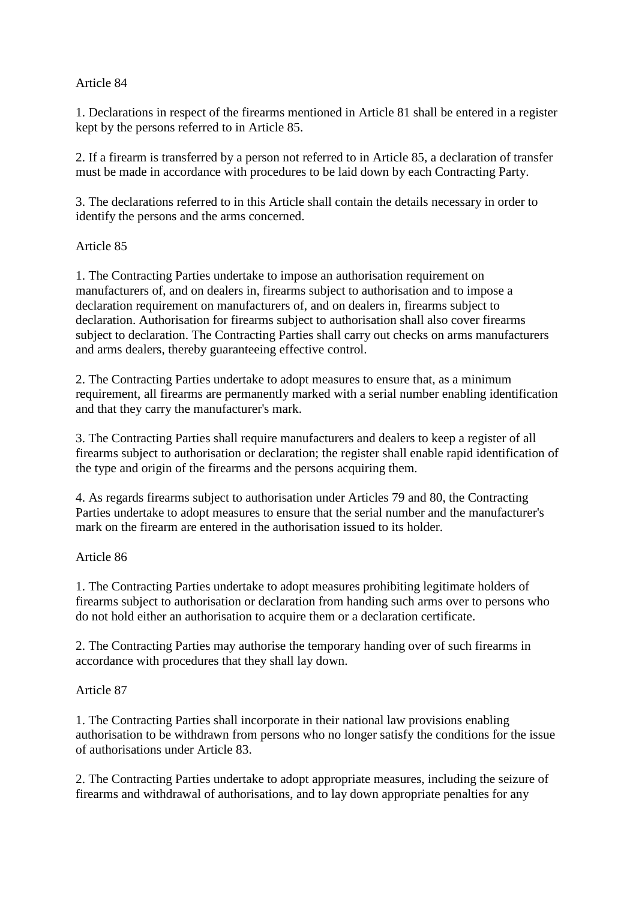#### Article 84

1. Declarations in respect of the firearms mentioned in Article 81 shall be entered in a register kept by the persons referred to in Article 85.

2. If a firearm is transferred by a person not referred to in Article 85, a declaration of transfer must be made in accordance with procedures to be laid down by each Contracting Party.

3. The declarations referred to in this Article shall contain the details necessary in order to identify the persons and the arms concerned.

#### Article 85

1. The Contracting Parties undertake to impose an authorisation requirement on manufacturers of, and on dealers in, firearms subject to authorisation and to impose a declaration requirement on manufacturers of, and on dealers in, firearms subject to declaration. Authorisation for firearms subject to authorisation shall also cover firearms subject to declaration. The Contracting Parties shall carry out checks on arms manufacturers and arms dealers, thereby guaranteeing effective control.

2. The Contracting Parties undertake to adopt measures to ensure that, as a minimum requirement, all firearms are permanently marked with a serial number enabling identification and that they carry the manufacturer's mark.

3. The Contracting Parties shall require manufacturers and dealers to keep a register of all firearms subject to authorisation or declaration; the register shall enable rapid identification of the type and origin of the firearms and the persons acquiring them.

4. As regards firearms subject to authorisation under Articles 79 and 80, the Contracting Parties undertake to adopt measures to ensure that the serial number and the manufacturer's mark on the firearm are entered in the authorisation issued to its holder.

### Article 86

1. The Contracting Parties undertake to adopt measures prohibiting legitimate holders of firearms subject to authorisation or declaration from handing such arms over to persons who do not hold either an authorisation to acquire them or a declaration certificate.

2. The Contracting Parties may authorise the temporary handing over of such firearms in accordance with procedures that they shall lay down.

### Article 87

1. The Contracting Parties shall incorporate in their national law provisions enabling authorisation to be withdrawn from persons who no longer satisfy the conditions for the issue of authorisations under Article 83.

2. The Contracting Parties undertake to adopt appropriate measures, including the seizure of firearms and withdrawal of authorisations, and to lay down appropriate penalties for any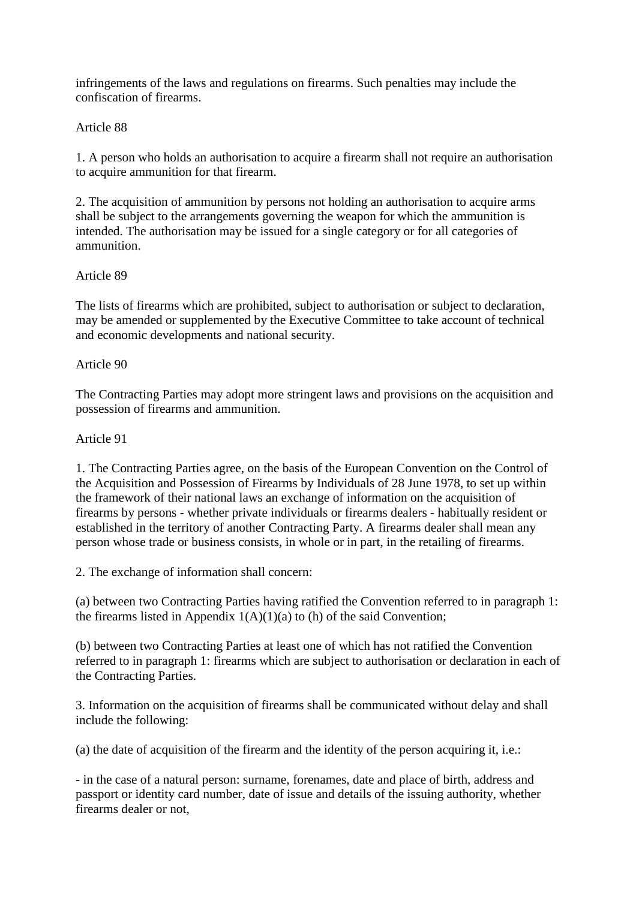infringements of the laws and regulations on firearms. Such penalties may include the confiscation of firearms.

#### Article 88

1. A person who holds an authorisation to acquire a firearm shall not require an authorisation to acquire ammunition for that firearm.

2. The acquisition of ammunition by persons not holding an authorisation to acquire arms shall be subject to the arrangements governing the weapon for which the ammunition is intended. The authorisation may be issued for a single category or for all categories of ammunition.

#### Article 89

The lists of firearms which are prohibited, subject to authorisation or subject to declaration, may be amended or supplemented by the Executive Committee to take account of technical and economic developments and national security.

#### Article 90

The Contracting Parties may adopt more stringent laws and provisions on the acquisition and possession of firearms and ammunition.

#### Article 91

1. The Contracting Parties agree, on the basis of the European Convention on the Control of the Acquisition and Possession of Firearms by Individuals of 28 June 1978, to set up within the framework of their national laws an exchange of information on the acquisition of firearms by persons - whether private individuals or firearms dealers - habitually resident or established in the territory of another Contracting Party. A firearms dealer shall mean any person whose trade or business consists, in whole or in part, in the retailing of firearms.

2. The exchange of information shall concern:

(a) between two Contracting Parties having ratified the Convention referred to in paragraph 1: the firearms listed in Appendix  $1(A)(1)(a)$  to (h) of the said Convention;

(b) between two Contracting Parties at least one of which has not ratified the Convention referred to in paragraph 1: firearms which are subject to authorisation or declaration in each of the Contracting Parties.

3. Information on the acquisition of firearms shall be communicated without delay and shall include the following:

(a) the date of acquisition of the firearm and the identity of the person acquiring it, i.e.:

- in the case of a natural person: surname, forenames, date and place of birth, address and passport or identity card number, date of issue and details of the issuing authority, whether firearms dealer or not,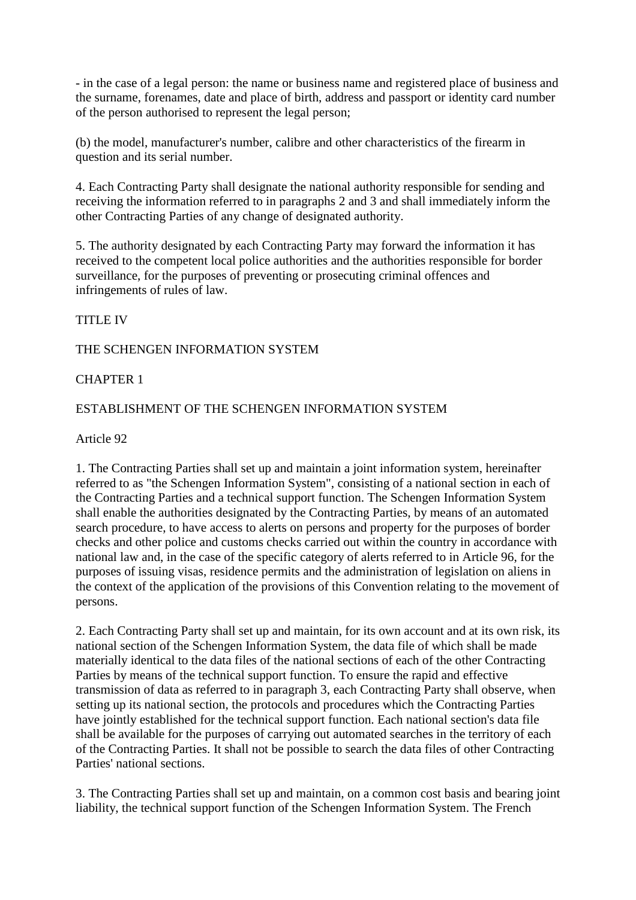- in the case of a legal person: the name or business name and registered place of business and the surname, forenames, date and place of birth, address and passport or identity card number of the person authorised to represent the legal person;

(b) the model, manufacturer's number, calibre and other characteristics of the firearm in question and its serial number.

4. Each Contracting Party shall designate the national authority responsible for sending and receiving the information referred to in paragraphs 2 and 3 and shall immediately inform the other Contracting Parties of any change of designated authority.

5. The authority designated by each Contracting Party may forward the information it has received to the competent local police authorities and the authorities responsible for border surveillance, for the purposes of preventing or prosecuting criminal offences and infringements of rules of law.

#### TITLE IV

### THE SCHENGEN INFORMATION SYSTEM

#### CHAPTER 1

### ESTABLISHMENT OF THE SCHENGEN INFORMATION SYSTEM

#### Article 92

1. The Contracting Parties shall set up and maintain a joint information system, hereinafter referred to as "the Schengen Information System", consisting of a national section in each of the Contracting Parties and a technical support function. The Schengen Information System shall enable the authorities designated by the Contracting Parties, by means of an automated search procedure, to have access to alerts on persons and property for the purposes of border checks and other police and customs checks carried out within the country in accordance with national law and, in the case of the specific category of alerts referred to in Article 96, for the purposes of issuing visas, residence permits and the administration of legislation on aliens in the context of the application of the provisions of this Convention relating to the movement of persons.

2. Each Contracting Party shall set up and maintain, for its own account and at its own risk, its national section of the Schengen Information System, the data file of which shall be made materially identical to the data files of the national sections of each of the other Contracting Parties by means of the technical support function. To ensure the rapid and effective transmission of data as referred to in paragraph 3, each Contracting Party shall observe, when setting up its national section, the protocols and procedures which the Contracting Parties have jointly established for the technical support function. Each national section's data file shall be available for the purposes of carrying out automated searches in the territory of each of the Contracting Parties. It shall not be possible to search the data files of other Contracting Parties' national sections.

3. The Contracting Parties shall set up and maintain, on a common cost basis and bearing joint liability, the technical support function of the Schengen Information System. The French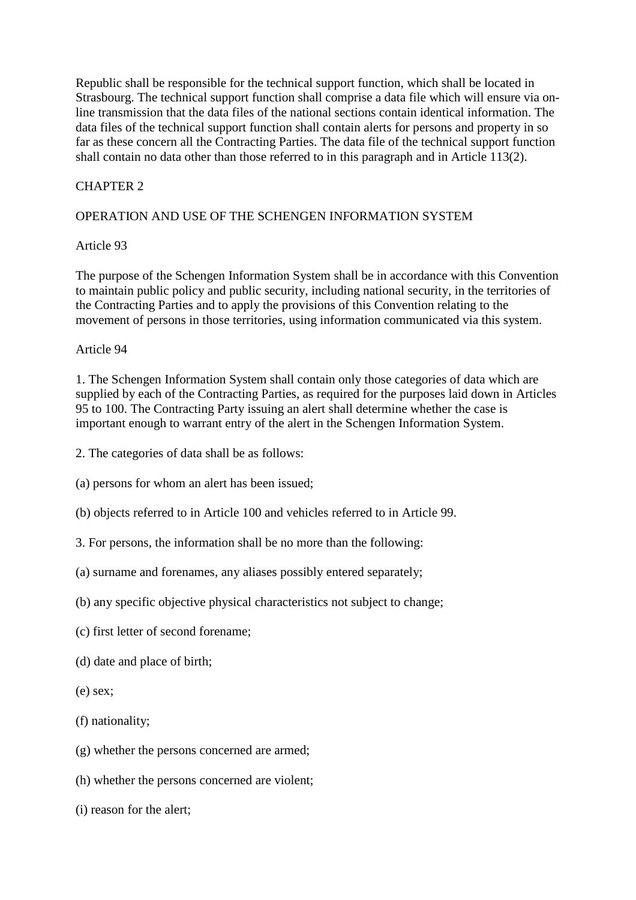Republic shall be responsible for the technical support function, which shall be located in Strasbourg. The technical support function shall comprise a data file which will ensure via online transmission that the data files of the national sections contain identical information. The data files of the technical support function shall contain alerts for persons and property in so far as these concern all the Contracting Parties. The data file of the technical support function shall contain no data other than those referred to in this paragraph and in Article 113(2).

## CHAPTER 2

#### OPERATION AND USE OF THE SCHENGEN INFORMATION SYSTEM

#### Article 93

The purpose of the Schengen Information System shall be in accordance with this Convention to maintain public policy and public security, including national security, in the territories of the Contracting Parties and to apply the provisions of this Convention relating to the movement of persons in those territories, using information communicated via this system.

#### Article 94

1. The Schengen Information System shall contain only those categories of data which are supplied by each of the Contracting Parties, as required for the purposes laid down in Articles 95 to 100. The Contracting Party issuing an alert shall determine whether the case is important enough to warrant entry of the alert in the Schengen Information System.

2. The categories of data shall be as follows:

- (a) persons for whom an alert has been issued;
- (b) objects referred to in Article 100 and vehicles referred to in Article 99.
- 3. For persons, the information shall be no more than the following:
- (a) surname and forenames, any aliases possibly entered separately;
- (b) any specific objective physical characteristics not subject to change;
- (c) first letter of second forename;
- (d) date and place of birth;
- (e) sex;
- (f) nationality;
- (g) whether the persons concerned are armed;
- (h) whether the persons concerned are violent;
- (i) reason for the alert;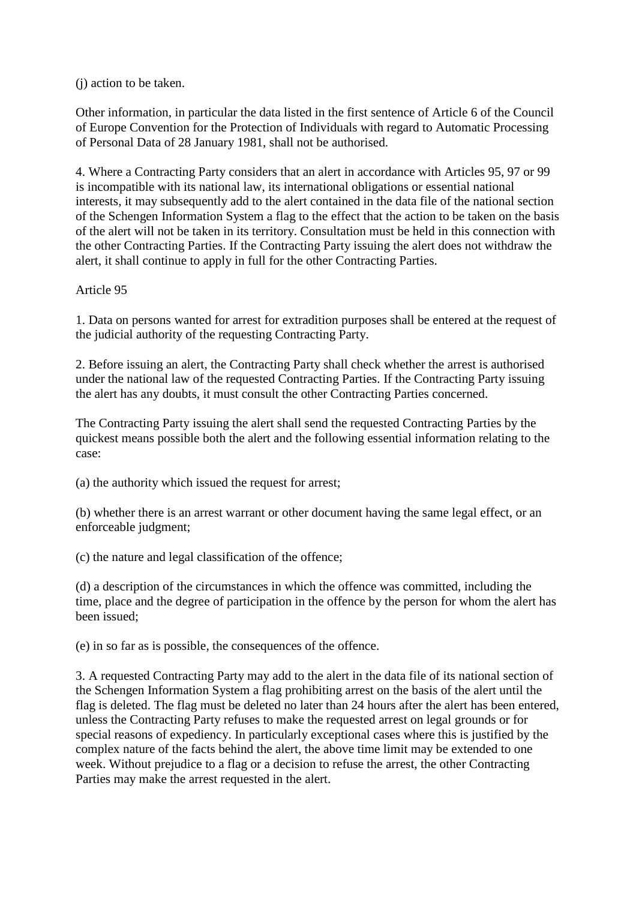(j) action to be taken.

Other information, in particular the data listed in the first sentence of Article 6 of the Council of Europe Convention for the Protection of Individuals with regard to Automatic Processing of Personal Data of 28 January 1981, shall not be authorised.

4. Where a Contracting Party considers that an alert in accordance with Articles 95, 97 or 99 is incompatible with its national law, its international obligations or essential national interests, it may subsequently add to the alert contained in the data file of the national section of the Schengen Information System a flag to the effect that the action to be taken on the basis of the alert will not be taken in its territory. Consultation must be held in this connection with the other Contracting Parties. If the Contracting Party issuing the alert does not withdraw the alert, it shall continue to apply in full for the other Contracting Parties.

### Article 95

1. Data on persons wanted for arrest for extradition purposes shall be entered at the request of the judicial authority of the requesting Contracting Party.

2. Before issuing an alert, the Contracting Party shall check whether the arrest is authorised under the national law of the requested Contracting Parties. If the Contracting Party issuing the alert has any doubts, it must consult the other Contracting Parties concerned.

The Contracting Party issuing the alert shall send the requested Contracting Parties by the quickest means possible both the alert and the following essential information relating to the case:

(a) the authority which issued the request for arrest;

(b) whether there is an arrest warrant or other document having the same legal effect, or an enforceable judgment;

(c) the nature and legal classification of the offence;

(d) a description of the circumstances in which the offence was committed, including the time, place and the degree of participation in the offence by the person for whom the alert has been issued;

(e) in so far as is possible, the consequences of the offence.

3. A requested Contracting Party may add to the alert in the data file of its national section of the Schengen Information System a flag prohibiting arrest on the basis of the alert until the flag is deleted. The flag must be deleted no later than 24 hours after the alert has been entered, unless the Contracting Party refuses to make the requested arrest on legal grounds or for special reasons of expediency. In particularly exceptional cases where this is justified by the complex nature of the facts behind the alert, the above time limit may be extended to one week. Without prejudice to a flag or a decision to refuse the arrest, the other Contracting Parties may make the arrest requested in the alert.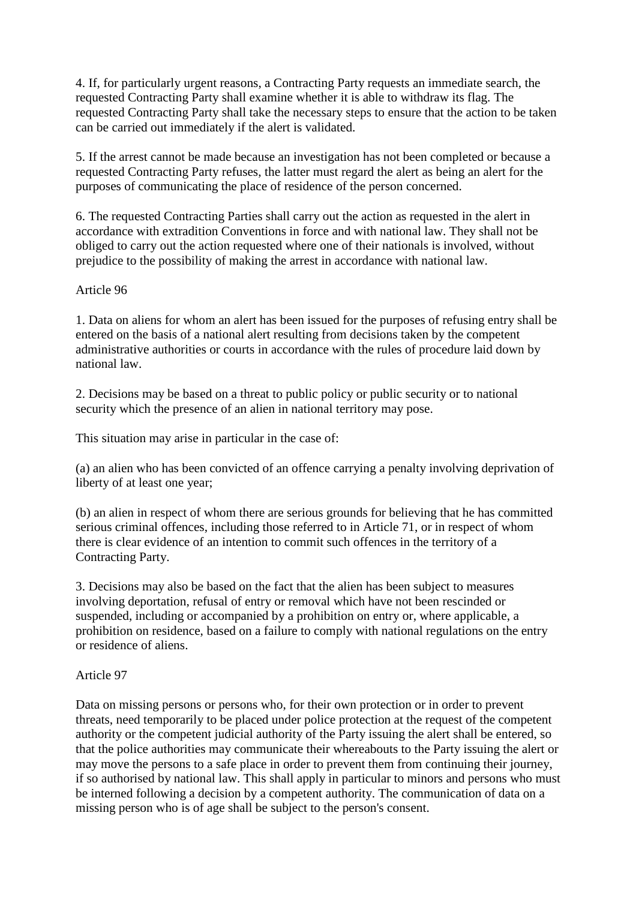4. If, for particularly urgent reasons, a Contracting Party requests an immediate search, the requested Contracting Party shall examine whether it is able to withdraw its flag. The requested Contracting Party shall take the necessary steps to ensure that the action to be taken can be carried out immediately if the alert is validated.

5. If the arrest cannot be made because an investigation has not been completed or because a requested Contracting Party refuses, the latter must regard the alert as being an alert for the purposes of communicating the place of residence of the person concerned.

6. The requested Contracting Parties shall carry out the action as requested in the alert in accordance with extradition Conventions in force and with national law. They shall not be obliged to carry out the action requested where one of their nationals is involved, without prejudice to the possibility of making the arrest in accordance with national law.

#### Article 96

1. Data on aliens for whom an alert has been issued for the purposes of refusing entry shall be entered on the basis of a national alert resulting from decisions taken by the competent administrative authorities or courts in accordance with the rules of procedure laid down by national law.

2. Decisions may be based on a threat to public policy or public security or to national security which the presence of an alien in national territory may pose.

This situation may arise in particular in the case of:

(a) an alien who has been convicted of an offence carrying a penalty involving deprivation of liberty of at least one year;

(b) an alien in respect of whom there are serious grounds for believing that he has committed serious criminal offences, including those referred to in Article 71, or in respect of whom there is clear evidence of an intention to commit such offences in the territory of a Contracting Party.

3. Decisions may also be based on the fact that the alien has been subject to measures involving deportation, refusal of entry or removal which have not been rescinded or suspended, including or accompanied by a prohibition on entry or, where applicable, a prohibition on residence, based on a failure to comply with national regulations on the entry or residence of aliens.

#### Article 97

Data on missing persons or persons who, for their own protection or in order to prevent threats, need temporarily to be placed under police protection at the request of the competent authority or the competent judicial authority of the Party issuing the alert shall be entered, so that the police authorities may communicate their whereabouts to the Party issuing the alert or may move the persons to a safe place in order to prevent them from continuing their journey, if so authorised by national law. This shall apply in particular to minors and persons who must be interned following a decision by a competent authority. The communication of data on a missing person who is of age shall be subject to the person's consent.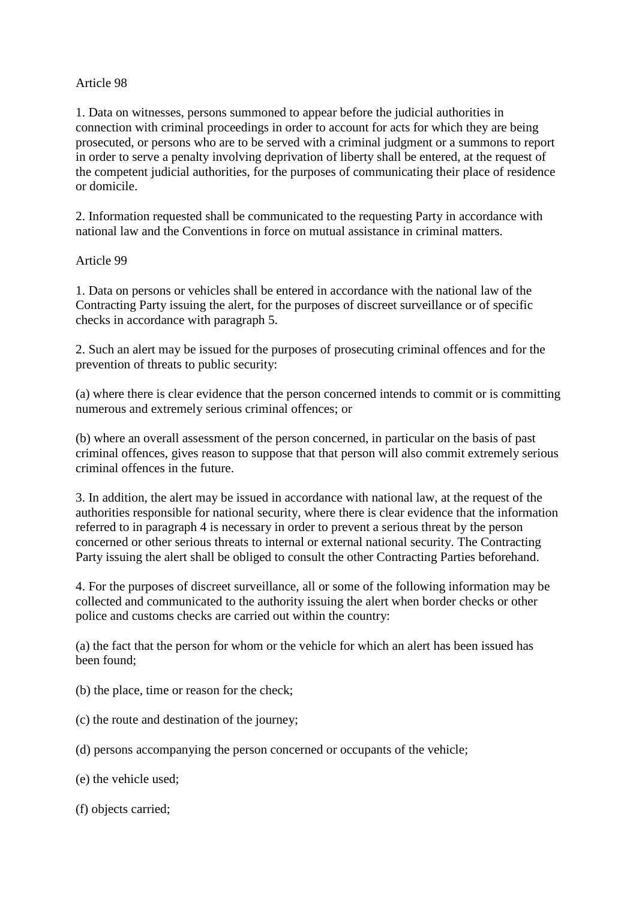#### Article 98

1. Data on witnesses, persons summoned to appear before the judicial authorities in connection with criminal proceedings in order to account for acts for which they are being prosecuted, or persons who are to be served with a criminal judgment or a summons to report in order to serve a penalty involving deprivation of liberty shall be entered, at the request of the competent judicial authorities, for the purposes of communicating their place of residence or domicile.

2. Information requested shall be communicated to the requesting Party in accordance with national law and the Conventions in force on mutual assistance in criminal matters.

#### Article 99

1. Data on persons or vehicles shall be entered in accordance with the national law of the Contracting Party issuing the alert, for the purposes of discreet surveillance or of specific checks in accordance with paragraph 5.

2. Such an alert may be issued for the purposes of prosecuting criminal offences and for the prevention of threats to public security:

(a) where there is clear evidence that the person concerned intends to commit or is committing numerous and extremely serious criminal offences; or

(b) where an overall assessment of the person concerned, in particular on the basis of past criminal offences, gives reason to suppose that that person will also commit extremely serious criminal offences in the future.

3. In addition, the alert may be issued in accordance with national law, at the request of the authorities responsible for national security, where there is clear evidence that the information referred to in paragraph 4 is necessary in order to prevent a serious threat by the person concerned or other serious threats to internal or external national security. The Contracting Party issuing the alert shall be obliged to consult the other Contracting Parties beforehand.

4. For the purposes of discreet surveillance, all or some of the following information may be collected and communicated to the authority issuing the alert when border checks or other police and customs checks are carried out within the country:

(a) the fact that the person for whom or the vehicle for which an alert has been issued has been found;

- (b) the place, time or reason for the check;
- (c) the route and destination of the journey;
- (d) persons accompanying the person concerned or occupants of the vehicle;
- (e) the vehicle used;
- (f) objects carried;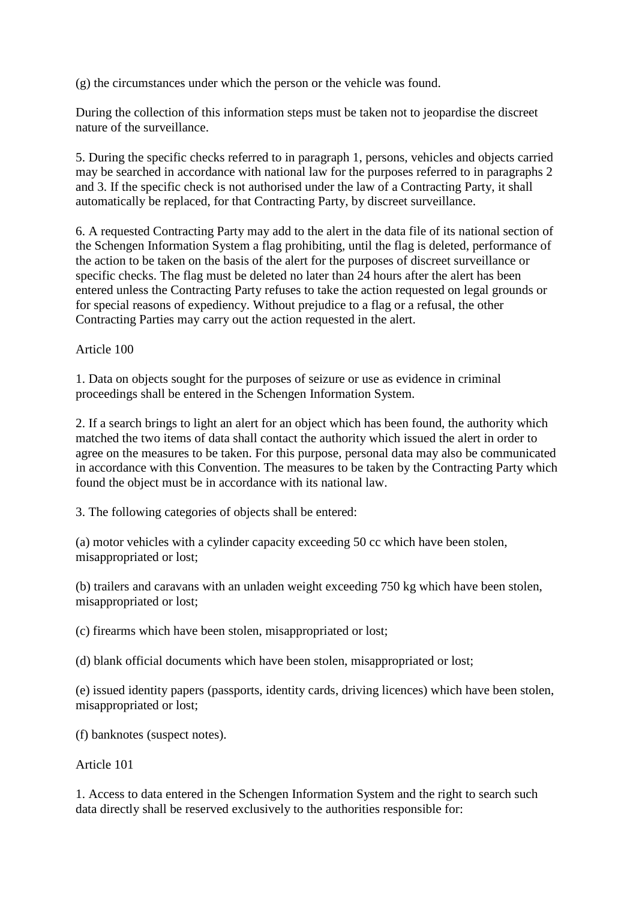(g) the circumstances under which the person or the vehicle was found.

During the collection of this information steps must be taken not to jeopardise the discreet nature of the surveillance.

5. During the specific checks referred to in paragraph 1, persons, vehicles and objects carried may be searched in accordance with national law for the purposes referred to in paragraphs 2 and 3. If the specific check is not authorised under the law of a Contracting Party, it shall automatically be replaced, for that Contracting Party, by discreet surveillance.

6. A requested Contracting Party may add to the alert in the data file of its national section of the Schengen Information System a flag prohibiting, until the flag is deleted, performance of the action to be taken on the basis of the alert for the purposes of discreet surveillance or specific checks. The flag must be deleted no later than 24 hours after the alert has been entered unless the Contracting Party refuses to take the action requested on legal grounds or for special reasons of expediency. Without prejudice to a flag or a refusal, the other Contracting Parties may carry out the action requested in the alert.

Article 100

1. Data on objects sought for the purposes of seizure or use as evidence in criminal proceedings shall be entered in the Schengen Information System.

2. If a search brings to light an alert for an object which has been found, the authority which matched the two items of data shall contact the authority which issued the alert in order to agree on the measures to be taken. For this purpose, personal data may also be communicated in accordance with this Convention. The measures to be taken by the Contracting Party which found the object must be in accordance with its national law.

3. The following categories of objects shall be entered:

(a) motor vehicles with a cylinder capacity exceeding 50 cc which have been stolen, misappropriated or lost;

(b) trailers and caravans with an unladen weight exceeding 750 kg which have been stolen, misappropriated or lost;

(c) firearms which have been stolen, misappropriated or lost;

(d) blank official documents which have been stolen, misappropriated or lost;

(e) issued identity papers (passports, identity cards, driving licences) which have been stolen, misappropriated or lost;

(f) banknotes (suspect notes).

#### Article 101

1. Access to data entered in the Schengen Information System and the right to search such data directly shall be reserved exclusively to the authorities responsible for: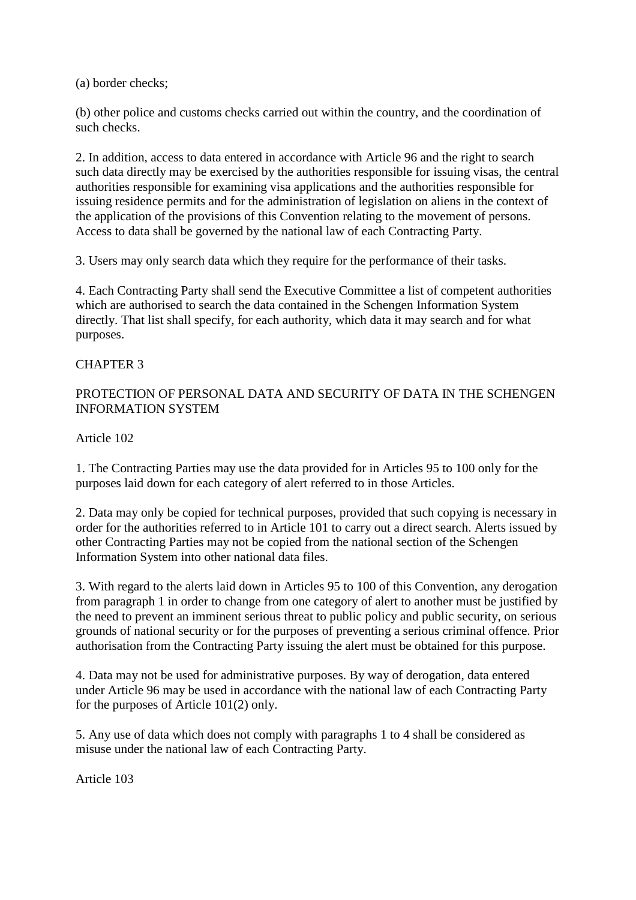(a) border checks;

(b) other police and customs checks carried out within the country, and the coordination of such checks.

2. In addition, access to data entered in accordance with Article 96 and the right to search such data directly may be exercised by the authorities responsible for issuing visas, the central authorities responsible for examining visa applications and the authorities responsible for issuing residence permits and for the administration of legislation on aliens in the context of the application of the provisions of this Convention relating to the movement of persons. Access to data shall be governed by the national law of each Contracting Party.

3. Users may only search data which they require for the performance of their tasks.

4. Each Contracting Party shall send the Executive Committee a list of competent authorities which are authorised to search the data contained in the Schengen Information System directly. That list shall specify, for each authority, which data it may search and for what purposes.

#### CHAPTER 3

#### PROTECTION OF PERSONAL DATA AND SECURITY OF DATA IN THE SCHENGEN INFORMATION SYSTEM

Article 102

1. The Contracting Parties may use the data provided for in Articles 95 to 100 only for the purposes laid down for each category of alert referred to in those Articles.

2. Data may only be copied for technical purposes, provided that such copying is necessary in order for the authorities referred to in Article 101 to carry out a direct search. Alerts issued by other Contracting Parties may not be copied from the national section of the Schengen Information System into other national data files.

3. With regard to the alerts laid down in Articles 95 to 100 of this Convention, any derogation from paragraph 1 in order to change from one category of alert to another must be justified by the need to prevent an imminent serious threat to public policy and public security, on serious grounds of national security or for the purposes of preventing a serious criminal offence. Prior authorisation from the Contracting Party issuing the alert must be obtained for this purpose.

4. Data may not be used for administrative purposes. By way of derogation, data entered under Article 96 may be used in accordance with the national law of each Contracting Party for the purposes of Article 101(2) only.

5. Any use of data which does not comply with paragraphs 1 to 4 shall be considered as misuse under the national law of each Contracting Party.

Article 103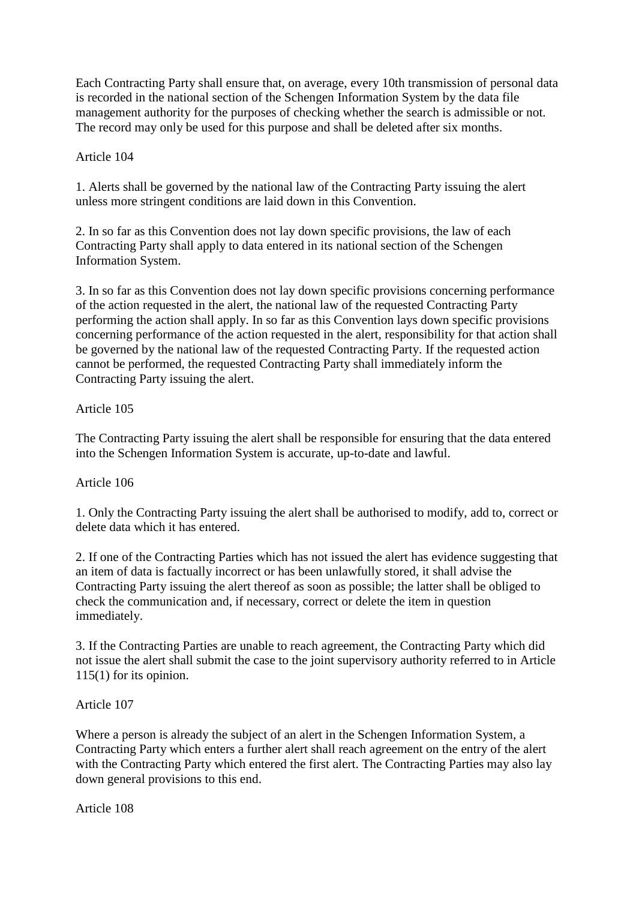Each Contracting Party shall ensure that, on average, every 10th transmission of personal data is recorded in the national section of the Schengen Information System by the data file management authority for the purposes of checking whether the search is admissible or not. The record may only be used for this purpose and shall be deleted after six months.

Article 104

1. Alerts shall be governed by the national law of the Contracting Party issuing the alert unless more stringent conditions are laid down in this Convention.

2. In so far as this Convention does not lay down specific provisions, the law of each Contracting Party shall apply to data entered in its national section of the Schengen Information System.

3. In so far as this Convention does not lay down specific provisions concerning performance of the action requested in the alert, the national law of the requested Contracting Party performing the action shall apply. In so far as this Convention lays down specific provisions concerning performance of the action requested in the alert, responsibility for that action shall be governed by the national law of the requested Contracting Party. If the requested action cannot be performed, the requested Contracting Party shall immediately inform the Contracting Party issuing the alert.

### Article 105

The Contracting Party issuing the alert shall be responsible for ensuring that the data entered into the Schengen Information System is accurate, up-to-date and lawful.

### Article 106

1. Only the Contracting Party issuing the alert shall be authorised to modify, add to, correct or delete data which it has entered.

2. If one of the Contracting Parties which has not issued the alert has evidence suggesting that an item of data is factually incorrect or has been unlawfully stored, it shall advise the Contracting Party issuing the alert thereof as soon as possible; the latter shall be obliged to check the communication and, if necessary, correct or delete the item in question immediately.

3. If the Contracting Parties are unable to reach agreement, the Contracting Party which did not issue the alert shall submit the case to the joint supervisory authority referred to in Article 115(1) for its opinion.

### Article 107

Where a person is already the subject of an alert in the Schengen Information System, a Contracting Party which enters a further alert shall reach agreement on the entry of the alert with the Contracting Party which entered the first alert. The Contracting Parties may also lay down general provisions to this end.

Article 108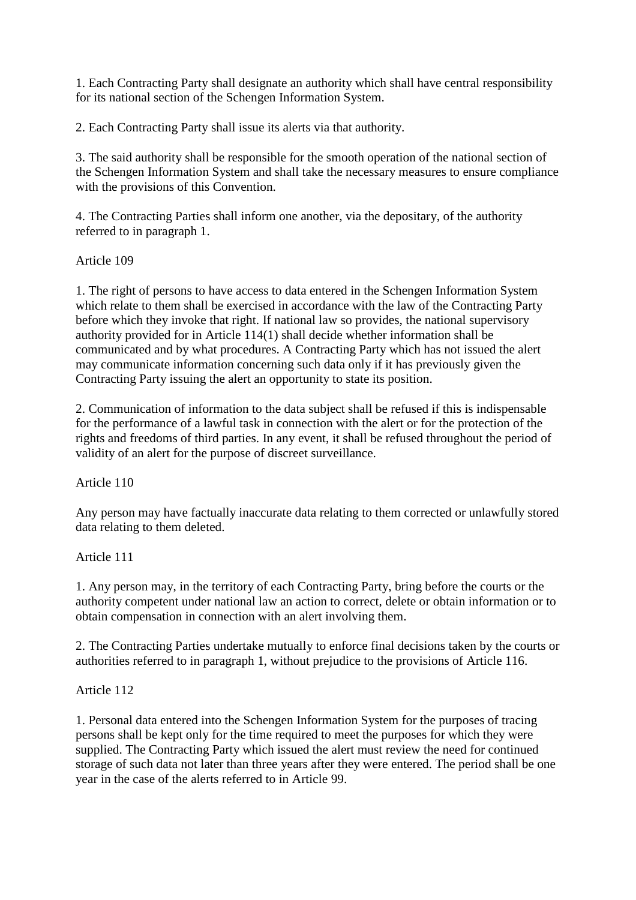1. Each Contracting Party shall designate an authority which shall have central responsibility for its national section of the Schengen Information System.

2. Each Contracting Party shall issue its alerts via that authority.

3. The said authority shall be responsible for the smooth operation of the national section of the Schengen Information System and shall take the necessary measures to ensure compliance with the provisions of this Convention.

4. The Contracting Parties shall inform one another, via the depositary, of the authority referred to in paragraph 1.

### Article 109

1. The right of persons to have access to data entered in the Schengen Information System which relate to them shall be exercised in accordance with the law of the Contracting Party before which they invoke that right. If national law so provides, the national supervisory authority provided for in Article 114(1) shall decide whether information shall be communicated and by what procedures. A Contracting Party which has not issued the alert may communicate information concerning such data only if it has previously given the Contracting Party issuing the alert an opportunity to state its position.

2. Communication of information to the data subject shall be refused if this is indispensable for the performance of a lawful task in connection with the alert or for the protection of the rights and freedoms of third parties. In any event, it shall be refused throughout the period of validity of an alert for the purpose of discreet surveillance.

Article 110

Any person may have factually inaccurate data relating to them corrected or unlawfully stored data relating to them deleted.

# Article 111

1. Any person may, in the territory of each Contracting Party, bring before the courts or the authority competent under national law an action to correct, delete or obtain information or to obtain compensation in connection with an alert involving them.

2. The Contracting Parties undertake mutually to enforce final decisions taken by the courts or authorities referred to in paragraph 1, without prejudice to the provisions of Article 116.

### Article 112

1. Personal data entered into the Schengen Information System for the purposes of tracing persons shall be kept only for the time required to meet the purposes for which they were supplied. The Contracting Party which issued the alert must review the need for continued storage of such data not later than three years after they were entered. The period shall be one year in the case of the alerts referred to in Article 99.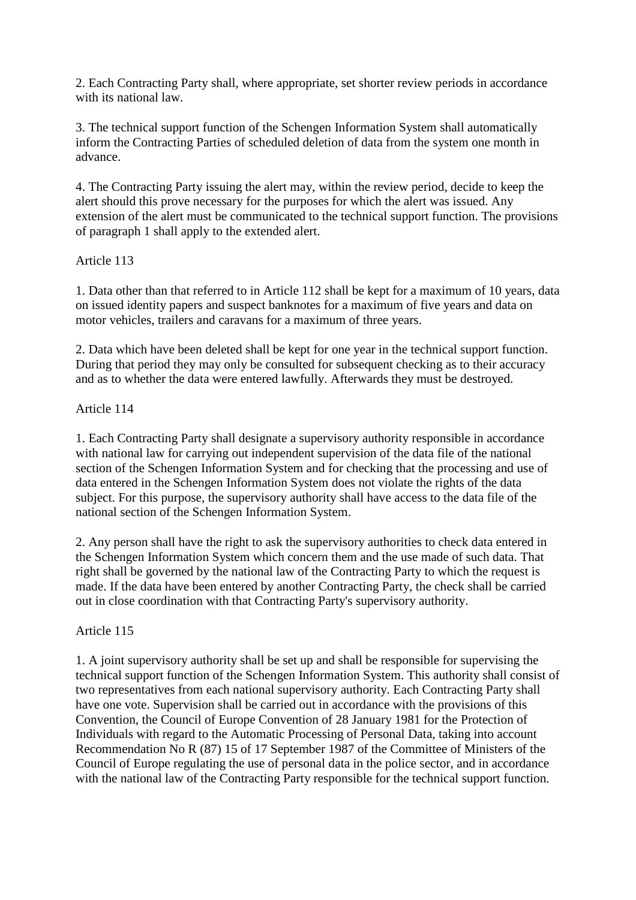2. Each Contracting Party shall, where appropriate, set shorter review periods in accordance with its national law.

3. The technical support function of the Schengen Information System shall automatically inform the Contracting Parties of scheduled deletion of data from the system one month in advance.

4. The Contracting Party issuing the alert may, within the review period, decide to keep the alert should this prove necessary for the purposes for which the alert was issued. Any extension of the alert must be communicated to the technical support function. The provisions of paragraph 1 shall apply to the extended alert.

### Article 113

1. Data other than that referred to in Article 112 shall be kept for a maximum of 10 years, data on issued identity papers and suspect banknotes for a maximum of five years and data on motor vehicles, trailers and caravans for a maximum of three years.

2. Data which have been deleted shall be kept for one year in the technical support function. During that period they may only be consulted for subsequent checking as to their accuracy and as to whether the data were entered lawfully. Afterwards they must be destroyed.

#### Article 114

1. Each Contracting Party shall designate a supervisory authority responsible in accordance with national law for carrying out independent supervision of the data file of the national section of the Schengen Information System and for checking that the processing and use of data entered in the Schengen Information System does not violate the rights of the data subject. For this purpose, the supervisory authority shall have access to the data file of the national section of the Schengen Information System.

2. Any person shall have the right to ask the supervisory authorities to check data entered in the Schengen Information System which concern them and the use made of such data. That right shall be governed by the national law of the Contracting Party to which the request is made. If the data have been entered by another Contracting Party, the check shall be carried out in close coordination with that Contracting Party's supervisory authority.

### Article 115

1. A joint supervisory authority shall be set up and shall be responsible for supervising the technical support function of the Schengen Information System. This authority shall consist of two representatives from each national supervisory authority. Each Contracting Party shall have one vote. Supervision shall be carried out in accordance with the provisions of this Convention, the Council of Europe Convention of 28 January 1981 for the Protection of Individuals with regard to the Automatic Processing of Personal Data, taking into account Recommendation No R (87) 15 of 17 September 1987 of the Committee of Ministers of the Council of Europe regulating the use of personal data in the police sector, and in accordance with the national law of the Contracting Party responsible for the technical support function.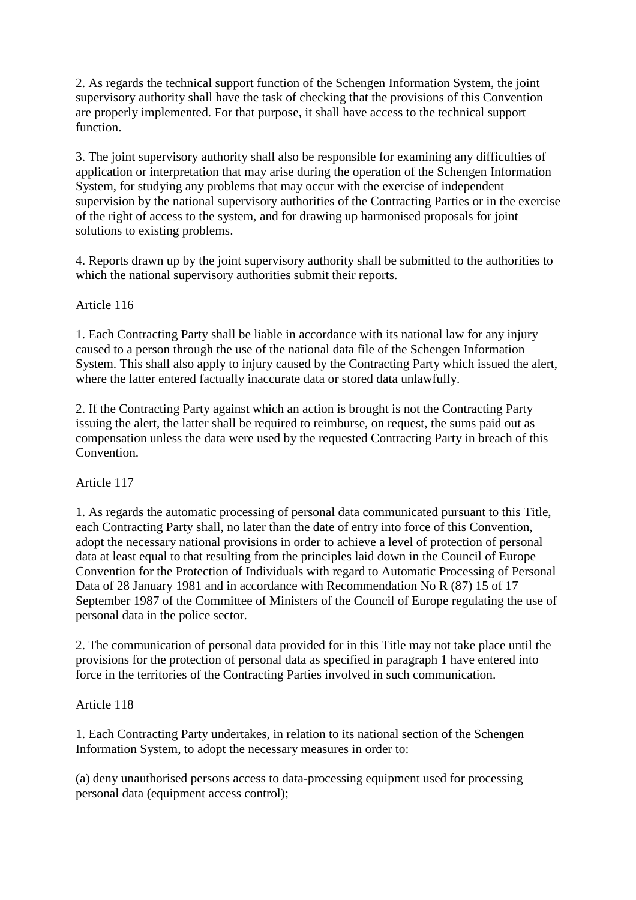2. As regards the technical support function of the Schengen Information System, the joint supervisory authority shall have the task of checking that the provisions of this Convention are properly implemented. For that purpose, it shall have access to the technical support function.

3. The joint supervisory authority shall also be responsible for examining any difficulties of application or interpretation that may arise during the operation of the Schengen Information System, for studying any problems that may occur with the exercise of independent supervision by the national supervisory authorities of the Contracting Parties or in the exercise of the right of access to the system, and for drawing up harmonised proposals for joint solutions to existing problems.

4. Reports drawn up by the joint supervisory authority shall be submitted to the authorities to which the national supervisory authorities submit their reports.

#### Article 116

1. Each Contracting Party shall be liable in accordance with its national law for any injury caused to a person through the use of the national data file of the Schengen Information System. This shall also apply to injury caused by the Contracting Party which issued the alert, where the latter entered factually inaccurate data or stored data unlawfully.

2. If the Contracting Party against which an action is brought is not the Contracting Party issuing the alert, the latter shall be required to reimburse, on request, the sums paid out as compensation unless the data were used by the requested Contracting Party in breach of this **Convention** 

### Article 117

1. As regards the automatic processing of personal data communicated pursuant to this Title, each Contracting Party shall, no later than the date of entry into force of this Convention, adopt the necessary national provisions in order to achieve a level of protection of personal data at least equal to that resulting from the principles laid down in the Council of Europe Convention for the Protection of Individuals with regard to Automatic Processing of Personal Data of 28 January 1981 and in accordance with Recommendation No R (87) 15 of 17 September 1987 of the Committee of Ministers of the Council of Europe regulating the use of personal data in the police sector.

2. The communication of personal data provided for in this Title may not take place until the provisions for the protection of personal data as specified in paragraph 1 have entered into force in the territories of the Contracting Parties involved in such communication.

### Article 118

1. Each Contracting Party undertakes, in relation to its national section of the Schengen Information System, to adopt the necessary measures in order to:

(a) deny unauthorised persons access to data-processing equipment used for processing personal data (equipment access control);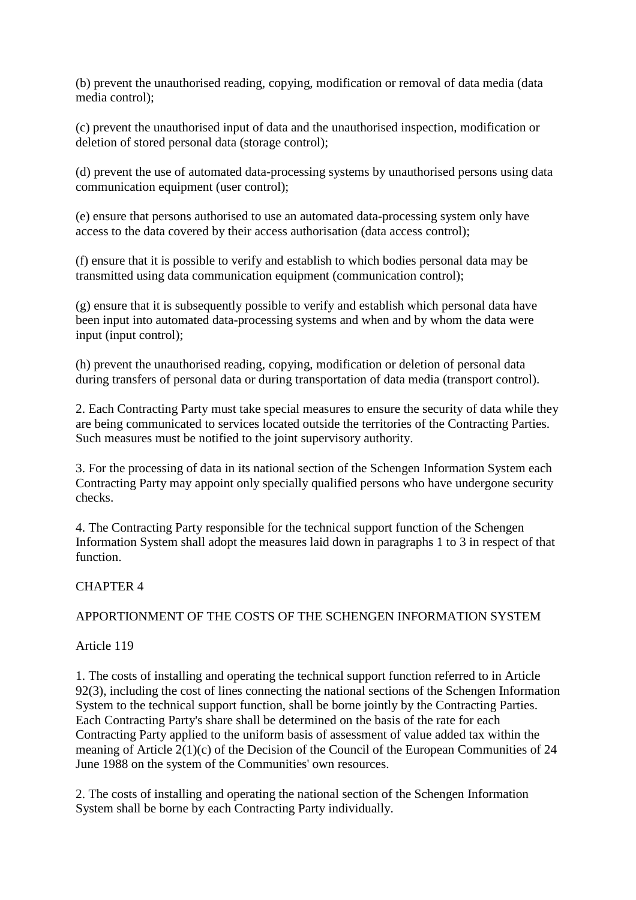(b) prevent the unauthorised reading, copying, modification or removal of data media (data media control);

(c) prevent the unauthorised input of data and the unauthorised inspection, modification or deletion of stored personal data (storage control);

(d) prevent the use of automated data-processing systems by unauthorised persons using data communication equipment (user control);

(e) ensure that persons authorised to use an automated data-processing system only have access to the data covered by their access authorisation (data access control);

(f) ensure that it is possible to verify and establish to which bodies personal data may be transmitted using data communication equipment (communication control);

(g) ensure that it is subsequently possible to verify and establish which personal data have been input into automated data-processing systems and when and by whom the data were input (input control);

(h) prevent the unauthorised reading, copying, modification or deletion of personal data during transfers of personal data or during transportation of data media (transport control).

2. Each Contracting Party must take special measures to ensure the security of data while they are being communicated to services located outside the territories of the Contracting Parties. Such measures must be notified to the joint supervisory authority.

3. For the processing of data in its national section of the Schengen Information System each Contracting Party may appoint only specially qualified persons who have undergone security checks.

4. The Contracting Party responsible for the technical support function of the Schengen Information System shall adopt the measures laid down in paragraphs 1 to 3 in respect of that function.

### CHAPTER 4

### APPORTIONMENT OF THE COSTS OF THE SCHENGEN INFORMATION SYSTEM

Article 119

1. The costs of installing and operating the technical support function referred to in Article 92(3), including the cost of lines connecting the national sections of the Schengen Information System to the technical support function, shall be borne jointly by the Contracting Parties. Each Contracting Party's share shall be determined on the basis of the rate for each Contracting Party applied to the uniform basis of assessment of value added tax within the meaning of Article 2(1)(c) of the Decision of the Council of the European Communities of 24 June 1988 on the system of the Communities' own resources.

2. The costs of installing and operating the national section of the Schengen Information System shall be borne by each Contracting Party individually.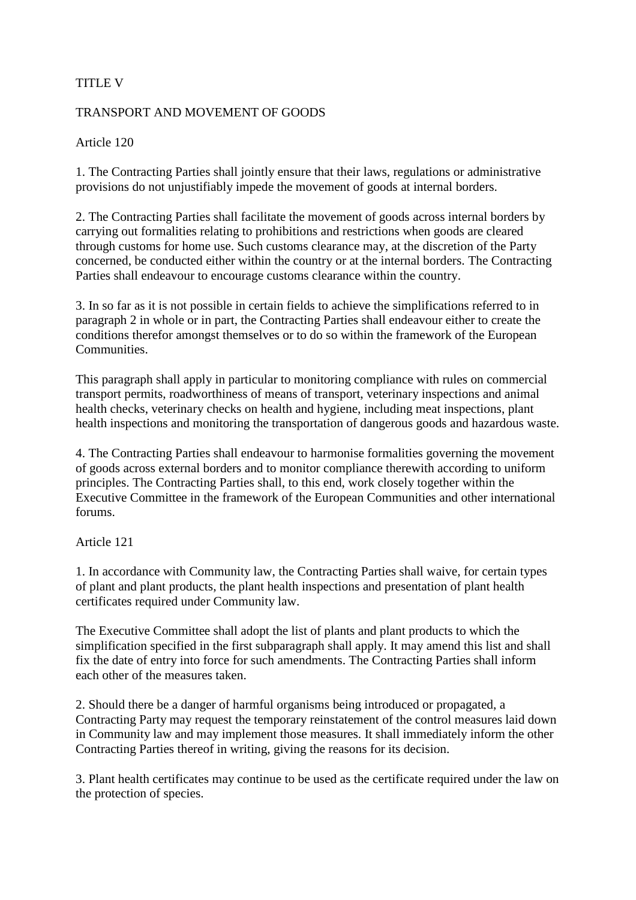## TITLE V

### TRANSPORT AND MOVEMENT OF GOODS

Article 120

1. The Contracting Parties shall jointly ensure that their laws, regulations or administrative provisions do not unjustifiably impede the movement of goods at internal borders.

2. The Contracting Parties shall facilitate the movement of goods across internal borders by carrying out formalities relating to prohibitions and restrictions when goods are cleared through customs for home use. Such customs clearance may, at the discretion of the Party concerned, be conducted either within the country or at the internal borders. The Contracting Parties shall endeavour to encourage customs clearance within the country.

3. In so far as it is not possible in certain fields to achieve the simplifications referred to in paragraph 2 in whole or in part, the Contracting Parties shall endeavour either to create the conditions therefor amongst themselves or to do so within the framework of the European Communities.

This paragraph shall apply in particular to monitoring compliance with rules on commercial transport permits, roadworthiness of means of transport, veterinary inspections and animal health checks, veterinary checks on health and hygiene, including meat inspections, plant health inspections and monitoring the transportation of dangerous goods and hazardous waste.

4. The Contracting Parties shall endeavour to harmonise formalities governing the movement of goods across external borders and to monitor compliance therewith according to uniform principles. The Contracting Parties shall, to this end, work closely together within the Executive Committee in the framework of the European Communities and other international forums.

Article 121

1. In accordance with Community law, the Contracting Parties shall waive, for certain types of plant and plant products, the plant health inspections and presentation of plant health certificates required under Community law.

The Executive Committee shall adopt the list of plants and plant products to which the simplification specified in the first subparagraph shall apply. It may amend this list and shall fix the date of entry into force for such amendments. The Contracting Parties shall inform each other of the measures taken.

2. Should there be a danger of harmful organisms being introduced or propagated, a Contracting Party may request the temporary reinstatement of the control measures laid down in Community law and may implement those measures. It shall immediately inform the other Contracting Parties thereof in writing, giving the reasons for its decision.

3. Plant health certificates may continue to be used as the certificate required under the law on the protection of species.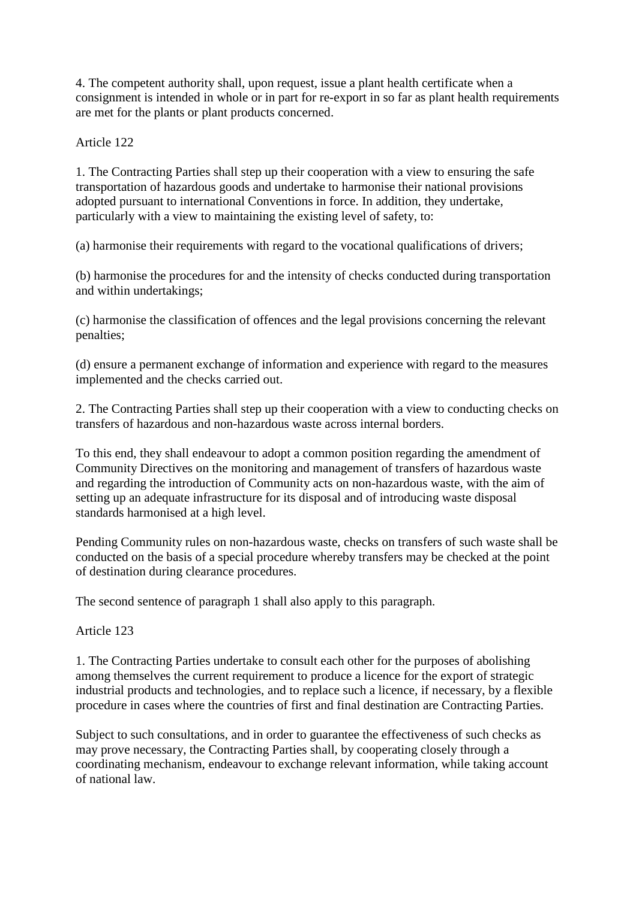4. The competent authority shall, upon request, issue a plant health certificate when a consignment is intended in whole or in part for re-export in so far as plant health requirements are met for the plants or plant products concerned.

Article 122

1. The Contracting Parties shall step up their cooperation with a view to ensuring the safe transportation of hazardous goods and undertake to harmonise their national provisions adopted pursuant to international Conventions in force. In addition, they undertake, particularly with a view to maintaining the existing level of safety, to:

(a) harmonise their requirements with regard to the vocational qualifications of drivers;

(b) harmonise the procedures for and the intensity of checks conducted during transportation and within undertakings;

(c) harmonise the classification of offences and the legal provisions concerning the relevant penalties;

(d) ensure a permanent exchange of information and experience with regard to the measures implemented and the checks carried out.

2. The Contracting Parties shall step up their cooperation with a view to conducting checks on transfers of hazardous and non-hazardous waste across internal borders.

To this end, they shall endeavour to adopt a common position regarding the amendment of Community Directives on the monitoring and management of transfers of hazardous waste and regarding the introduction of Community acts on non-hazardous waste, with the aim of setting up an adequate infrastructure for its disposal and of introducing waste disposal standards harmonised at a high level.

Pending Community rules on non-hazardous waste, checks on transfers of such waste shall be conducted on the basis of a special procedure whereby transfers may be checked at the point of destination during clearance procedures.

The second sentence of paragraph 1 shall also apply to this paragraph.

Article 123

1. The Contracting Parties undertake to consult each other for the purposes of abolishing among themselves the current requirement to produce a licence for the export of strategic industrial products and technologies, and to replace such a licence, if necessary, by a flexible procedure in cases where the countries of first and final destination are Contracting Parties.

Subject to such consultations, and in order to guarantee the effectiveness of such checks as may prove necessary, the Contracting Parties shall, by cooperating closely through a coordinating mechanism, endeavour to exchange relevant information, while taking account of national law.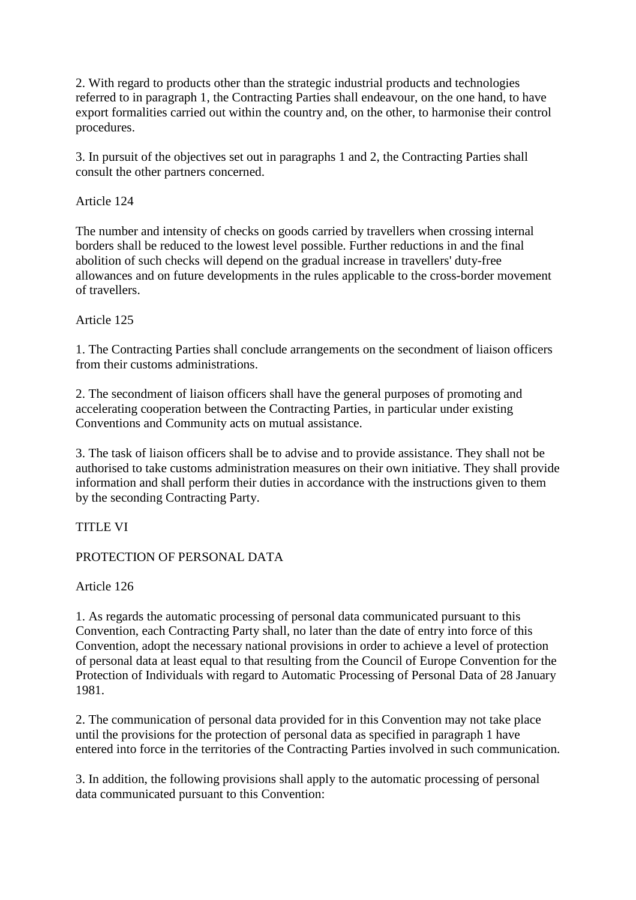2. With regard to products other than the strategic industrial products and technologies referred to in paragraph 1, the Contracting Parties shall endeavour, on the one hand, to have export formalities carried out within the country and, on the other, to harmonise their control procedures.

3. In pursuit of the objectives set out in paragraphs 1 and 2, the Contracting Parties shall consult the other partners concerned.

Article 124

The number and intensity of checks on goods carried by travellers when crossing internal borders shall be reduced to the lowest level possible. Further reductions in and the final abolition of such checks will depend on the gradual increase in travellers' duty-free allowances and on future developments in the rules applicable to the cross-border movement of travellers.

Article 125

1. The Contracting Parties shall conclude arrangements on the secondment of liaison officers from their customs administrations.

2. The secondment of liaison officers shall have the general purposes of promoting and accelerating cooperation between the Contracting Parties, in particular under existing Conventions and Community acts on mutual assistance.

3. The task of liaison officers shall be to advise and to provide assistance. They shall not be authorised to take customs administration measures on their own initiative. They shall provide information and shall perform their duties in accordance with the instructions given to them by the seconding Contracting Party.

TITLE VI

### PROTECTION OF PERSONAL DATA

Article 126

1. As regards the automatic processing of personal data communicated pursuant to this Convention, each Contracting Party shall, no later than the date of entry into force of this Convention, adopt the necessary national provisions in order to achieve a level of protection of personal data at least equal to that resulting from the Council of Europe Convention for the Protection of Individuals with regard to Automatic Processing of Personal Data of 28 January 1981.

2. The communication of personal data provided for in this Convention may not take place until the provisions for the protection of personal data as specified in paragraph 1 have entered into force in the territories of the Contracting Parties involved in such communication.

3. In addition, the following provisions shall apply to the automatic processing of personal data communicated pursuant to this Convention: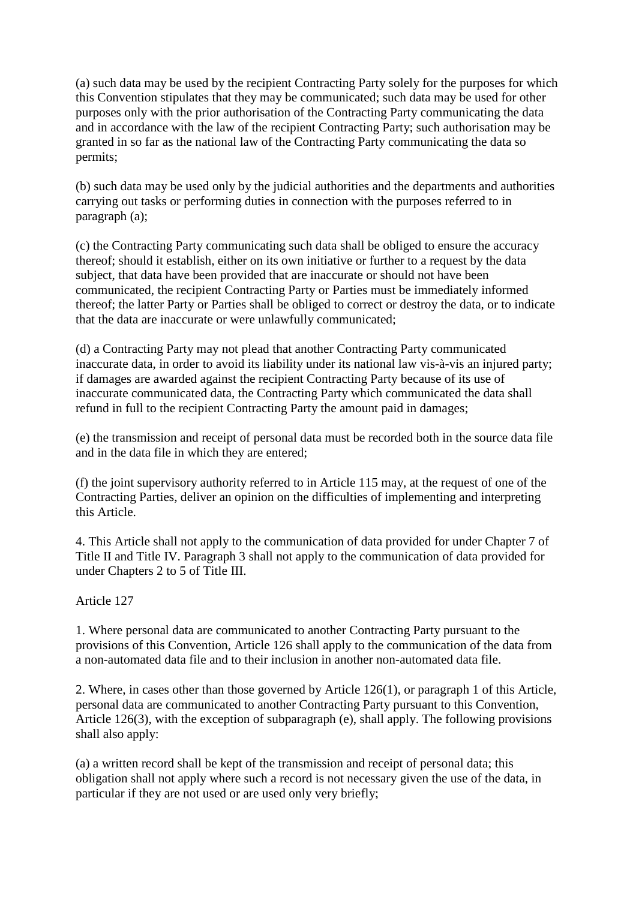(a) such data may be used by the recipient Contracting Party solely for the purposes for which this Convention stipulates that they may be communicated; such data may be used for other purposes only with the prior authorisation of the Contracting Party communicating the data and in accordance with the law of the recipient Contracting Party; such authorisation may be granted in so far as the national law of the Contracting Party communicating the data so permits;

(b) such data may be used only by the judicial authorities and the departments and authorities carrying out tasks or performing duties in connection with the purposes referred to in paragraph (a);

(c) the Contracting Party communicating such data shall be obliged to ensure the accuracy thereof; should it establish, either on its own initiative or further to a request by the data subject, that data have been provided that are inaccurate or should not have been communicated, the recipient Contracting Party or Parties must be immediately informed thereof; the latter Party or Parties shall be obliged to correct or destroy the data, or to indicate that the data are inaccurate or were unlawfully communicated;

(d) a Contracting Party may not plead that another Contracting Party communicated inaccurate data, in order to avoid its liability under its national law vis-à-vis an injured party; if damages are awarded against the recipient Contracting Party because of its use of inaccurate communicated data, the Contracting Party which communicated the data shall refund in full to the recipient Contracting Party the amount paid in damages;

(e) the transmission and receipt of personal data must be recorded both in the source data file and in the data file in which they are entered;

(f) the joint supervisory authority referred to in Article 115 may, at the request of one of the Contracting Parties, deliver an opinion on the difficulties of implementing and interpreting this Article.

4. This Article shall not apply to the communication of data provided for under Chapter 7 of Title II and Title IV. Paragraph 3 shall not apply to the communication of data provided for under Chapters 2 to 5 of Title III.

Article 127

1. Where personal data are communicated to another Contracting Party pursuant to the provisions of this Convention, Article 126 shall apply to the communication of the data from a non-automated data file and to their inclusion in another non-automated data file.

2. Where, in cases other than those governed by Article 126(1), or paragraph 1 of this Article, personal data are communicated to another Contracting Party pursuant to this Convention, Article 126(3), with the exception of subparagraph (e), shall apply. The following provisions shall also apply:

(a) a written record shall be kept of the transmission and receipt of personal data; this obligation shall not apply where such a record is not necessary given the use of the data, in particular if they are not used or are used only very briefly;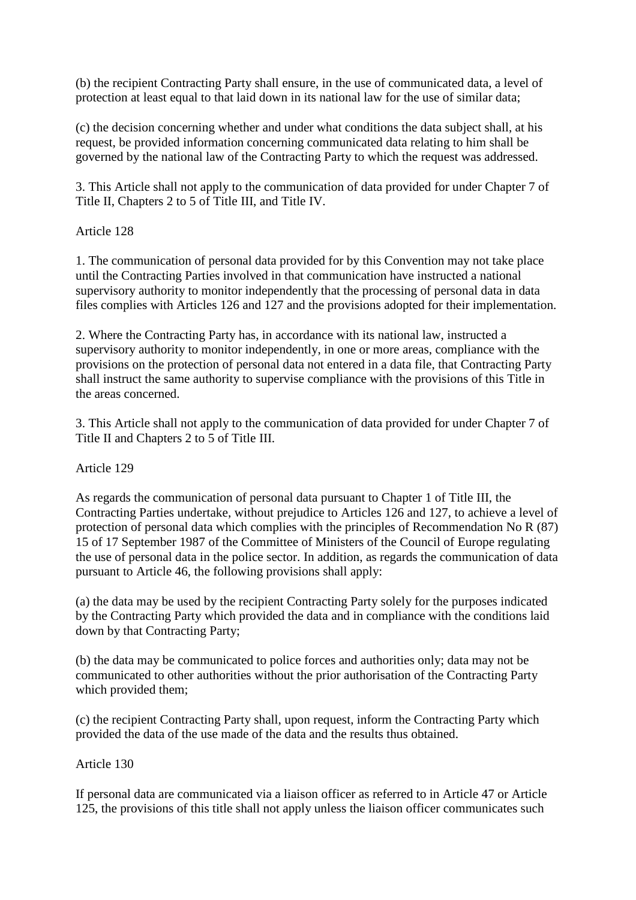(b) the recipient Contracting Party shall ensure, in the use of communicated data, a level of protection at least equal to that laid down in its national law for the use of similar data;

(c) the decision concerning whether and under what conditions the data subject shall, at his request, be provided information concerning communicated data relating to him shall be governed by the national law of the Contracting Party to which the request was addressed.

3. This Article shall not apply to the communication of data provided for under Chapter 7 of Title II, Chapters 2 to 5 of Title III, and Title IV.

### Article 128

1. The communication of personal data provided for by this Convention may not take place until the Contracting Parties involved in that communication have instructed a national supervisory authority to monitor independently that the processing of personal data in data files complies with Articles 126 and 127 and the provisions adopted for their implementation.

2. Where the Contracting Party has, in accordance with its national law, instructed a supervisory authority to monitor independently, in one or more areas, compliance with the provisions on the protection of personal data not entered in a data file, that Contracting Party shall instruct the same authority to supervise compliance with the provisions of this Title in the areas concerned.

3. This Article shall not apply to the communication of data provided for under Chapter 7 of Title II and Chapters 2 to 5 of Title III.

### Article 129

As regards the communication of personal data pursuant to Chapter 1 of Title III, the Contracting Parties undertake, without prejudice to Articles 126 and 127, to achieve a level of protection of personal data which complies with the principles of Recommendation No R (87) 15 of 17 September 1987 of the Committee of Ministers of the Council of Europe regulating the use of personal data in the police sector. In addition, as regards the communication of data pursuant to Article 46, the following provisions shall apply:

(a) the data may be used by the recipient Contracting Party solely for the purposes indicated by the Contracting Party which provided the data and in compliance with the conditions laid down by that Contracting Party;

(b) the data may be communicated to police forces and authorities only; data may not be communicated to other authorities without the prior authorisation of the Contracting Party which provided them;

(c) the recipient Contracting Party shall, upon request, inform the Contracting Party which provided the data of the use made of the data and the results thus obtained.

### Article 130

If personal data are communicated via a liaison officer as referred to in Article 47 or Article 125, the provisions of this title shall not apply unless the liaison officer communicates such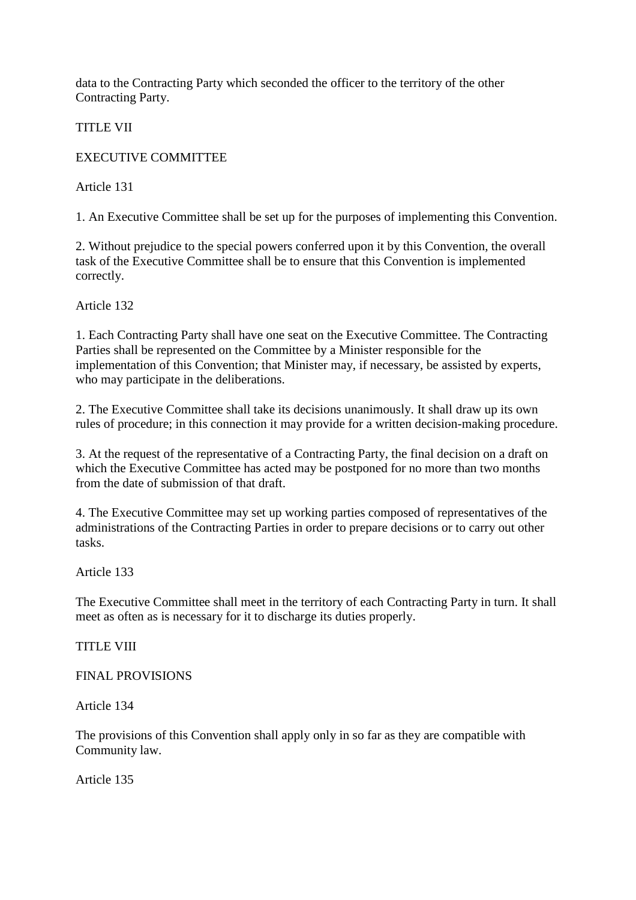data to the Contracting Party which seconded the officer to the territory of the other Contracting Party.

TITLE VII

EXECUTIVE COMMITTEE

Article 131

1. An Executive Committee shall be set up for the purposes of implementing this Convention.

2. Without prejudice to the special powers conferred upon it by this Convention, the overall task of the Executive Committee shall be to ensure that this Convention is implemented correctly.

Article 132

1. Each Contracting Party shall have one seat on the Executive Committee. The Contracting Parties shall be represented on the Committee by a Minister responsible for the implementation of this Convention; that Minister may, if necessary, be assisted by experts, who may participate in the deliberations.

2. The Executive Committee shall take its decisions unanimously. It shall draw up its own rules of procedure; in this connection it may provide for a written decision-making procedure.

3. At the request of the representative of a Contracting Party, the final decision on a draft on which the Executive Committee has acted may be postponed for no more than two months from the date of submission of that draft.

4. The Executive Committee may set up working parties composed of representatives of the administrations of the Contracting Parties in order to prepare decisions or to carry out other tasks.

Article 133

The Executive Committee shall meet in the territory of each Contracting Party in turn. It shall meet as often as is necessary for it to discharge its duties properly.

TITLE VIII

FINAL PROVISIONS

Article 134

The provisions of this Convention shall apply only in so far as they are compatible with Community law.

Article 135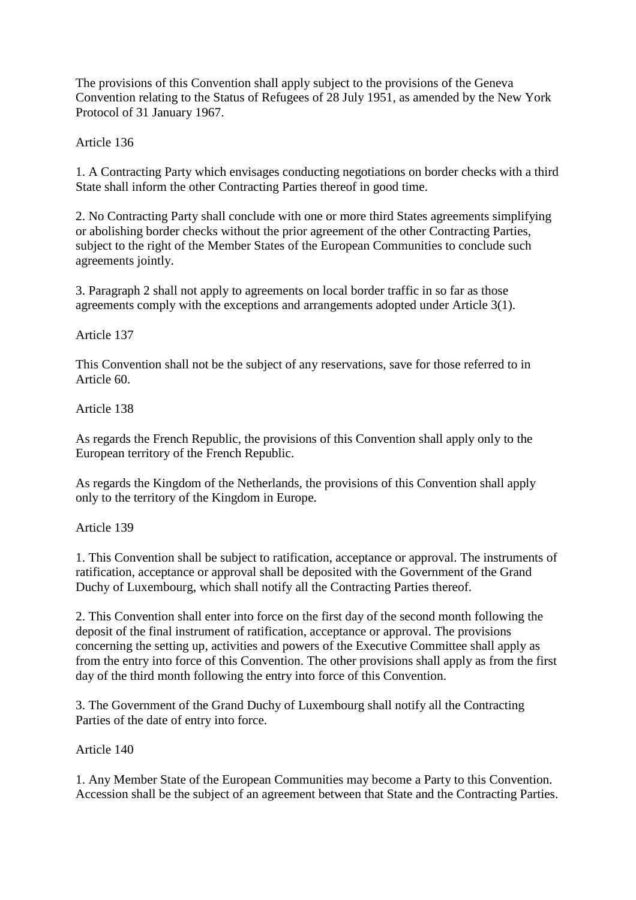The provisions of this Convention shall apply subject to the provisions of the Geneva Convention relating to the Status of Refugees of 28 July 1951, as amended by the New York Protocol of 31 January 1967.

Article 136

1. A Contracting Party which envisages conducting negotiations on border checks with a third State shall inform the other Contracting Parties thereof in good time.

2. No Contracting Party shall conclude with one or more third States agreements simplifying or abolishing border checks without the prior agreement of the other Contracting Parties, subject to the right of the Member States of the European Communities to conclude such agreements jointly.

3. Paragraph 2 shall not apply to agreements on local border traffic in so far as those agreements comply with the exceptions and arrangements adopted under Article 3(1).

Article 137

This Convention shall not be the subject of any reservations, save for those referred to in Article 60.

Article 138

As regards the French Republic, the provisions of this Convention shall apply only to the European territory of the French Republic.

As regards the Kingdom of the Netherlands, the provisions of this Convention shall apply only to the territory of the Kingdom in Europe.

Article 139

1. This Convention shall be subject to ratification, acceptance or approval. The instruments of ratification, acceptance or approval shall be deposited with the Government of the Grand Duchy of Luxembourg, which shall notify all the Contracting Parties thereof.

2. This Convention shall enter into force on the first day of the second month following the deposit of the final instrument of ratification, acceptance or approval. The provisions concerning the setting up, activities and powers of the Executive Committee shall apply as from the entry into force of this Convention. The other provisions shall apply as from the first day of the third month following the entry into force of this Convention.

3. The Government of the Grand Duchy of Luxembourg shall notify all the Contracting Parties of the date of entry into force.

Article 140

1. Any Member State of the European Communities may become a Party to this Convention. Accession shall be the subject of an agreement between that State and the Contracting Parties.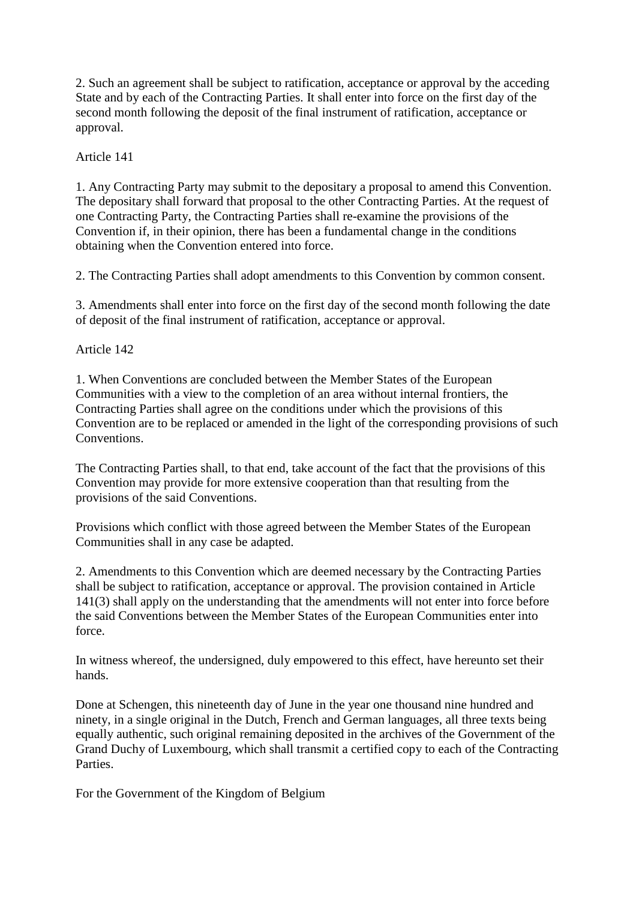2. Such an agreement shall be subject to ratification, acceptance or approval by the acceding State and by each of the Contracting Parties. It shall enter into force on the first day of the second month following the deposit of the final instrument of ratification, acceptance or approval.

## Article 141

1. Any Contracting Party may submit to the depositary a proposal to amend this Convention. The depositary shall forward that proposal to the other Contracting Parties. At the request of one Contracting Party, the Contracting Parties shall re-examine the provisions of the Convention if, in their opinion, there has been a fundamental change in the conditions obtaining when the Convention entered into force.

2. The Contracting Parties shall adopt amendments to this Convention by common consent.

3. Amendments shall enter into force on the first day of the second month following the date of deposit of the final instrument of ratification, acceptance or approval.

Article 142

1. When Conventions are concluded between the Member States of the European Communities with a view to the completion of an area without internal frontiers, the Contracting Parties shall agree on the conditions under which the provisions of this Convention are to be replaced or amended in the light of the corresponding provisions of such Conventions.

The Contracting Parties shall, to that end, take account of the fact that the provisions of this Convention may provide for more extensive cooperation than that resulting from the provisions of the said Conventions.

Provisions which conflict with those agreed between the Member States of the European Communities shall in any case be adapted.

2. Amendments to this Convention which are deemed necessary by the Contracting Parties shall be subject to ratification, acceptance or approval. The provision contained in Article 141(3) shall apply on the understanding that the amendments will not enter into force before the said Conventions between the Member States of the European Communities enter into force.

In witness whereof, the undersigned, duly empowered to this effect, have hereunto set their hands.

Done at Schengen, this nineteenth day of June in the year one thousand nine hundred and ninety, in a single original in the Dutch, French and German languages, all three texts being equally authentic, such original remaining deposited in the archives of the Government of the Grand Duchy of Luxembourg, which shall transmit a certified copy to each of the Contracting **Parties** 

For the Government of the Kingdom of Belgium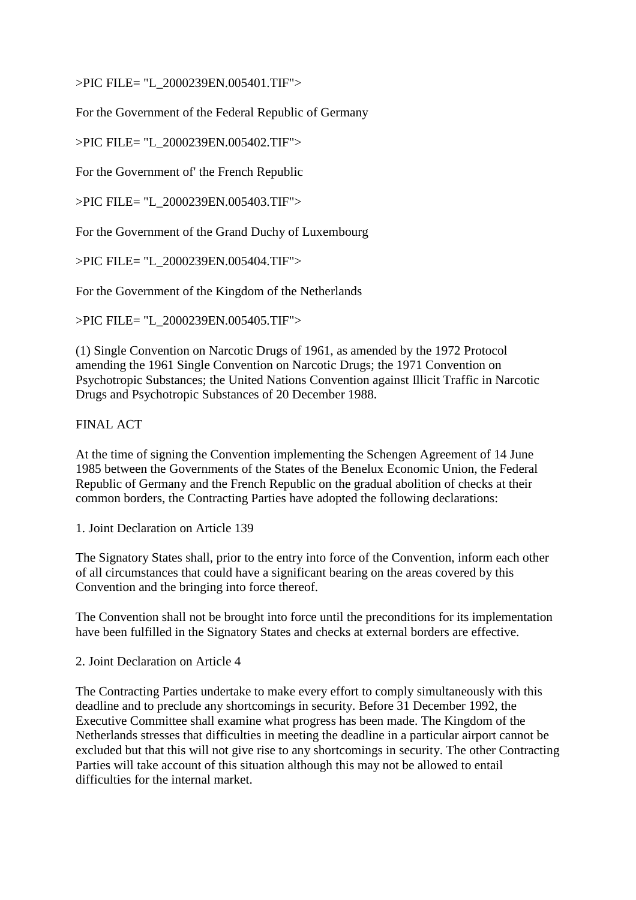>PIC FILE= "L\_2000239EN.005401.TIF">

For the Government of the Federal Republic of Germany

>PIC FILE= "L\_2000239EN.005402.TIF">

For the Government of' the French Republic

>PIC FILE= "L\_2000239EN.005403.TIF">

For the Government of the Grand Duchy of Luxembourg

>PIC FILE= "L\_2000239EN.005404.TIF">

For the Government of the Kingdom of the Netherlands

>PIC FILE= "L\_2000239EN.005405.TIF">

(1) Single Convention on Narcotic Drugs of 1961, as amended by the 1972 Protocol amending the 1961 Single Convention on Narcotic Drugs; the 1971 Convention on Psychotropic Substances; the United Nations Convention against Illicit Traffic in Narcotic Drugs and Psychotropic Substances of 20 December 1988.

#### FINAL ACT

At the time of signing the Convention implementing the Schengen Agreement of 14 June 1985 between the Governments of the States of the Benelux Economic Union, the Federal Republic of Germany and the French Republic on the gradual abolition of checks at their common borders, the Contracting Parties have adopted the following declarations:

1. Joint Declaration on Article 139

The Signatory States shall, prior to the entry into force of the Convention, inform each other of all circumstances that could have a significant bearing on the areas covered by this Convention and the bringing into force thereof.

The Convention shall not be brought into force until the preconditions for its implementation have been fulfilled in the Signatory States and checks at external borders are effective.

2. Joint Declaration on Article 4

The Contracting Parties undertake to make every effort to comply simultaneously with this deadline and to preclude any shortcomings in security. Before 31 December 1992, the Executive Committee shall examine what progress has been made. The Kingdom of the Netherlands stresses that difficulties in meeting the deadline in a particular airport cannot be excluded but that this will not give rise to any shortcomings in security. The other Contracting Parties will take account of this situation although this may not be allowed to entail difficulties for the internal market.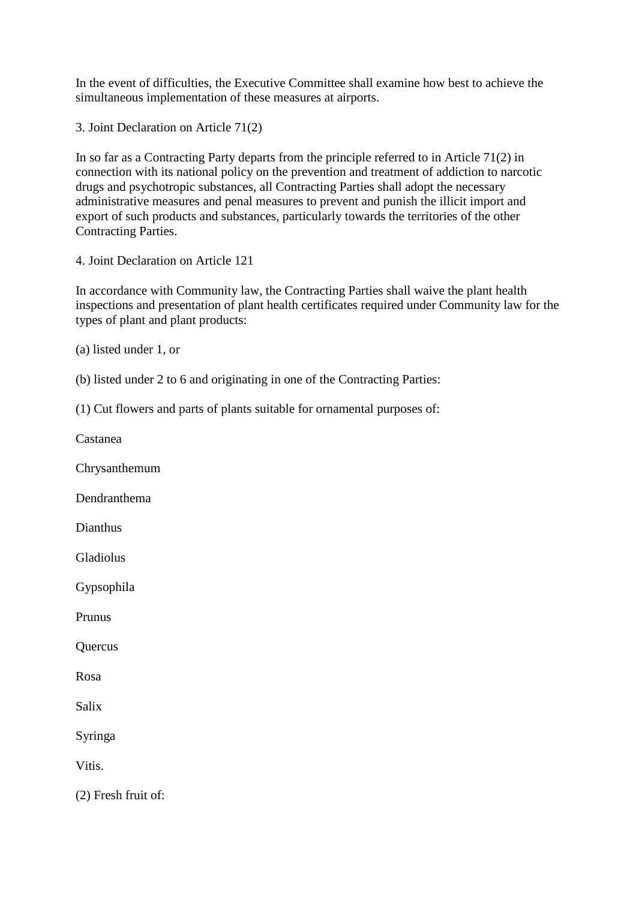In the event of difficulties, the Executive Committee shall examine how best to achieve the simultaneous implementation of these measures at airports.

3. Joint Declaration on Article 71(2)

In so far as a Contracting Party departs from the principle referred to in Article 71(2) in connection with its national policy on the prevention and treatment of addiction to narcotic drugs and psychotropic substances, all Contracting Parties shall adopt the necessary administrative measures and penal measures to prevent and punish the illicit import and export of such products and substances, particularly towards the territories of the other Contracting Parties.

4. Joint Declaration on Article 121

In accordance with Community law, the Contracting Parties shall waive the plant health inspections and presentation of plant health certificates required under Community law for the types of plant and plant products:

(a) listed under 1, or

(b) listed under 2 to 6 and originating in one of the Contracting Parties:

(1) Cut flowers and parts of plants suitable for ornamental purposes of:

Castanea

Chrysanthemum

Dendranthema

Dianthus

Gladiolus

Gypsophila

Prunus

**Quercus** 

Rosa

Salix

Syringa

Vitis.

(2) Fresh fruit of: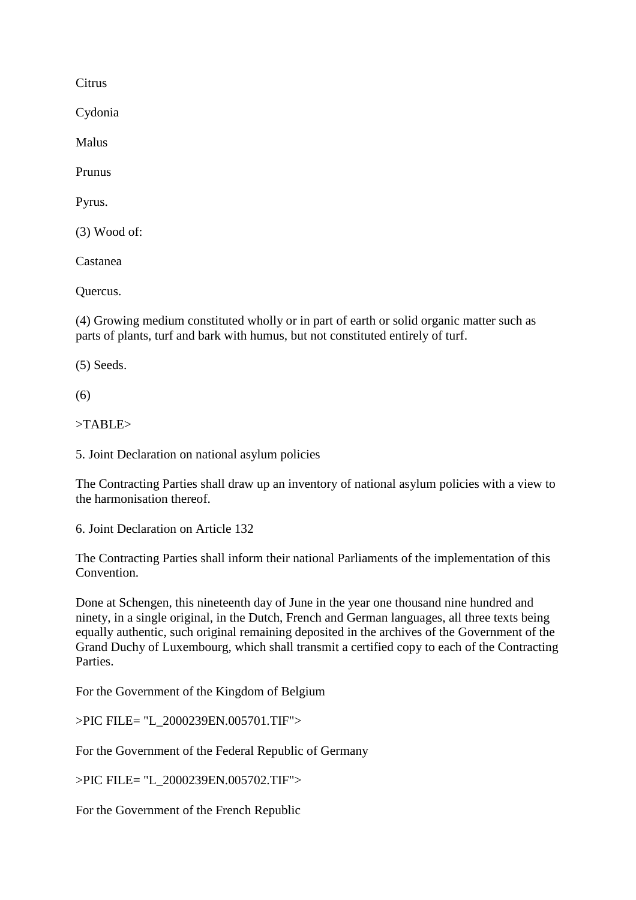**Citrus** 

Cydonia

Malus

Prunus

Pyrus.

(3) Wood of:

Castanea

Quercus.

(4) Growing medium constituted wholly or in part of earth or solid organic matter such as parts of plants, turf and bark with humus, but not constituted entirely of turf.

(5) Seeds.

 $(6)$ 

>TABLE>

5. Joint Declaration on national asylum policies

The Contracting Parties shall draw up an inventory of national asylum policies with a view to the harmonisation thereof.

6. Joint Declaration on Article 132

The Contracting Parties shall inform their national Parliaments of the implementation of this Convention.

Done at Schengen, this nineteenth day of June in the year one thousand nine hundred and ninety, in a single original, in the Dutch, French and German languages, all three texts being equally authentic, such original remaining deposited in the archives of the Government of the Grand Duchy of Luxembourg, which shall transmit a certified copy to each of the Contracting Parties.

For the Government of the Kingdom of Belgium

>PIC FILE= "L\_2000239EN.005701.TIF">

For the Government of the Federal Republic of Germany

>PIC FILE= "L\_2000239EN.005702.TIF">

For the Government of the French Republic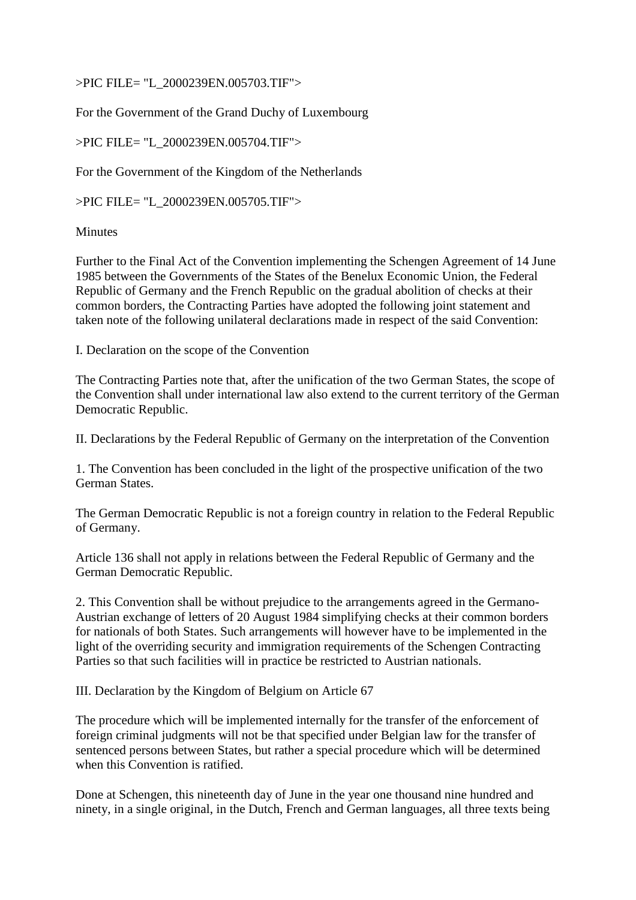>PIC FILE= "L\_2000239EN.005703.TIF">

For the Government of the Grand Duchy of Luxembourg

>PIC FILE= "L\_2000239EN.005704.TIF">

For the Government of the Kingdom of the Netherlands

>PIC FILE= "L\_2000239EN.005705.TIF">

**Minutes** 

Further to the Final Act of the Convention implementing the Schengen Agreement of 14 June 1985 between the Governments of the States of the Benelux Economic Union, the Federal Republic of Germany and the French Republic on the gradual abolition of checks at their common borders, the Contracting Parties have adopted the following joint statement and taken note of the following unilateral declarations made in respect of the said Convention:

I. Declaration on the scope of the Convention

The Contracting Parties note that, after the unification of the two German States, the scope of the Convention shall under international law also extend to the current territory of the German Democratic Republic.

II. Declarations by the Federal Republic of Germany on the interpretation of the Convention

1. The Convention has been concluded in the light of the prospective unification of the two German States.

The German Democratic Republic is not a foreign country in relation to the Federal Republic of Germany.

Article 136 shall not apply in relations between the Federal Republic of Germany and the German Democratic Republic.

2. This Convention shall be without prejudice to the arrangements agreed in the Germano-Austrian exchange of letters of 20 August 1984 simplifying checks at their common borders for nationals of both States. Such arrangements will however have to be implemented in the light of the overriding security and immigration requirements of the Schengen Contracting Parties so that such facilities will in practice be restricted to Austrian nationals.

III. Declaration by the Kingdom of Belgium on Article 67

The procedure which will be implemented internally for the transfer of the enforcement of foreign criminal judgments will not be that specified under Belgian law for the transfer of sentenced persons between States, but rather a special procedure which will be determined when this Convention is ratified.

Done at Schengen, this nineteenth day of June in the year one thousand nine hundred and ninety, in a single original, in the Dutch, French and German languages, all three texts being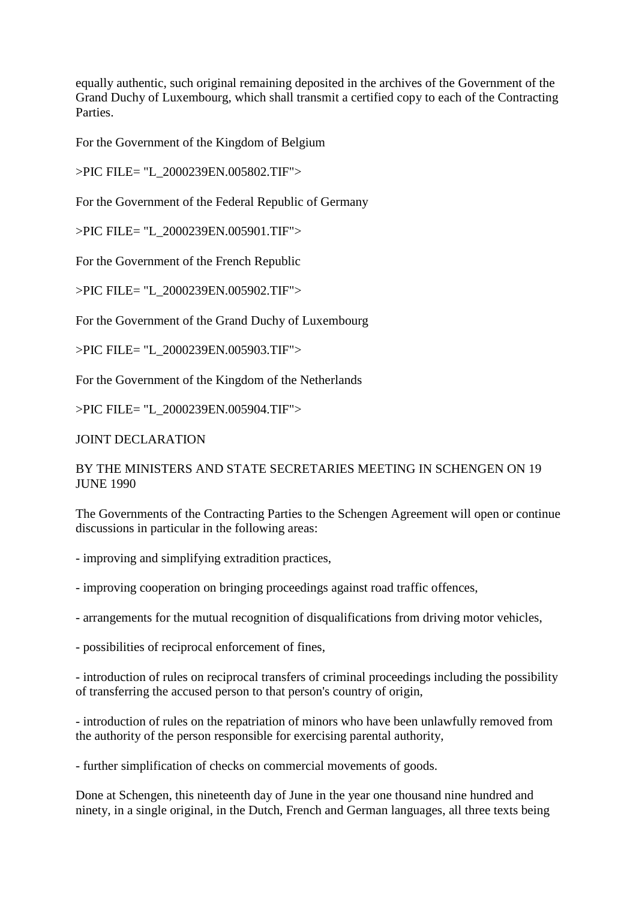equally authentic, such original remaining deposited in the archives of the Government of the Grand Duchy of Luxembourg, which shall transmit a certified copy to each of the Contracting Parties.

For the Government of the Kingdom of Belgium

>PIC FILE= "L\_2000239EN.005802.TIF">

For the Government of the Federal Republic of Germany

>PIC FILE= "L\_2000239EN.005901.TIF">

For the Government of the French Republic

>PIC FILE= "L\_2000239EN.005902.TIF">

For the Government of the Grand Duchy of Luxembourg

>PIC FILE= "L\_2000239EN.005903.TIF">

For the Government of the Kingdom of the Netherlands

>PIC FILE= "L\_2000239EN.005904.TIF">

### JOINT DECLARATION

### BY THE MINISTERS AND STATE SECRETARIES MEETING IN SCHENGEN ON 19 JUNE 1990

The Governments of the Contracting Parties to the Schengen Agreement will open or continue discussions in particular in the following areas:

- improving and simplifying extradition practices,

- improving cooperation on bringing proceedings against road traffic offences,
- arrangements for the mutual recognition of disqualifications from driving motor vehicles,
- possibilities of reciprocal enforcement of fines,

- introduction of rules on reciprocal transfers of criminal proceedings including the possibility of transferring the accused person to that person's country of origin,

- introduction of rules on the repatriation of minors who have been unlawfully removed from the authority of the person responsible for exercising parental authority,

- further simplification of checks on commercial movements of goods.

Done at Schengen, this nineteenth day of June in the year one thousand nine hundred and ninety, in a single original, in the Dutch, French and German languages, all three texts being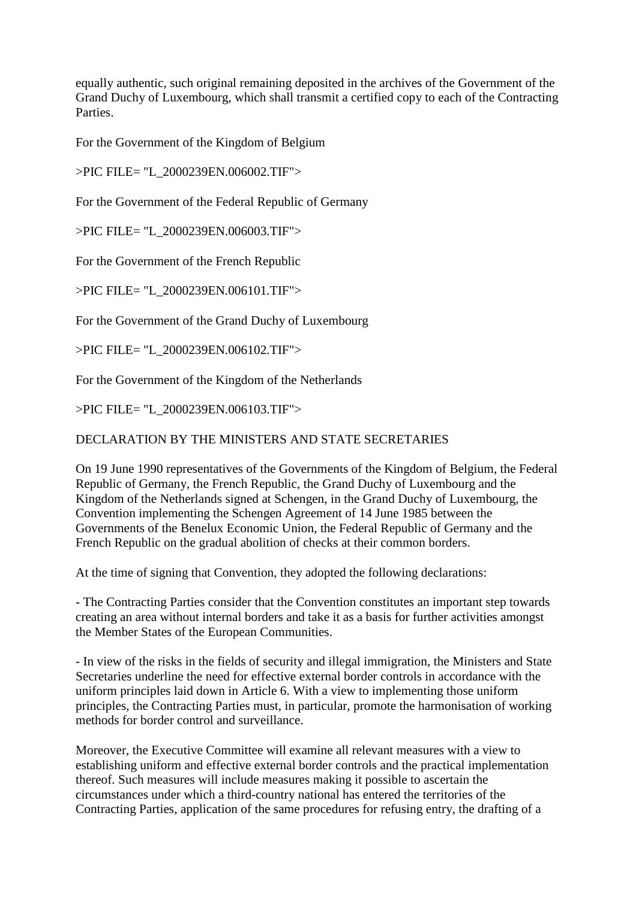equally authentic, such original remaining deposited in the archives of the Government of the Grand Duchy of Luxembourg, which shall transmit a certified copy to each of the Contracting Parties.

For the Government of the Kingdom of Belgium

>PIC FILE= "L\_2000239EN.006002.TIF">

For the Government of the Federal Republic of Germany

>PIC FILE= "L\_2000239EN.006003.TIF">

For the Government of the French Republic

>PIC FILE= "L\_2000239EN.006101.TIF">

For the Government of the Grand Duchy of Luxembourg

>PIC FILE= "L\_2000239EN.006102.TIF">

For the Government of the Kingdom of the Netherlands

>PIC FILE= "L\_2000239EN.006103.TIF">

#### DECLARATION BY THE MINISTERS AND STATE SECRETARIES

On 19 June 1990 representatives of the Governments of the Kingdom of Belgium, the Federal Republic of Germany, the French Republic, the Grand Duchy of Luxembourg and the Kingdom of the Netherlands signed at Schengen, in the Grand Duchy of Luxembourg, the Convention implementing the Schengen Agreement of 14 June 1985 between the Governments of the Benelux Economic Union, the Federal Republic of Germany and the French Republic on the gradual abolition of checks at their common borders.

At the time of signing that Convention, they adopted the following declarations:

- The Contracting Parties consider that the Convention constitutes an important step towards creating an area without internal borders and take it as a basis for further activities amongst the Member States of the European Communities.

- In view of the risks in the fields of security and illegal immigration, the Ministers and State Secretaries underline the need for effective external border controls in accordance with the uniform principles laid down in Article 6. With a view to implementing those uniform principles, the Contracting Parties must, in particular, promote the harmonisation of working methods for border control and surveillance.

Moreover, the Executive Committee will examine all relevant measures with a view to establishing uniform and effective external border controls and the practical implementation thereof. Such measures will include measures making it possible to ascertain the circumstances under which a third-country national has entered the territories of the Contracting Parties, application of the same procedures for refusing entry, the drafting of a